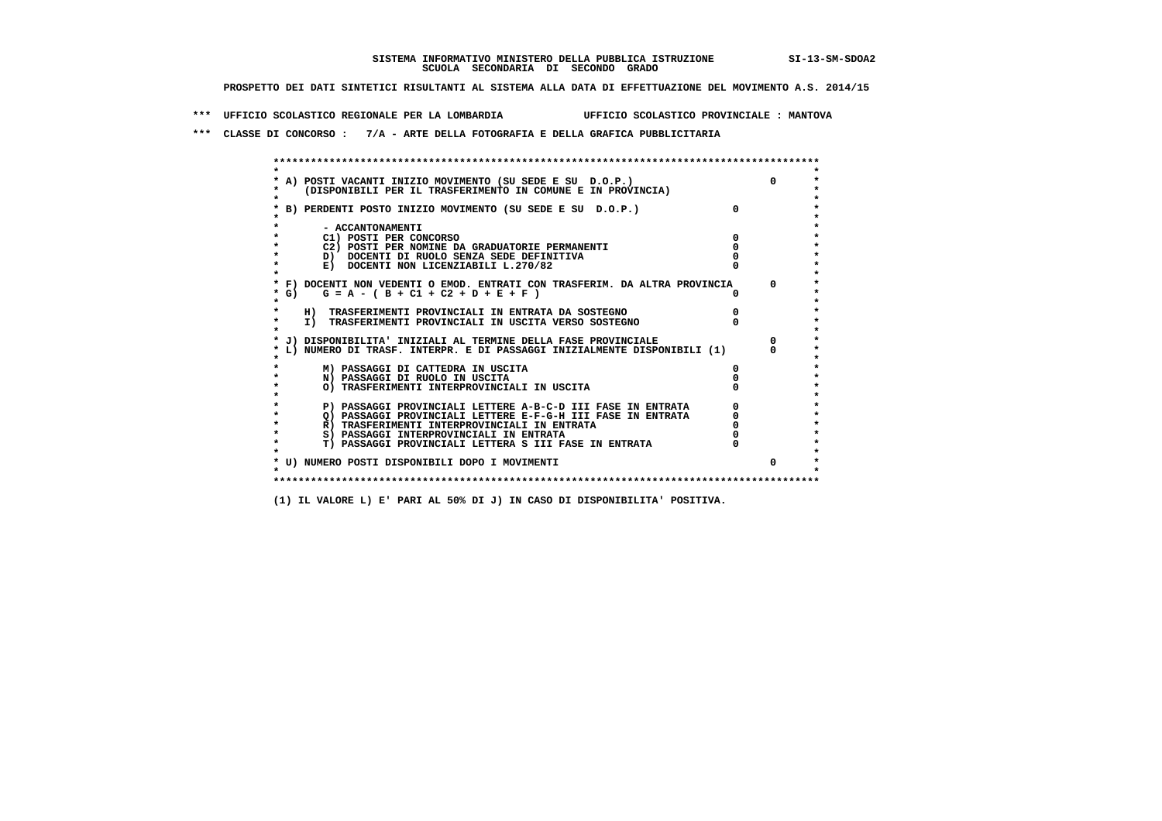## **SISTEMA INFORMATIVO MINISTERO DELLA PUBBLICA ISTRUZIONE SI-13-SM-SDOA2 SCUOLA SECONDARIA DI SECONDO GRADO**

 **PROSPETTO DEI DATI SINTETICI RISULTANTI AL SISTEMA ALLA DATA DI EFFETTUAZIONE DEL MOVIMENTO A.S. 2014/15**

 **\*\*\* UFFICIO SCOLASTICO REGIONALE PER LA LOMBARDIA UFFICIO SCOLASTICO PROVINCIALE : MANTOVA**

 **\*\*\* CLASSE DI CONCORSO : 7/A - ARTE DELLA FOTOGRAFIA E DELLA GRAFICA PUBBLICITARIA**

|      | A) POSTI VACANTI INIZIO MOVIMENTO (SU SEDE E SU D.O.P.)                    | <sup>n</sup> |
|------|----------------------------------------------------------------------------|--------------|
|      | (DISPONIBILI PER IL TRASFERIMENTO IN COMUNE E IN PROVINCIA)                |              |
|      | B) PERDENTI POSTO INIZIO MOVIMENTO (SU SEDE E SU D.O.P.)                   |              |
|      | - ACCANTONAMENTI                                                           |              |
|      | C1) POSTI PER CONCORSO                                                     |              |
|      | C2) POSTI PER NOMINE DA GRADUATORIE PERMANENTI                             |              |
|      | D) DOCENTI DI RUOLO SENZA SEDE DEFINITIVA                                  |              |
|      | E) DOCENTI NON LICENZIABILI L.270/82                                       |              |
|      | * F) DOCENTI NON VEDENTI O EMOD. ENTRATI CON TRASFERIM. DA ALTRA PROVINCIA | $\Omega$     |
| * G) | $G = A - (B + C1 + C2 + D + E + F)$                                        |              |
|      | H) TRASFERIMENTI PROVINCIALI IN ENTRATA DA SOSTEGNO                        |              |
|      | I) TRASFERIMENTI PROVINCIALI IN USCITA VERSO SOSTEGNO                      |              |
|      | * J) DISPONIBILITA' INIZIALI AL TERMINE DELLA FASE PROVINCIALE             |              |
|      | L) NUMERO DI TRASF. INTERPR. E DI PASSAGGI INIZIALMENTE DISPONIBILI (1)    | <sup>n</sup> |
|      | M) PASSAGGI DI CATTEDRA IN USCITA                                          |              |
|      | N) PASSAGGI DI RUOLO IN USCITA                                             |              |
|      | O) TRASFERIMENTI INTERPROVINCIALI IN USCITA                                |              |
|      | P) PASSAGGI PROVINCIALI LETTERE A-B-C-D III FASE IN ENTRATA                |              |
|      | O) PASSAGGI PROVINCIALI LETTERE E-F-G-H III FASE IN ENTRATA                |              |
|      | R) TRASFERIMENTI INTERPROVINCIALI IN ENTRATA                               |              |
|      | S) PASSAGGI INTERPROVINCIALI IN ENTRATA                                    |              |
|      | T) PASSAGGI PROVINCIALI LETTERA S III FASE IN ENTRATA                      |              |
|      | * U) NUMERO POSTI DISPONIBILI DOPO I MOVIMENTI                             | 0            |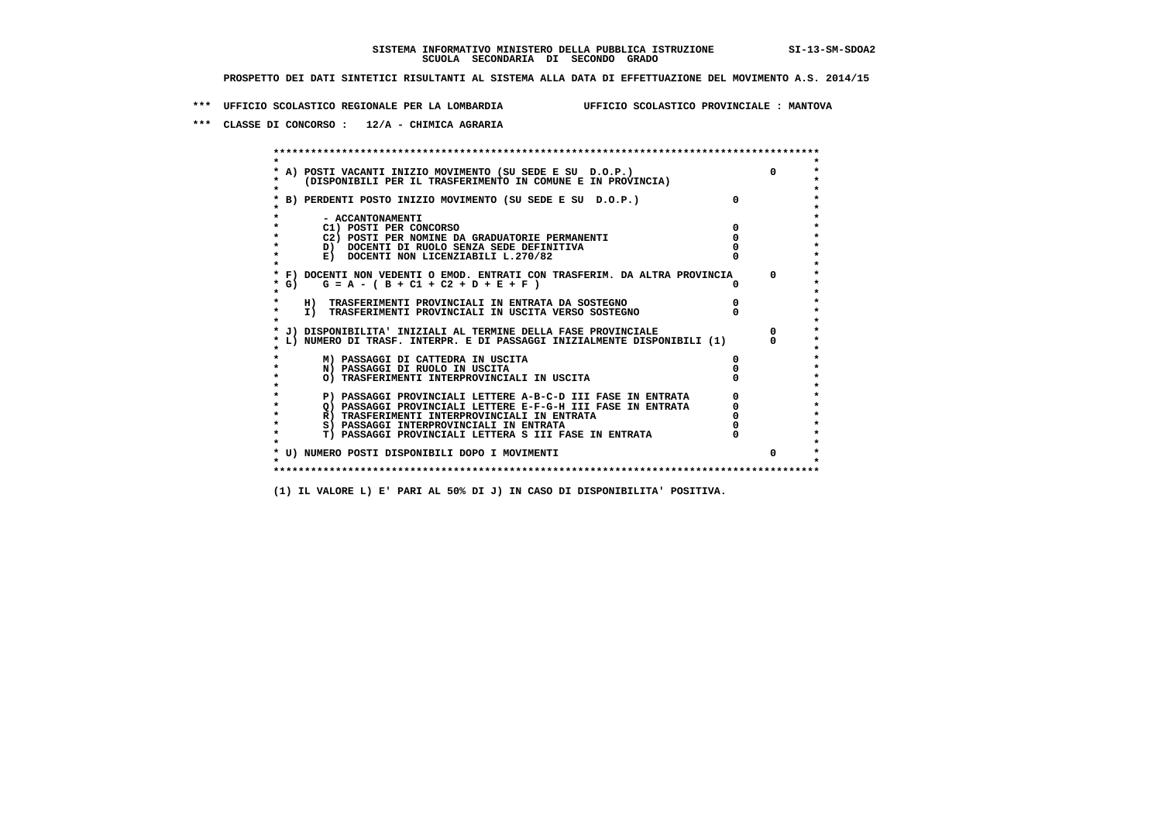**\*\*\* UFFICIO SCOLASTICO REGIONALE PER LA LOMBARDIA UFFICIO SCOLASTICO PROVINCIALE : MANTOVA**

 **\*\*\* CLASSE DI CONCORSO : 12/A - CHIMICA AGRARIA**

 **\*\*\*\*\*\*\*\*\*\*\*\*\*\*\*\*\*\*\*\*\*\*\*\*\*\*\*\*\*\*\*\*\*\*\*\*\*\*\*\*\*\*\*\*\*\*\*\*\*\*\*\*\*\*\*\*\*\*\*\*\*\*\*\*\*\*\*\*\*\*\*\*\*\*\*\*\*\*\*\*\*\*\*\*\*\*\*\* \* \*** $\bullet$  **\* A) POSTI VACANTI INIZIO MOVIMENTO (SU SEDE E SU D.O.P.) 0 \*** $\star$  **\* (DISPONIBILI PER IL TRASFERIMENTO IN COMUNE E IN PROVINCIA) \*** $\bullet$  **\* \* \* B) PERDENTI POSTO INIZIO MOVIMENTO (SU SEDE E SU D.O.P.) 0 \* \* \* \* - ACCANTONAMENTI \* \* C1) POSTI PER CONCORSO 0 \* \* C2) POSTI PER NOMINE DA GRADUATORIE PERMANENTI 0 \*D)** DOCENTI DI RUOLO SENZA SEDE DEFINITIVA  $\overline{a}$  0  $\overline{b}$  0  $\overline{c}$  0  $\overline{c}$  0  $\overline{c}$  0  $\overline{a}$  0  $\overline{b}$ **E) DOCENTI NON LICENZIABILI L.270/82 \* \* \* F) DOCENTI NON VEDENTI O EMOD. ENTRATI CON TRASFERIM. DA ALTRA PROVINCIA 0 \* \* G) G = A - ( B + C1 + C2 + D + E + F ) 0 \* \* \* \* H) TRASFERIMENTI PROVINCIALI IN ENTRATA DA SOSTEGNO 0 \* \* I) TRASFERIMENTI PROVINCIALI IN USCITA VERSO SOSTEGNO 0 \* \* \* \* J) DISPONIBILITA' INIZIALI AL TERMINE DELLA FASE PROVINCIALE 0 \* \* L) NUMERO DI TRASF. INTERPR. E DI PASSAGGI INIZIALMENTE DISPONIBILI (1) 0 \* \* \* \* M) PASSAGGI DI CATTEDRA IN USCITA 0 \* \* N) PASSAGGI DI RUOLO IN USCITA 0 \* \* O) TRASFERIMENTI INTERPROVINCIALI IN USCITA 0 \* \* \* \* P) PASSAGGI PROVINCIALI LETTERE A-B-C-D III FASE IN ENTRATA 0 \*** $\star$  **\* Q) PASSAGGI PROVINCIALI LETTERE E-F-G-H III FASE IN ENTRATA 0 \*R)** TRASFERIMENTI INTERPROVINCIALI IN ENTRATA  $\begin{bmatrix} 0 & 0 \\ 0 & 0 \\ 0 & 0 \end{bmatrix}$  PASSAGGI INTERPROVINCIALI IN ENTRATA  $\begin{bmatrix} 0 & 0 \\ 0 & 0 \\ 0 & 0 \end{bmatrix}$  **\* S) PASSAGGI INTERPROVINCIALI IN ENTRATA 0 \*** $\ddot{\phantom{1}}$  **\* T) PASSAGGI PROVINCIALI LETTERA S III FASE IN ENTRATA 0 \*** $\star$  **\* \* \* U) NUMERO POSTI DISPONIBILI DOPO I MOVIMENTI 0 \* \* \* \*\*\*\*\*\*\*\*\*\*\*\*\*\*\*\*\*\*\*\*\*\*\*\*\*\*\*\*\*\*\*\*\*\*\*\*\*\*\*\*\*\*\*\*\*\*\*\*\*\*\*\*\*\*\*\*\*\*\*\*\*\*\*\*\*\*\*\*\*\*\*\*\*\*\*\*\*\*\*\*\*\*\*\*\*\*\*\***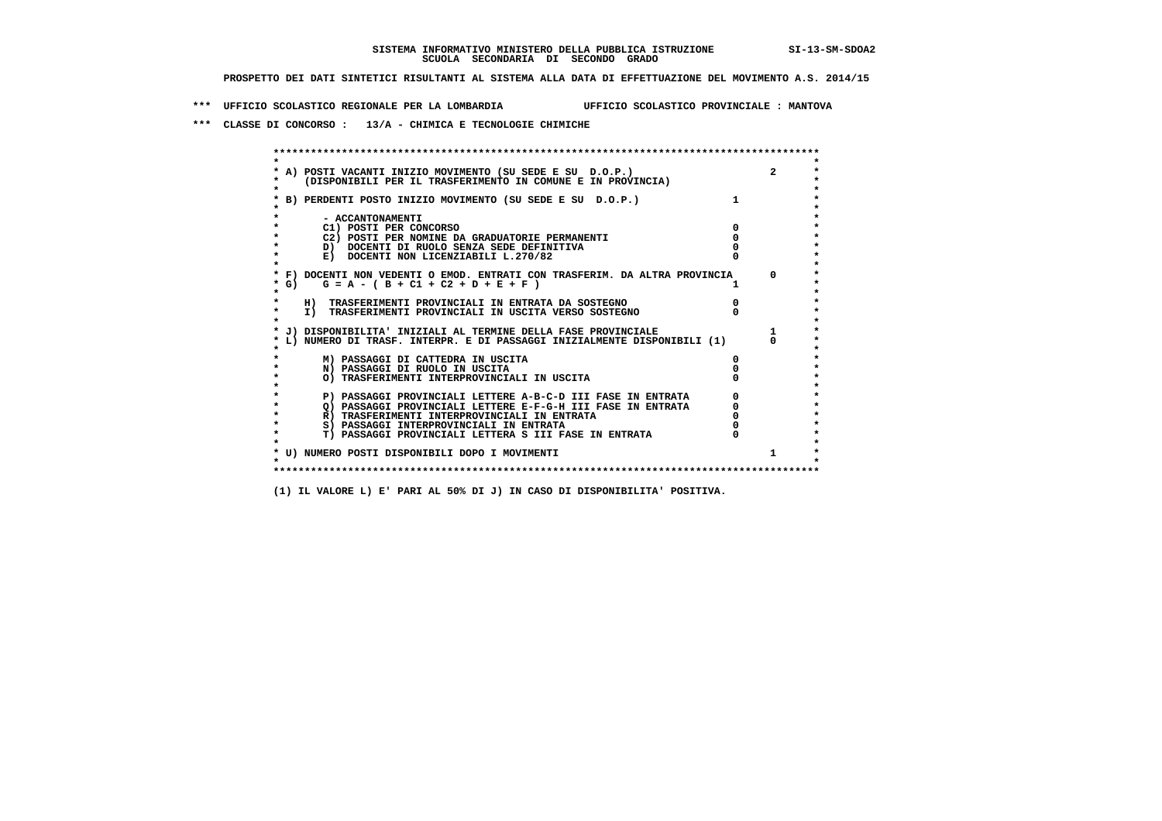**\*\*\* UFFICIO SCOLASTICO REGIONALE PER LA LOMBARDIA UFFICIO SCOLASTICO PROVINCIALE : MANTOVA**

 **\*\*\* CLASSE DI CONCORSO : 13/A - CHIMICA E TECNOLOGIE CHIMICHE**

|        | A) POSTI VACANTI INIZIO MOVIMENTO (SU SEDE E SU D.O.P.)                    | $\overline{2}$ |
|--------|----------------------------------------------------------------------------|----------------|
|        | (DISPONIBILI PER IL TRASFERIMENTO IN COMUNE E IN PROVINCIA)                |                |
|        | B) PERDENTI POSTO INIZIO MOVIMENTO (SU SEDE E SU D.O.P.)                   |                |
|        | - ACCANTONAMENTI                                                           |                |
|        | C1) POSTI PER CONCORSO                                                     |                |
|        | C2) POSTI PER NOMINE DA GRADUATORIE PERMANENTI                             |                |
|        | D) DOCENTI DI RUOLO SENZA SEDE DEFINITIVA                                  |                |
|        | E) DOCENTI NON LICENZIABILI L.270/82                                       |                |
|        | * F) DOCENTI NON VEDENTI O EMOD. ENTRATI CON TRASFERIM. DA ALTRA PROVINCIA | $^{\circ}$     |
| $*$ G) | $G = A - (B + C1 + C2 + D + E + F)$                                        |                |
|        | H) TRASFERIMENTI PROVINCIALI IN ENTRATA DA SOSTEGNO                        |                |
|        | I) TRASFERIMENTI PROVINCIALI IN USCITA VERSO SOSTEGNO                      |                |
|        | J) DISPONIBILITA' INIZIALI AL TERMINE DELLA FASE PROVINCIALE               |                |
|        | L) NUMERO DI TRASF. INTERPR. E DI PASSAGGI INIZIALMENTE DISPONIBILI (1)    |                |
|        | M) PASSAGGI DI CATTEDRA IN USCITA                                          |                |
|        | N) PASSAGGI DI RUOLO IN USCITA                                             |                |
|        | O) TRASFERIMENTI INTERPROVINCIALI IN USCITA                                |                |
|        | P) PASSAGGI PROVINCIALI LETTERE A-B-C-D III FASE IN ENTRATA                |                |
|        | O) PASSAGGI PROVINCIALI LETTERE E-F-G-H III FASE IN ENTRATA                |                |
|        | R) TRASFERIMENTI INTERPROVINCIALI IN ENTRATA                               |                |
|        | S) PASSAGGI INTERPROVINCIALI IN ENTRATA                                    |                |
|        | T) PASSAGGI PROVINCIALI LETTERA S III FASE IN ENTRATA                      |                |
|        | * U) NUMERO POSTI DISPONIBILI DOPO I MOVIMENTI                             |                |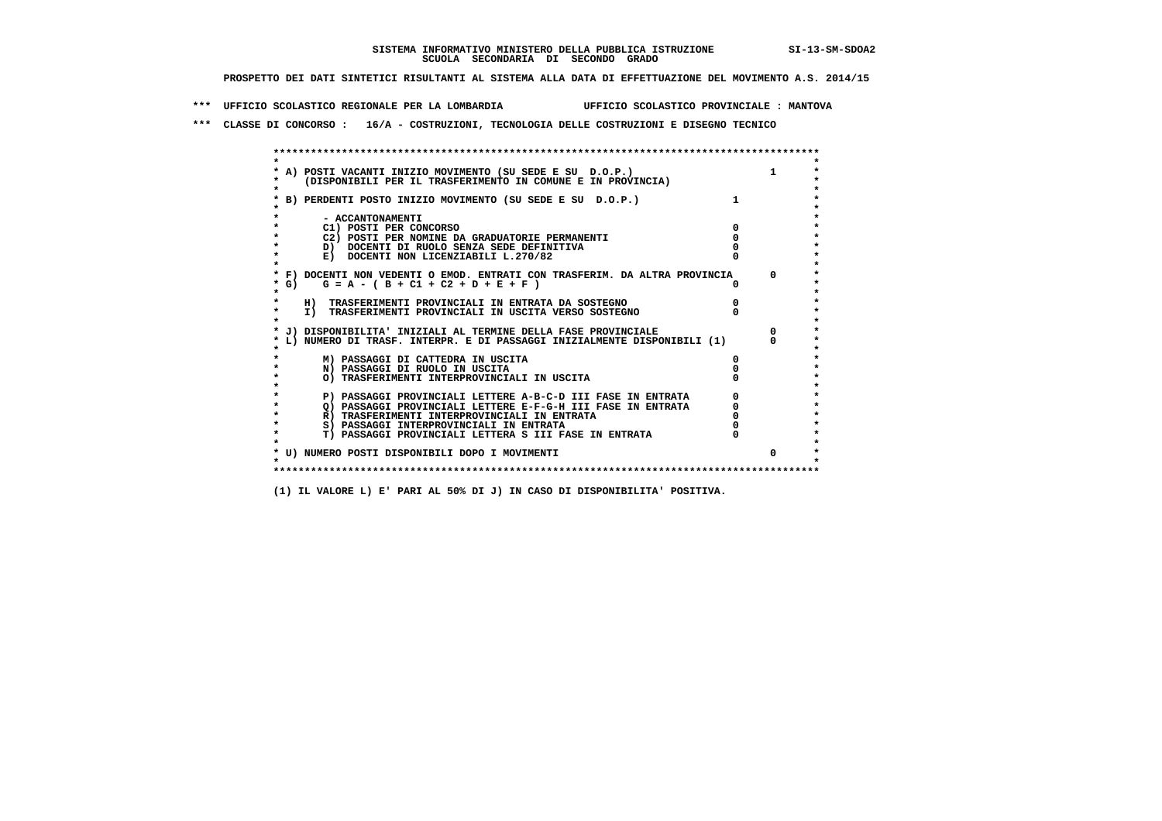**\*\*\* UFFICIO SCOLASTICO REGIONALE PER LA LOMBARDIA UFFICIO SCOLASTICO PROVINCIALE : MANTOVA**

 **\*\*\* CLASSE DI CONCORSO : 16/A - COSTRUZIONI, TECNOLOGIA DELLE COSTRUZIONI E DISEGNO TECNICO**

 **\*\*\*\*\*\*\*\*\*\*\*\*\*\*\*\*\*\*\*\*\*\*\*\*\*\*\*\*\*\*\*\*\*\*\*\*\*\*\*\*\*\*\*\*\*\*\*\*\*\*\*\*\*\*\*\*\*\*\*\*\*\*\*\*\*\*\*\*\*\*\*\*\*\*\*\*\*\*\*\*\*\*\*\*\*\*\*\* \* \*** $\ddot{\phantom{0}}$  **\* A) POSTI VACANTI INIZIO MOVIMENTO (SU SEDE E SU D.O.P.) 1 \*** $\star$  **\* (DISPONIBILI PER IL TRASFERIMENTO IN COMUNE E IN PROVINCIA) \* \* \* \* B) PERDENTI POSTO INIZIO MOVIMENTO (SU SEDE E SU D.O.P.) 1 \* \* \* \* - ACCANTONAMENTI \* \* C1) POSTI PER CONCORSO 0 \* \* C2) POSTI PER NOMINE DA GRADUATORIE PERMANENTI 0 \*b**  $\overline{D}$  **docenti di RUOLO SENZA SEDE DEFINITIVA**  $\overline{D}$  **0**  $\overline{D}$  **0**  $\overline{D}$  **0**  $\overline{D}$  **0**  $\overline{D}$  **0**  $\overline{D}$  **0**  $\overline{D}$  **0**  $\overline{D}$  **0**  $\overline{D}$  **0**  $\overline{D}$  **0**  $\overline{D}$  **0**  $\overline{D}$  **0**  $\overline{D}$  **0 E) DOCENTI NON LICENZIABILI L.270/82 \* \* \* F) DOCENTI NON VEDENTI O EMOD. ENTRATI CON TRASFERIM. DA ALTRA PROVINCIA 0 \* \* G) G = A - ( B + C1 + C2 + D + E + F ) 0 \* \* \* \* H) TRASFERIMENTI PROVINCIALI IN ENTRATA DA SOSTEGNO 0 \* \* I) TRASFERIMENTI PROVINCIALI IN USCITA VERSO SOSTEGNO 0 \* \* \* \* J) DISPONIBILITA' INIZIALI AL TERMINE DELLA FASE PROVINCIALE 0 \* \* L) NUMERO DI TRASF. INTERPR. E DI PASSAGGI INIZIALMENTE DISPONIBILI (1) 0 \* \* \* \* M) PASSAGGI DI CATTEDRA IN USCITA 0 \* \* N) PASSAGGI DI RUOLO IN USCITA 0 \* \* O) TRASFERIMENTI INTERPROVINCIALI IN USCITA 0 \* \* \*** $\star$  **P) PASSAGGI PROVINCIALI LETTERE A-B-C-D III FASE IN ENTRATA** 0 <sup>0</sup> **DASSAGGI PROVINCIALI LETTERE E-F-G-H** III FASE IN ENTRATA 0 <sup>0</sup>  $\star$  **\* Q) PASSAGGI PROVINCIALI LETTERE E-F-G-H III FASE IN ENTRATA 0 \*R**) TRASFERIMENTI INTERPROVINCIALI IN ENTRATA  $\begin{bmatrix} 0 & 0 & 0 \\ 0 & 0 & 0 \\ 0 & 0 & 0 \\ 0 & 0 & 0 \\ 0 & 0 & 0 \\ 0 & 0 & 0 & 0 \\ 0 & 0 & 0 & 0 \\ 0 & 0 & 0 & 0 \\ 0 & 0 & 0 & 0 \\ 0 & 0 & 0 & 0 \\ 0 & 0 & 0 & 0 \\ 0 & 0 & 0 & 0 \\ 0 & 0 & 0 & 0 \\ 0 & 0 & 0 & 0 \\ 0 & 0 & 0 & 0 \\ 0 &$  **\* S) PASSAGGI INTERPROVINCIALI IN ENTRATA 0 \*** $\ddot{\phantom{1}}$  **\* T) PASSAGGI PROVINCIALI LETTERA S III FASE IN ENTRATA 0 \*** $\star$  **\* \* \* U) NUMERO POSTI DISPONIBILI DOPO I MOVIMENTI 0 \* \* \* \*\*\*\*\*\*\*\*\*\*\*\*\*\*\*\*\*\*\*\*\*\*\*\*\*\*\*\*\*\*\*\*\*\*\*\*\*\*\*\*\*\*\*\*\*\*\*\*\*\*\*\*\*\*\*\*\*\*\*\*\*\*\*\*\*\*\*\*\*\*\*\*\*\*\*\*\*\*\*\*\*\*\*\*\*\*\*\***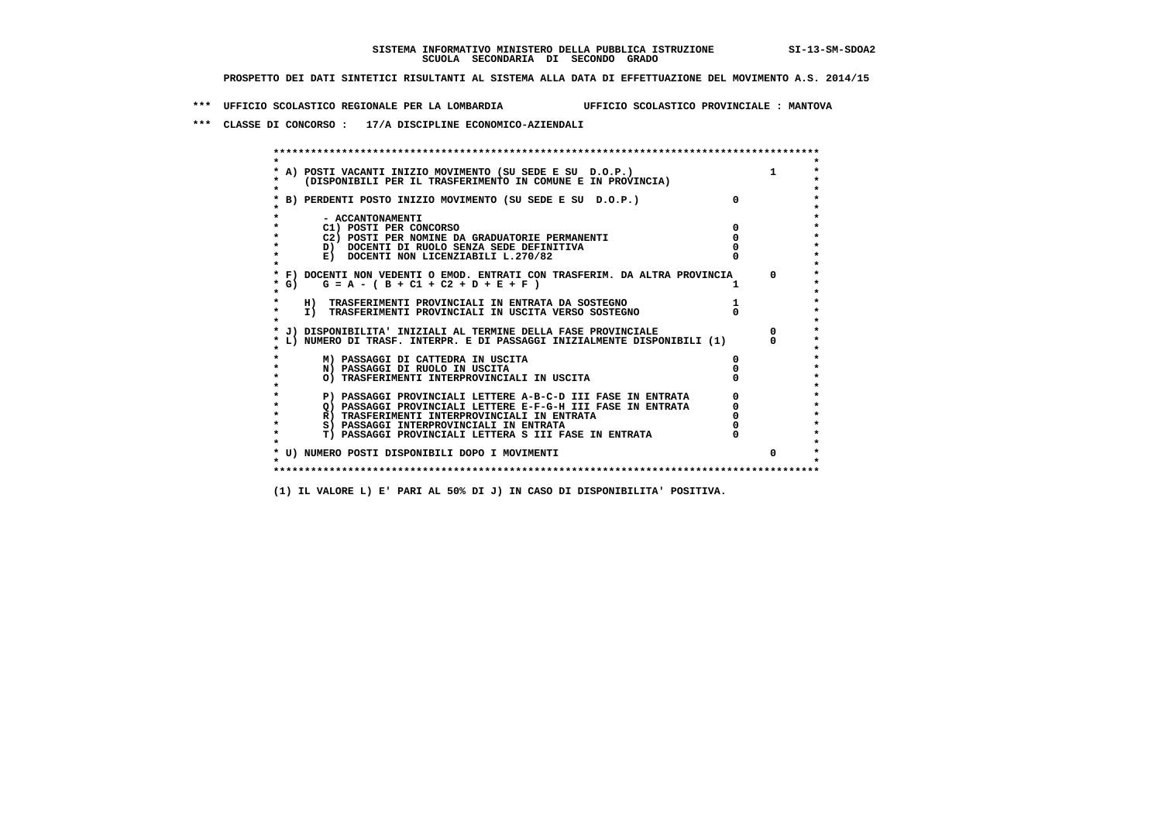**\*\*\* UFFICIO SCOLASTICO REGIONALE PER LA LOMBARDIA UFFICIO SCOLASTICO PROVINCIALE : MANTOVA**

 **\*\*\* CLASSE DI CONCORSO : 17/A DISCIPLINE ECONOMICO-AZIENDALI**

|    | A) POSTI VACANTI INIZIO MOVIMENTO (SU SEDE E SU D.O.P.)<br>(DISPONIBILI PER IL TRASFERIMENTO IN COMUNE E IN PROVINCIA) | $\mathbf{1}$ |
|----|------------------------------------------------------------------------------------------------------------------------|--------------|
|    | B) PERDENTI POSTO INIZIO MOVIMENTO (SU SEDE E SU D.O.P.)                                                               |              |
|    | - ACCANTONAMENTI                                                                                                       |              |
|    | C1) POSTI PER CONCORSO                                                                                                 |              |
|    | C2) POSTI PER NOMINE DA GRADUATORIE PERMANENTI                                                                         |              |
|    | D) DOCENTI DI RUOLO SENZA SEDE DEFINITIVA                                                                              |              |
|    | E) DOCENTI NON LICENZIABILI L.270/82                                                                                   |              |
|    | * F) DOCENTI NON VEDENTI O EMOD. ENTRATI CON TRASFERIM. DA ALTRA PROVINCIA                                             | $\Omega$     |
| G) | $G = A - (B + C1 + C2 + D + E + F)$                                                                                    |              |
|    | H) TRASFERIMENTI PROVINCIALI IN ENTRATA DA SOSTEGNO                                                                    |              |
|    | I) TRASFERIMENTI PROVINCIALI IN USCITA VERSO SOSTEGNO                                                                  |              |
|    | J) DISPONIBILITA' INIZIALI AL TERMINE DELLA FASE PROVINCIALE                                                           |              |
|    | L) NUMERO DI TRASF. INTERPR. E DI PASSAGGI INIZIALMENTE DISPONIBILI (1)                                                |              |
|    | M) PASSAGGI DI CATTEDRA IN USCITA                                                                                      |              |
|    | N) PASSAGGI DI RUOLO IN USCITA                                                                                         |              |
|    | O) TRASFERIMENTI INTERPROVINCIALI IN USCITA                                                                            |              |
|    | P) PASSAGGI PROVINCIALI LETTERE A-B-C-D III FASE IN ENTRATA                                                            |              |
|    | O) PASSAGGI PROVINCIALI LETTERE E-F-G-H III FASE IN ENTRATA                                                            |              |
|    | R) TRASFERIMENTI INTERPROVINCIALI IN ENTRATA                                                                           |              |
|    | S) PASSAGGI INTERPROVINCIALI IN ENTRATA                                                                                |              |
|    | T) PASSAGGI PROVINCIALI LETTERA S III FASE IN ENTRATA                                                                  |              |
|    | * U) NUMERO POSTI DISPONIBILI DOPO I MOVIMENTI                                                                         | 0            |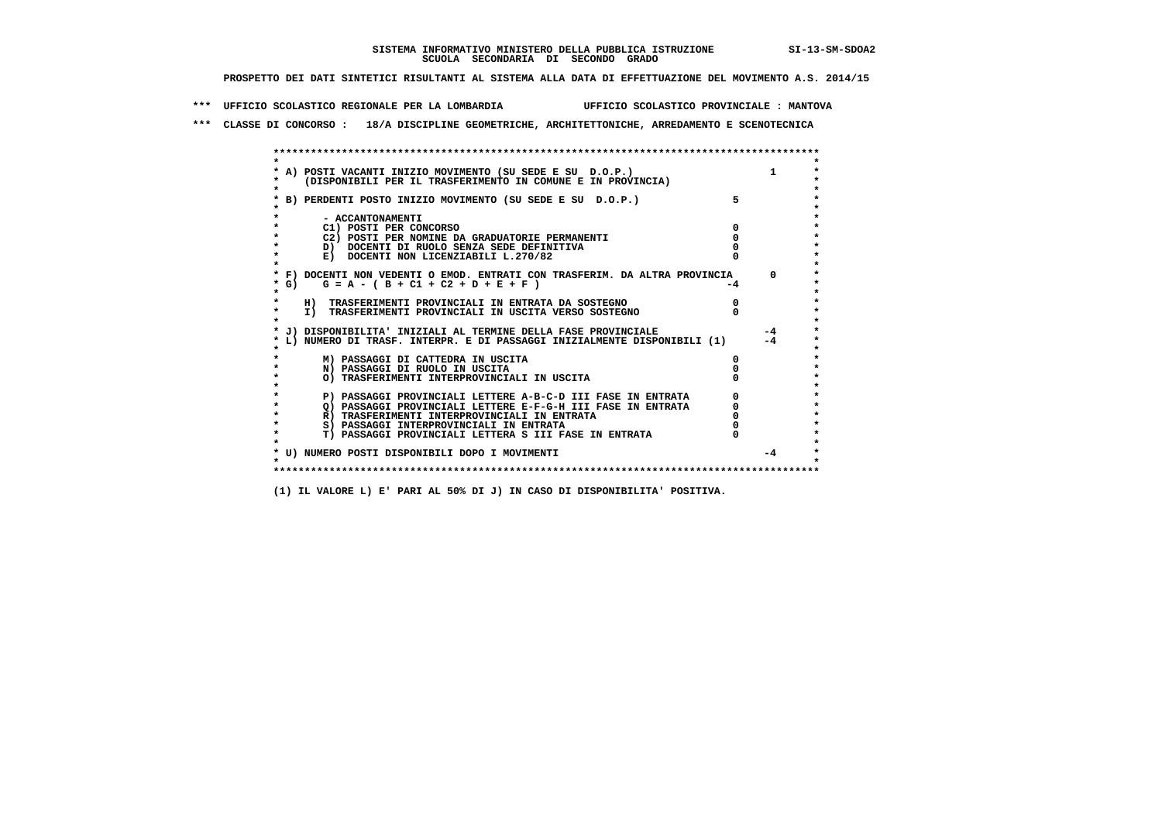**\*\*\* UFFICIO SCOLASTICO REGIONALE PER LA LOMBARDIA UFFICIO SCOLASTICO PROVINCIALE : MANTOVA**

 **\*\*\* CLASSE DI CONCORSO : 18/A DISCIPLINE GEOMETRICHE, ARCHITETTONICHE, ARREDAMENTO E SCENOTECNICA**

|         | A) POSTI VACANTI INIZIO MOVIMENTO (SU SEDE E SU D.O.P.)                                                                    |      |          |
|---------|----------------------------------------------------------------------------------------------------------------------------|------|----------|
|         | (DISPONIBILI PER IL TRASFERIMENTO IN COMUNE E IN PROVINCIA)                                                                |      |          |
|         |                                                                                                                            |      |          |
|         | B) PERDENTI POSTO INIZIO MOVIMENTO (SU SEDE E SU D.O.P.)                                                                   | 5    |          |
|         |                                                                                                                            |      |          |
|         | - ACCANTONAMENTI                                                                                                           |      |          |
|         | C1) POSTI PER CONCORSO                                                                                                     |      |          |
|         | C2) POSTI PER NOMINE DA GRADUATORIE PERMANENTI                                                                             |      |          |
|         | D) DOCENTI DI RUOLO SENZA SEDE DEFINITIVA                                                                                  |      |          |
|         | E) DOCENTI NON LICENZIABILI L.270/82                                                                                       |      |          |
|         |                                                                                                                            |      |          |
|         | * F) DOCENTI NON VEDENTI O EMOD. ENTRATI CON TRASFERIM. DA ALTRA PROVINCIA                                                 |      | $\Omega$ |
| * G) +  | $G = A - (B + C1 + C2 + D + E + F)$                                                                                        | $-4$ |          |
| $\star$ |                                                                                                                            |      |          |
|         | H) TRASFERIMENTI PROVINCIALI IN ENTRATA DA SOSTEGNO                                                                        |      |          |
|         | I) TRASFERIMENTI PROVINCIALI IN USCITA VERSO SOSTEGNO                                                                      |      |          |
|         |                                                                                                                            |      |          |
|         | J) DISPONIBILITA' INIZIALI AL TERMINE DELLA FASE PROVINCIALE                                                               |      | $-4$     |
|         | L) NUMERO DI TRASF. INTERPR. E DI PASSAGGI INIZIALMENTE DISPONIBILI (1)                                                    |      | $-4$     |
|         |                                                                                                                            |      |          |
|         | M) PASSAGGI DI CATTEDRA IN USCITA                                                                                          |      |          |
|         | N) PASSAGGI DI RUOLO IN USCITA                                                                                             |      |          |
|         | O) TRASFERIMENTI INTERPROVINCIALI IN USCITA                                                                                |      |          |
|         |                                                                                                                            |      |          |
|         | P) PASSAGGI PROVINCIALI LETTERE A-B-C-D III FASE IN ENTRATA<br>O) PASSAGGI PROVINCIALI LETTERE E-F-G-H III FASE IN ENTRATA |      |          |
|         | R) TRASFERIMENTI INTERPROVINCIALI IN ENTRATA                                                                               |      |          |
|         | S) PASSAGGI INTERPROVINCIALI IN ENTRATA                                                                                    |      |          |
|         | T) PASSAGGI PROVINCIALI LETTERA S III FASE IN ENTRATA                                                                      |      |          |
|         |                                                                                                                            |      |          |
|         | * U) NUMERO POSTI DISPONIBILI DOPO I MOVIMENTI                                                                             |      | $-4$     |
|         |                                                                                                                            |      |          |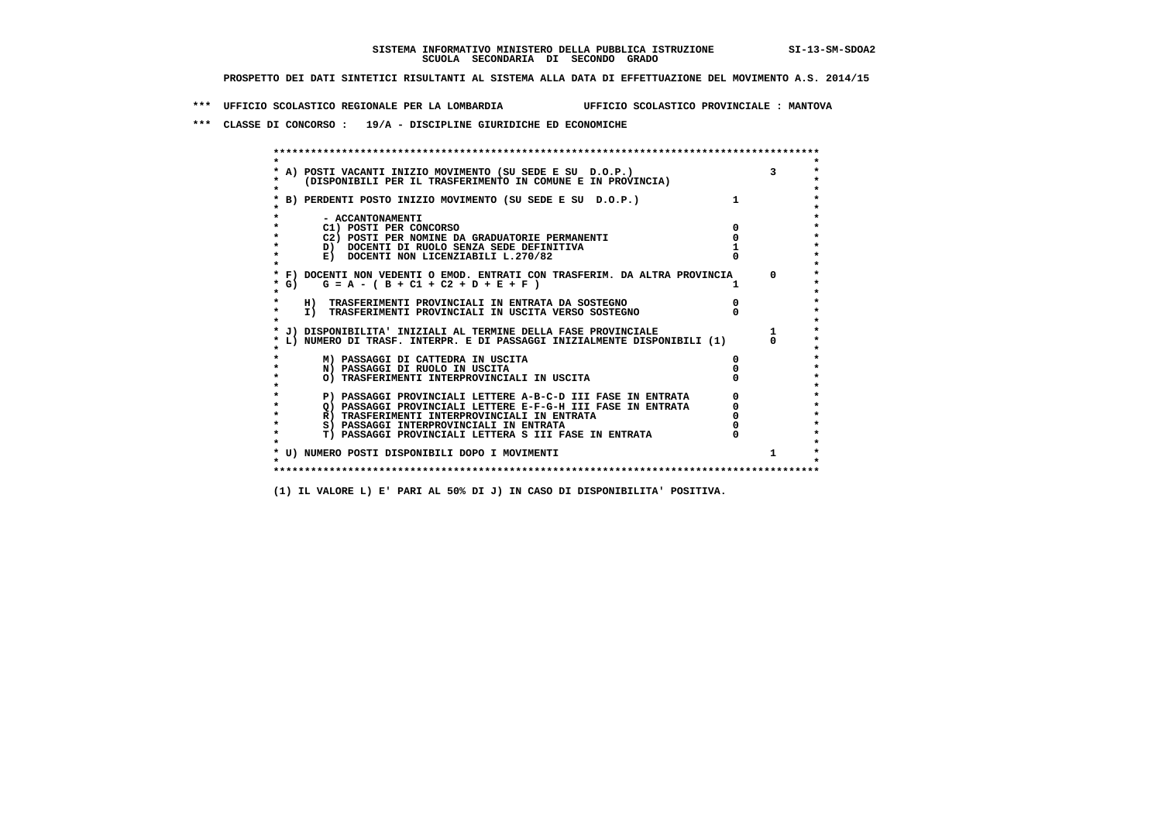**\*\*\* UFFICIO SCOLASTICO REGIONALE PER LA LOMBARDIA UFFICIO SCOLASTICO PROVINCIALE : MANTOVA**

 **\*\*\* CLASSE DI CONCORSO : 19/A - DISCIPLINE GIURIDICHE ED ECONOMICHE**

| A) POSTI VACANTI INIZIO MOVIMENTO (SU SEDE E SU D.O.P.)                    |            |
|----------------------------------------------------------------------------|------------|
| (DISPONIBILI PER IL TRASFERIMENTO IN COMUNE E IN PROVINCIA)                |            |
| B) PERDENTI POSTO INIZIO MOVIMENTO (SU SEDE E SU D.O.P.)                   |            |
|                                                                            |            |
| - ACCANTONAMENTI                                                           |            |
| C1) POSTI PER CONCORSO                                                     |            |
| C2) POSTI PER NOMINE DA GRADUATORIE PERMANENTI                             |            |
| D) DOCENTI DI RUOLO SENZA SEDE DEFINITIVA                                  |            |
| E) DOCENTI NON LICENZIABILI L.270/82                                       |            |
| * F) DOCENTI NON VEDENTI O EMOD. ENTRATI CON TRASFERIM. DA ALTRA PROVINCIA | $^{\circ}$ |
| G) $G = A - (B + C1 + C2 + D + E + F)$                                     |            |
| H) TRASFERIMENTI PROVINCIALI IN ENTRATA DA SOSTEGNO                        |            |
| I) TRASFERIMENTI PROVINCIALI IN USCITA VERSO SOSTEGNO                      |            |
|                                                                            |            |
| J) DISPONIBILITA' INIZIALI AL TERMINE DELLA FASE PROVINCIALE               |            |
| L) NUMERO DI TRASF. INTERPR. E DI PASSAGGI INIZIALMENTE DISPONIBILI (1)    |            |
| M) PASSAGGI DI CATTEDRA IN USCITA                                          |            |
| N) PASSAGGI DI RUOLO IN USCITA                                             |            |
| O) TRASFERIMENTI INTERPROVINCIALI IN USCITA                                |            |
|                                                                            |            |
| P) PASSAGGI PROVINCIALI LETTERE A-B-C-D III FASE IN ENTRATA                |            |
| O) PASSAGGI PROVINCIALI LETTERE E-F-G-H III FASE IN ENTRATA                |            |
| R) TRASFERIMENTI INTERPROVINCIALI IN ENTRATA                               |            |
| S) PASSAGGI INTERPROVINCIALI IN ENTRATA                                    |            |
| T) PASSAGGI PROVINCIALI LETTERA S III FASE IN ENTRATA                      |            |
|                                                                            |            |
| * U) NUMERO POSTI DISPONIBILI DOPO I MOVIMENTI                             |            |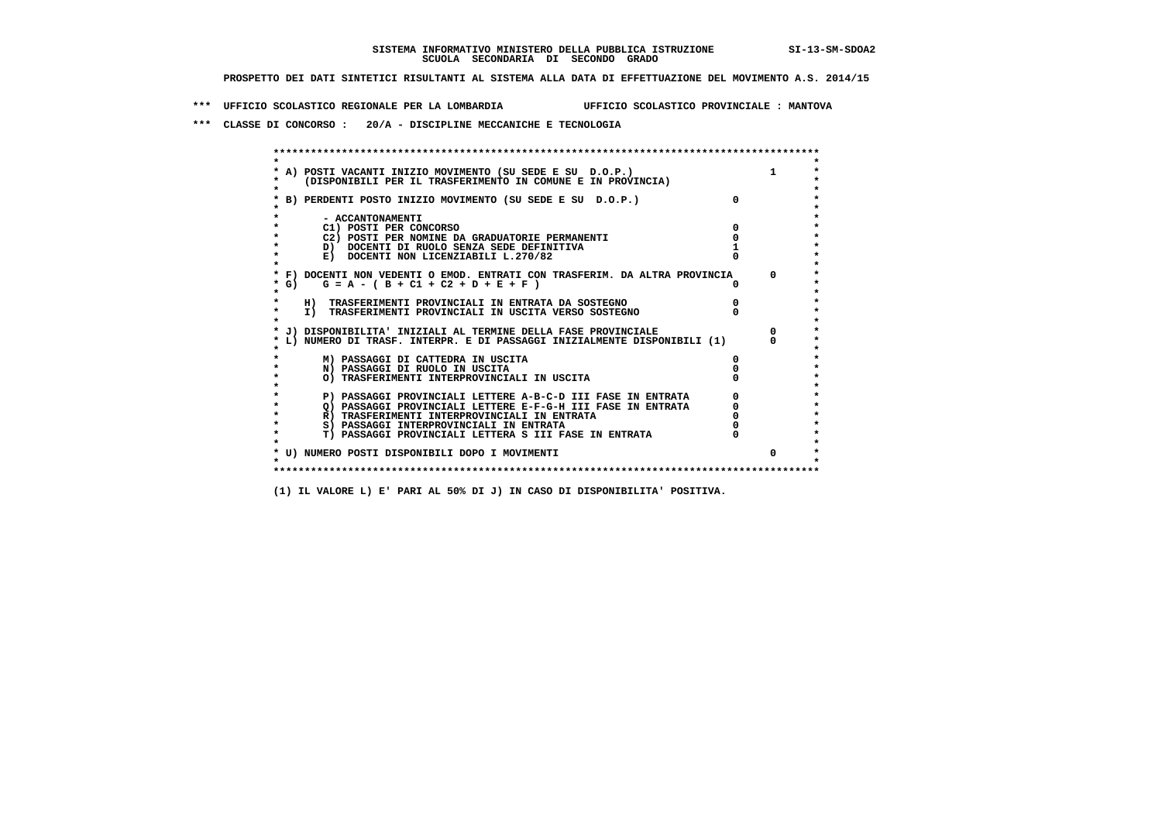**\*\*\* UFFICIO SCOLASTICO REGIONALE PER LA LOMBARDIA UFFICIO SCOLASTICO PROVINCIALE : MANTOVA**

 **\*\*\* CLASSE DI CONCORSO : 20/A - DISCIPLINE MECCANICHE E TECNOLOGIA**

| A) POSTI VACANTI INIZIO MOVIMENTO (SU SEDE E SU D.O.P.)                    |              |
|----------------------------------------------------------------------------|--------------|
| (DISPONIBILI PER IL TRASFERIMENTO IN COMUNE E IN PROVINCIA)                |              |
| B) PERDENTI POSTO INIZIO MOVIMENTO (SU SEDE E SU D.O.P.)                   |              |
| - ACCANTONAMENTI                                                           |              |
| C1) POSTI PER CONCORSO                                                     |              |
| C2) POSTI PER NOMINE DA GRADUATORIE PERMANENTI                             |              |
| D) DOCENTI DI RUOLO SENZA SEDE DEFINITIVA                                  |              |
| E) DOCENTI NON LICENZIABILI L.270/82                                       |              |
| * F) DOCENTI NON VEDENTI O EMOD. ENTRATI CON TRASFERIM. DA ALTRA PROVINCIA | <sup>n</sup> |
| * G) $G = A - (B + C1 + C2 + D + E + F)$                                   |              |
| H) TRASFERIMENTI PROVINCIALI IN ENTRATA DA SOSTEGNO                        |              |
| I) TRASFERIMENTI PROVINCIALI IN USCITA VERSO SOSTEGNO                      |              |
| J) DISPONIBILITA' INIZIALI AL TERMINE DELLA FASE PROVINCIALE               |              |
| L) NUMERO DI TRASF. INTERPR. E DI PASSAGGI INIZIALMENTE DISPONIBILI (1)    |              |
| M) PASSAGGI DI CATTEDRA IN USCITA                                          |              |
| N) PASSAGGI DI RUOLO IN USCITA                                             |              |
| O) TRASFERIMENTI INTERPROVINCIALI IN USCITA                                |              |
| P) PASSAGGI PROVINCIALI LETTERE A-B-C-D III FASE IN ENTRATA                |              |
| O) PASSAGGI PROVINCIALI LETTERE E-F-G-H III FASE IN ENTRATA                |              |
| R) TRASFERIMENTI INTERPROVINCIALI IN ENTRATA                               |              |
| S) PASSAGGI INTERPROVINCIALI IN ENTRATA                                    |              |
| T) PASSAGGI PROVINCIALI LETTERA S III FASE IN ENTRATA                      |              |
| * U) NUMERO POSTI DISPONIBILI DOPO I MOVIMENTI                             | $\Omega$     |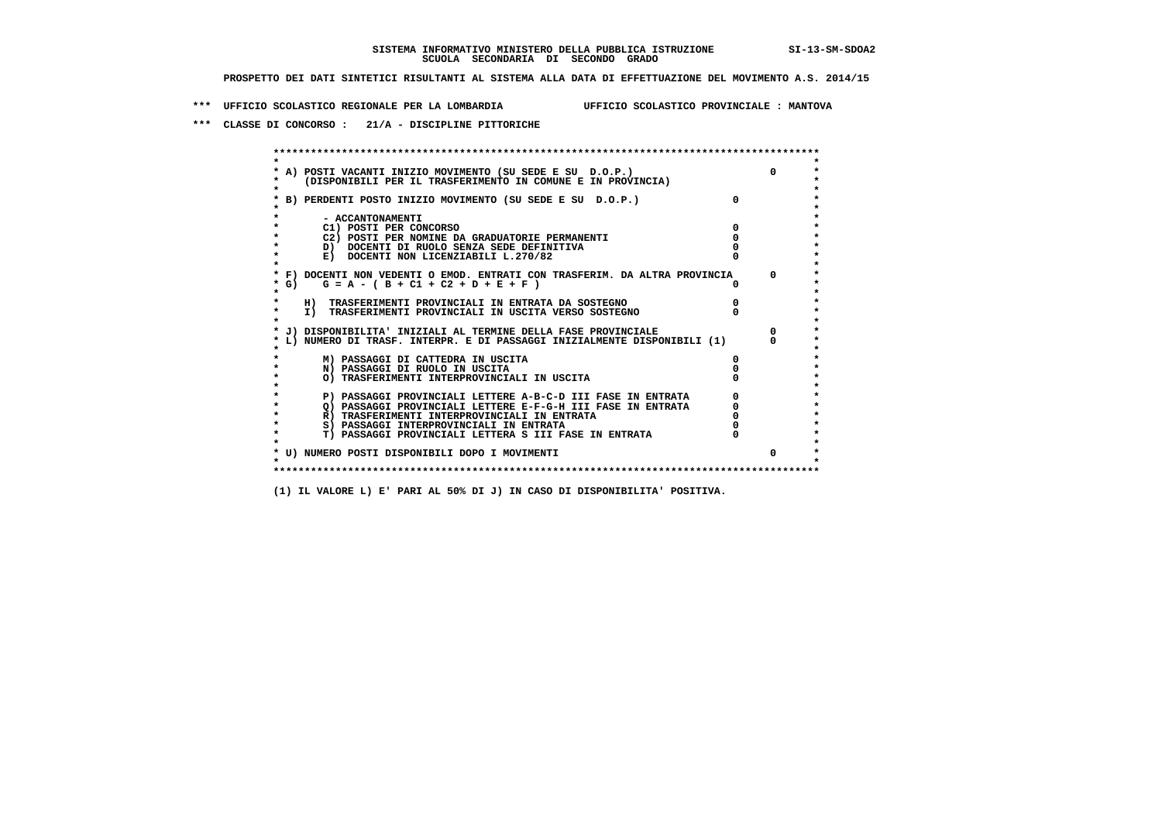**\*\*\* UFFICIO SCOLASTICO REGIONALE PER LA LOMBARDIA UFFICIO SCOLASTICO PROVINCIALE : MANTOVA**

 **\*\*\* CLASSE DI CONCORSO : 21/A - DISCIPLINE PITTORICHE**

| A) POSTI VACANTI INIZIO MOVIMENTO (SU SEDE E SU D.O.P.)<br>(DISPONIBILI PER IL TRASFERIMENTO IN COMUNE E IN PROVINCIA) | $\Omega$     |
|------------------------------------------------------------------------------------------------------------------------|--------------|
| B) PERDENTI POSTO INIZIO MOVIMENTO (SU SEDE E SU D.O.P.)                                                               |              |
| - ACCANTONAMENTI                                                                                                       |              |
| C1) POSTI PER CONCORSO                                                                                                 |              |
| C2) POSTI PER NOMINE DA GRADUATORIE PERMANENTI                                                                         |              |
| D) DOCENTI DI RUOLO SENZA SEDE DEFINITIVA                                                                              |              |
| E) DOCENTI NON LICENZIABILI L.270/82                                                                                   |              |
| * F) DOCENTI NON VEDENTI O EMOD. ENTRATI CON TRASFERIM. DA ALTRA PROVINCIA                                             | $^{\circ}$   |
| * G) $G = A - (B + C1 + C2 + D + E + F)$                                                                               |              |
| H) TRASFERIMENTI PROVINCIALI IN ENTRATA DA SOSTEGNO                                                                    |              |
| I) TRASFERIMENTI PROVINCIALI IN USCITA VERSO SOSTEGNO                                                                  |              |
| J) DISPONIBILITA' INIZIALI AL TERMINE DELLA FASE PROVINCIALE                                                           | $\Omega$     |
| L) NUMERO DI TRASF. INTERPR. E DI PASSAGGI INIZIALMENTE DISPONIBILI (1)                                                |              |
| M) PASSAGGI DI CATTEDRA IN USCITA                                                                                      |              |
| N) PASSAGGI DI RUOLO IN USCITA                                                                                         |              |
| O) TRASFERIMENTI INTERPROVINCIALI IN USCITA                                                                            |              |
| P) PASSAGGI PROVINCIALI LETTERE A-B-C-D III FASE IN ENTRATA                                                            |              |
| O) PASSAGGI PROVINCIALI LETTERE E-F-G-H III FASE IN ENTRATA                                                            |              |
| R) TRASFERIMENTI INTERPROVINCIALI IN ENTRATA                                                                           |              |
| S) PASSAGGI INTERPROVINCIALI IN ENTRATA                                                                                |              |
| T) PASSAGGI PROVINCIALI LETTERA S III FASE IN ENTRATA                                                                  |              |
| * U) NUMERO POSTI DISPONIBILI DOPO I MOVIMENTI                                                                         | <sup>0</sup> |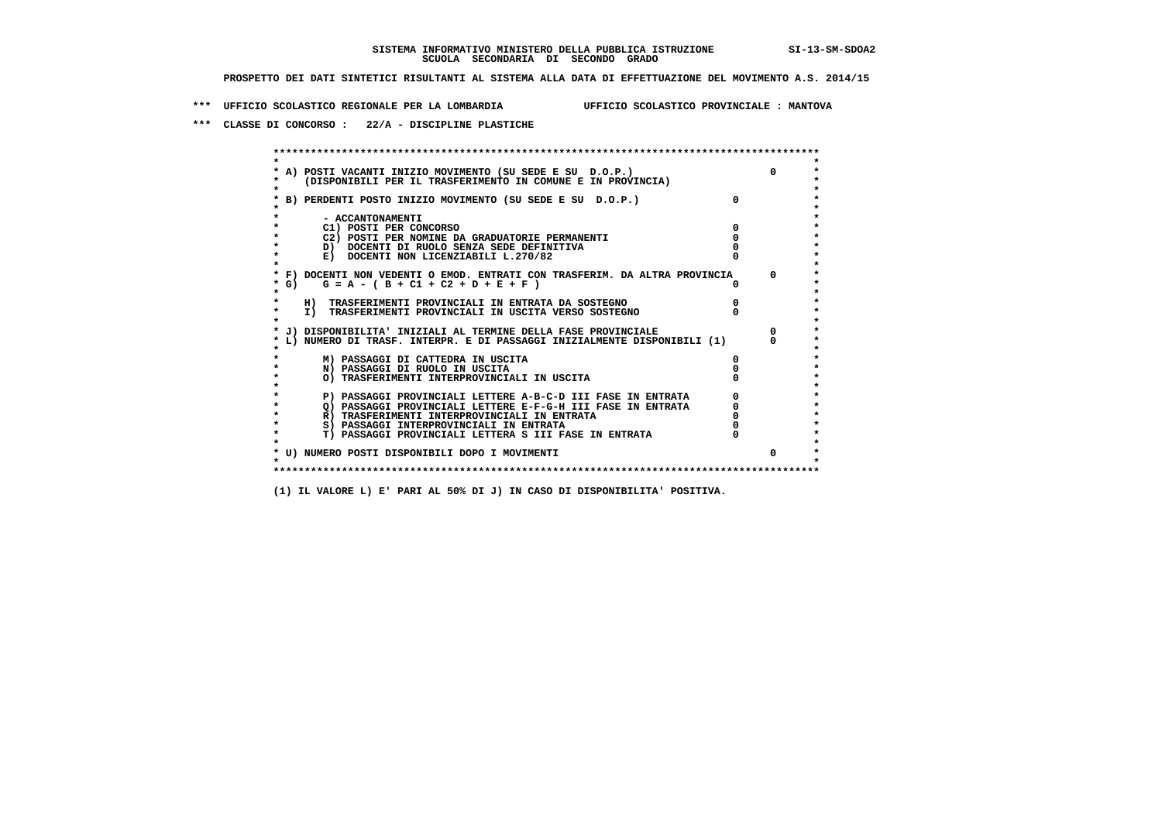**\*\*\* UFFICIO SCOLASTICO REGIONALE PER LA LOMBARDIA UFFICIO SCOLASTICO PROVINCIALE : MANTOVA**

 **\*\*\* CLASSE DI CONCORSO : 22/A - DISCIPLINE PLASTICHE**

 **\*\*\*\*\*\*\*\*\*\*\*\*\*\*\*\*\*\*\*\*\*\*\*\*\*\*\*\*\*\*\*\*\*\*\*\*\*\*\*\*\*\*\*\*\*\*\*\*\*\*\*\*\*\*\*\*\*\*\*\*\*\*\*\*\*\*\*\*\*\*\*\*\*\*\*\*\*\*\*\*\*\*\*\*\*\*\*\* \* \*** $\bullet$  **\* A) POSTI VACANTI INIZIO MOVIMENTO (SU SEDE E SU D.O.P.) 0 \*** $\star$  **\* (DISPONIBILI PER IL TRASFERIMENTO IN COMUNE E IN PROVINCIA) \*** $\bullet$  **\* \* \* B) PERDENTI POSTO INIZIO MOVIMENTO (SU SEDE E SU D.O.P.) 0 \* \* \* \* - ACCANTONAMENTI \* \* C1) POSTI PER CONCORSO 0 \* \* C2) POSTI PER NOMINE DA GRADUATORIE PERMANENTI 0 \*D)** DOCENTI DI RUOLO SENZA SEDE DEFINITIVA  $\overline{a}$  0  $\overline{b}$  0  $\overline{c}$  0  $\overline{c}$  0  $\overline{c}$  0  $\overline{a}$  0  $\overline{c}$ **E) DOCENTI NON LICENZIABILI L.270/82 \* \* \* F) DOCENTI NON VEDENTI O EMOD. ENTRATI CON TRASFERIM. DA ALTRA PROVINCIA 0 \* \* G) G = A - ( B + C1 + C2 + D + E + F ) 0 \* \* \* \* H) TRASFERIMENTI PROVINCIALI IN ENTRATA DA SOSTEGNO 0 \* \* I) TRASFERIMENTI PROVINCIALI IN USCITA VERSO SOSTEGNO 0 \* \* \* \* J) DISPONIBILITA' INIZIALI AL TERMINE DELLA FASE PROVINCIALE 0 \* \* L) NUMERO DI TRASF. INTERPR. E DI PASSAGGI INIZIALMENTE DISPONIBILI (1) 0 \* \* \* \* M) PASSAGGI DI CATTEDRA IN USCITA 0 \* \* N) PASSAGGI DI RUOLO IN USCITA 0 \* \* O) TRASFERIMENTI INTERPROVINCIALI IN USCITA 0 \* \* \* P) PASSAGGI PROVINCIALI LETTERE A-B-C-D III FASE IN ENTRATA** 0 <sup>0</sup> **DASSAGGI PROVINCIALI LETTERE E-F-G-H** III FASE IN ENTRATA 0 <sup>0</sup>  $\star$  **\* Q) PASSAGGI PROVINCIALI LETTERE E-F-G-H III FASE IN ENTRATA 0 \*R)** TRASFERIMENTI INTERPROVINCIALI IN ENTRATA  $\begin{bmatrix} 0 & 0 \\ 0 & 0 \\ 0 & 0 \end{bmatrix}$  PASSAGGI INTERPROVINCIALI IN ENTRATA  $\begin{bmatrix} 0 & 0 \\ 0 & 0 \\ 0 & 0 \end{bmatrix}$  **\* S) PASSAGGI INTERPROVINCIALI IN ENTRATA 0 \*** $\ddot{\phantom{1}}$  **\* T) PASSAGGI PROVINCIALI LETTERA S III FASE IN ENTRATA 0 \*** $\star$  **\* \* \* U) NUMERO POSTI DISPONIBILI DOPO I MOVIMENTI 0 \* \* \* \*\*\*\*\*\*\*\*\*\*\*\*\*\*\*\*\*\*\*\*\*\*\*\*\*\*\*\*\*\*\*\*\*\*\*\*\*\*\*\*\*\*\*\*\*\*\*\*\*\*\*\*\*\*\*\*\*\*\*\*\*\*\*\*\*\*\*\*\*\*\*\*\*\*\*\*\*\*\*\*\*\*\*\*\*\*\*\***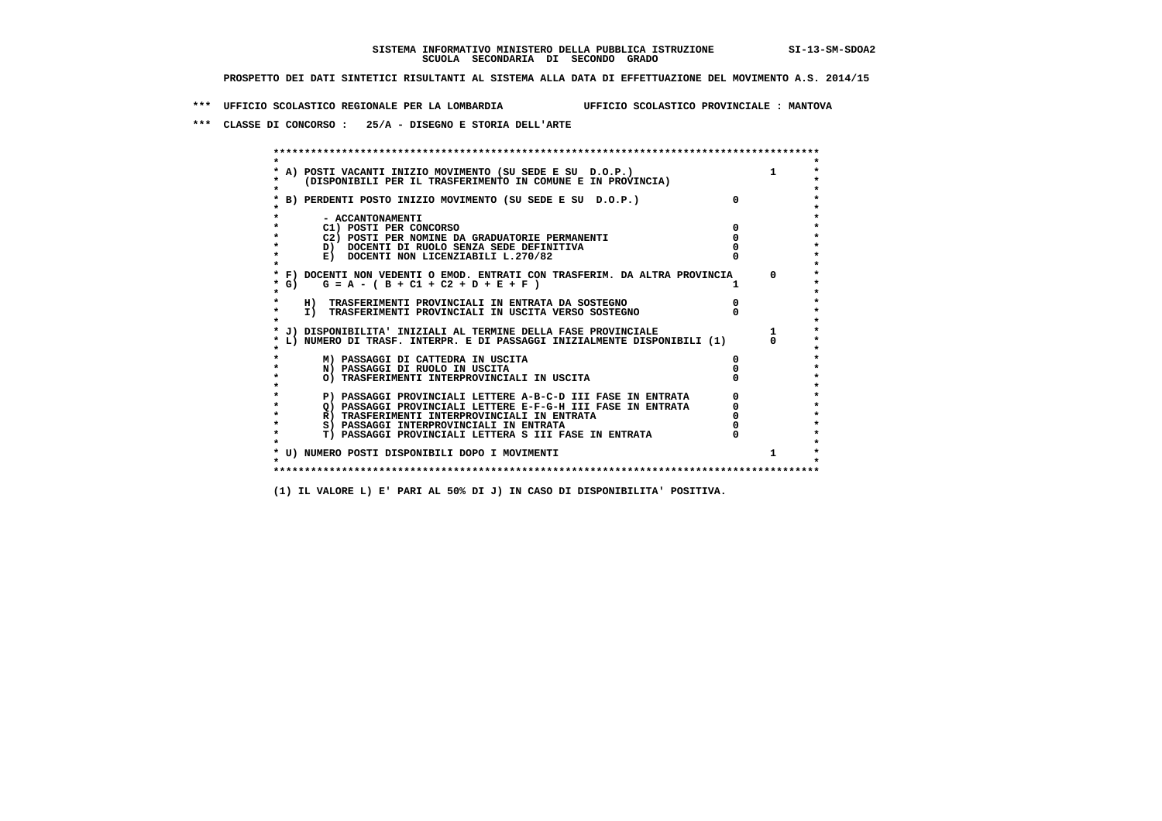**\*\*\* UFFICIO SCOLASTICO REGIONALE PER LA LOMBARDIA UFFICIO SCOLASTICO PROVINCIALE : MANTOVA**

 **\*\*\* CLASSE DI CONCORSO : 25/A - DISEGNO E STORIA DELL'ARTE**

 **\*\*\*\*\*\*\*\*\*\*\*\*\*\*\*\*\*\*\*\*\*\*\*\*\*\*\*\*\*\*\*\*\*\*\*\*\*\*\*\*\*\*\*\*\*\*\*\*\*\*\*\*\*\*\*\*\*\*\*\*\*\*\*\*\*\*\*\*\*\*\*\*\*\*\*\*\*\*\*\*\*\*\*\*\*\*\*\* \* \*** $\bullet$  **\* A) POSTI VACANTI INIZIO MOVIMENTO (SU SEDE E SU D.O.P.) 1 \*** $\star$  **\* (DISPONIBILI PER IL TRASFERIMENTO IN COMUNE E IN PROVINCIA) \*** $\bullet$  **\* \* \* B) PERDENTI POSTO INIZIO MOVIMENTO (SU SEDE E SU D.O.P.) 0 \* \* \* \* - ACCANTONAMENTI \* \* C1) POSTI PER CONCORSO 0 \* \* C2) POSTI PER NOMINE DA GRADUATORIE PERMANENTI 0 \*D)** DOCENTI DI RUOLO SENZA SEDE DEFINITIVA  $\overline{a}$  0  $\overline{b}$  0  $\overline{c}$  0  $\overline{c}$  0  $\overline{c}$  0  $\overline{a}$  0  $\overline{c}$ **E) DOCENTI NON LICENZIABILI L.270/82 \* \* \* F) DOCENTI NON VEDENTI O EMOD. ENTRATI CON TRASFERIM. DA ALTRA PROVINCIA 0 \***  $\star$  **G)** G = A - ( B + C1 + C2 + D + E + F )  **\* \* \* H) TRASFERIMENTI PROVINCIALI IN ENTRATA DA SOSTEGNO 0 \* \* I) TRASFERIMENTI PROVINCIALI IN USCITA VERSO SOSTEGNO 0 \* \* \* \* J) DISPONIBILITA' INIZIALI AL TERMINE DELLA FASE PROVINCIALE 1 \* \* L) NUMERO DI TRASF. INTERPR. E DI PASSAGGI INIZIALMENTE DISPONIBILI (1) 0 \* \* \* \* M) PASSAGGI DI CATTEDRA IN USCITA 0 \* \* N) PASSAGGI DI RUOLO IN USCITA 0 \* \* O) TRASFERIMENTI INTERPROVINCIALI IN USCITA 0 \* \* \* P) PASSAGGI PROVINCIALI LETTERE A-B-C-D III FASE IN ENTRATA** 0 <sup>0</sup> **DASSAGGI PROVINCIALI LETTERE E-F-G-H** III FASE IN ENTRATA 0 <sup>0</sup>  **\* Q) PASSAGGI PROVINCIALI LETTERE E-F-G-H III FASE IN ENTRATA 0 \*R)** TRASFERIMENTI INTERPROVINCIALI IN ENTRATA  $\begin{bmatrix} 0 & 0 \\ 0 & 0 \\ 0 & 0 \end{bmatrix}$  PASSAGGI INTERPROVINCIALI IN ENTRATA  $\begin{bmatrix} 0 & 0 \\ 0 & 0 \\ 0 & 0 \end{bmatrix}$  **\* S) PASSAGGI INTERPROVINCIALI IN ENTRATA 0 \*** $\ddot{\phantom{1}}$  **\* T) PASSAGGI PROVINCIALI LETTERA S III FASE IN ENTRATA 0 \*** $\star$  **\* \* \* U) NUMERO POSTI DISPONIBILI DOPO I MOVIMENTI 1 \* \* \* \*\*\*\*\*\*\*\*\*\*\*\*\*\*\*\*\*\*\*\*\*\*\*\*\*\*\*\*\*\*\*\*\*\*\*\*\*\*\*\*\*\*\*\*\*\*\*\*\*\*\*\*\*\*\*\*\*\*\*\*\*\*\*\*\*\*\*\*\*\*\*\*\*\*\*\*\*\*\*\*\*\*\*\*\*\*\*\***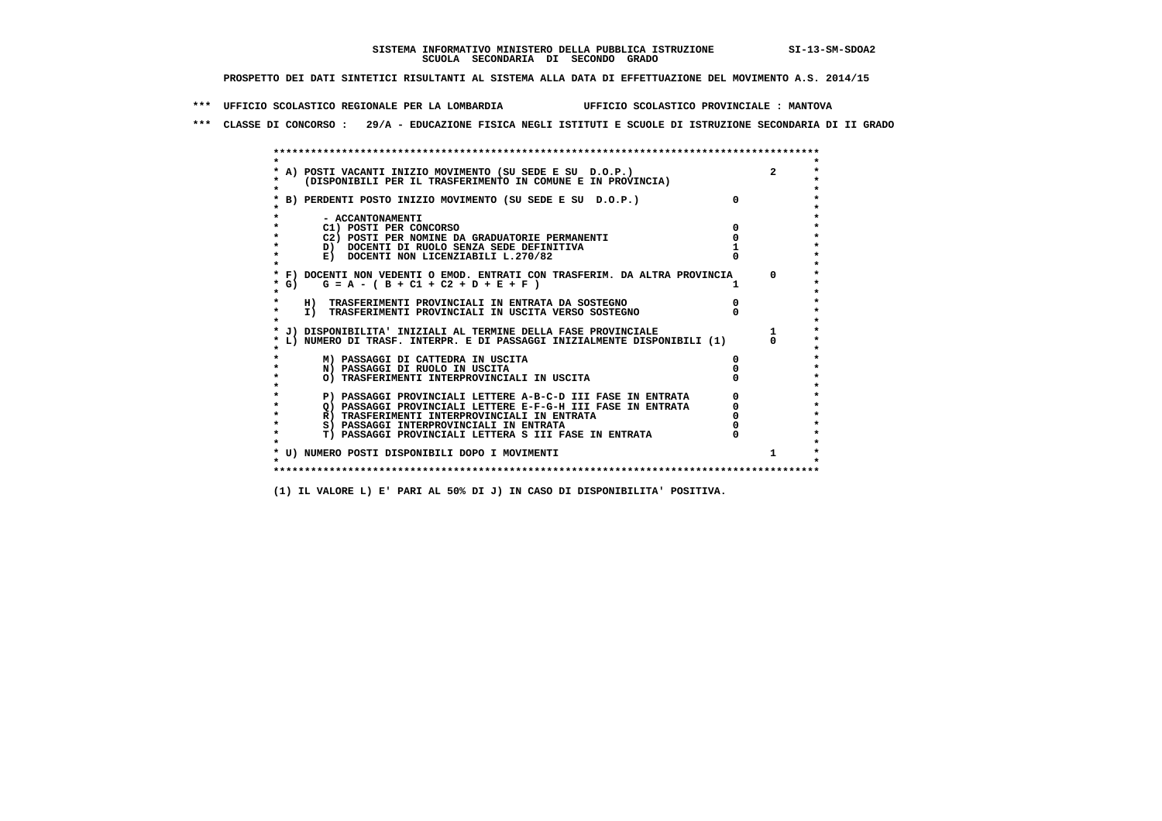**\*\*\* UFFICIO SCOLASTICO REGIONALE PER LA LOMBARDIA UFFICIO SCOLASTICO PROVINCIALE : MANTOVA**

 **\*\*\* CLASSE DI CONCORSO : 29/A - EDUCAZIONE FISICA NEGLI ISTITUTI E SCUOLE DI ISTRUZIONE SECONDARIA DI II GRADO**

|         | A) POSTI VACANTI INIZIO MOVIMENTO (SU SEDE E SU D.O.P.)                    |          |          |
|---------|----------------------------------------------------------------------------|----------|----------|
|         | (DISPONIBILI PER IL TRASFERIMENTO IN COMUNE E IN PROVINCIA)                |          |          |
|         |                                                                            |          |          |
|         | B) PERDENTI POSTO INIZIO MOVIMENTO (SU SEDE E SU D.O.P.)                   | $\Omega$ |          |
|         |                                                                            |          |          |
|         | - ACCANTONAMENTI                                                           |          |          |
|         | C1) POSTI PER CONCORSO                                                     |          |          |
|         | C2) POSTI PER NOMINE DA GRADUATORIE PERMANENTI                             |          |          |
|         | D) DOCENTI DI RUOLO SENZA SEDE DEFINITIVA                                  |          |          |
|         | E) DOCENTI NON LICENZIABILI L.270/82                                       |          |          |
|         | * F) DOCENTI NON VEDENTI O EMOD. ENTRATI CON TRASFERIM. DA ALTRA PROVINCIA |          |          |
| * G) +  | $G = A - (B + C1 + C2 + D + E + F)$                                        |          | $\Omega$ |
|         |                                                                            |          |          |
|         | H) TRASFERIMENTI PROVINCIALI IN ENTRATA DA SOSTEGNO                        |          |          |
| $\star$ | I) TRASFERIMENTI PROVINCIALI IN USCITA VERSO SOSTEGNO                      |          |          |
|         |                                                                            |          |          |
|         | J) DISPONIBILITA' INIZIALI AL TERMINE DELLA FASE PROVINCIALE               |          |          |
|         | L) NUMERO DI TRASF. INTERPR. E DI PASSAGGI INIZIALMENTE DISPONIBILI (1)    |          |          |
|         |                                                                            |          |          |
|         | M) PASSAGGI DI CATTEDRA IN USCITA                                          |          |          |
|         | N) PASSAGGI DI RUOLO IN USCITA                                             |          |          |
|         | O) TRASFERIMENTI INTERPROVINCIALI IN USCITA                                |          |          |
|         |                                                                            |          |          |
|         | P) PASSAGGI PROVINCIALI LETTERE A-B-C-D III FASE IN ENTRATA                |          |          |
|         | O) PASSAGGI PROVINCIALI LETTERE E-F-G-H III FASE IN ENTRATA                |          |          |
|         | R) TRASFERIMENTI INTERPROVINCIALI IN ENTRATA                               |          |          |
|         | S) PASSAGGI INTERPROVINCIALI IN ENTRATA                                    |          |          |
|         | T) PASSAGGI PROVINCIALI LETTERA S III FASE IN ENTRATA                      |          |          |
|         |                                                                            |          |          |
|         | * U) NUMERO POSTI DISPONIBILI DOPO I MOVIMENTI                             |          | 1        |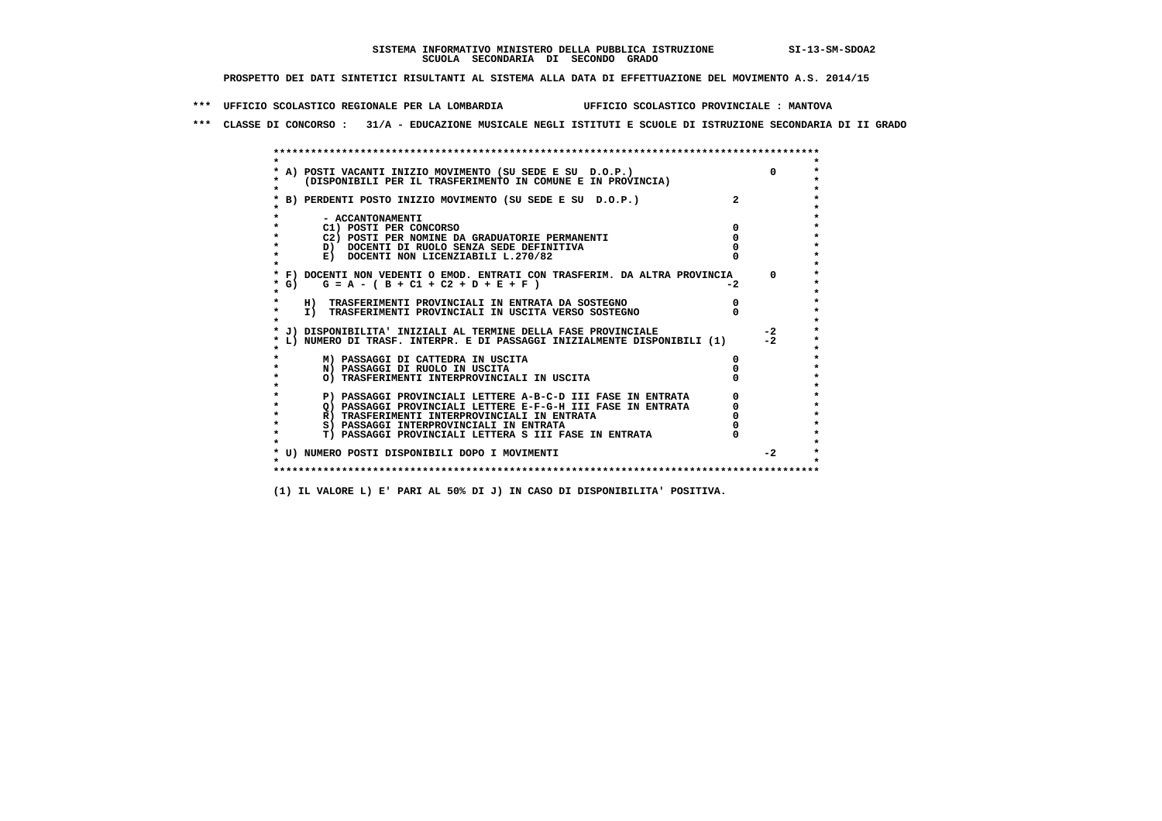**\*\*\* UFFICIO SCOLASTICO REGIONALE PER LA LOMBARDIA UFFICIO SCOLASTICO PROVINCIALE : MANTOVA**

 **\*\*\* CLASSE DI CONCORSO : 31/A - EDUCAZIONE MUSICALE NEGLI ISTITUTI E SCUOLE DI ISTRUZIONE SECONDARIA DI II GRADO**

|            | A) POSTI VACANTI INIZIO MOVIMENTO (SU SEDE E SU D.O.P.)                    |      | $\Omega$ |
|------------|----------------------------------------------------------------------------|------|----------|
|            | (DISPONIBILI PER IL TRASFERIMENTO IN COMUNE E IN PROVINCIA)                |      |          |
|            |                                                                            |      |          |
|            | B) PERDENTI POSTO INIZIO MOVIMENTO (SU SEDE E SU D.O.P.)                   |      |          |
|            |                                                                            |      |          |
|            | - ACCANTONAMENTI                                                           |      |          |
|            | C1) POSTI PER CONCORSO                                                     |      |          |
|            | C2) POSTI PER NOMINE DA GRADUATORIE PERMANENTI                             |      |          |
|            | D) DOCENTI DI RUOLO SENZA SEDE DEFINITIVA                                  |      |          |
|            | E) DOCENTI NON LICENZIABILI L.270/82                                       |      |          |
|            | * F) DOCENTI NON VEDENTI O EMOD. ENTRATI CON TRASFERIM. DA ALTRA PROVINCIA |      | $\Omega$ |
| $\star$ G) | $G = A - (B + C1 + C2 + D + E + F)$                                        | $-2$ |          |
|            |                                                                            |      |          |
|            | H) TRASFERIMENTI PROVINCIALI IN ENTRATA DA SOSTEGNO                        |      |          |
| $\star$    | I) TRASFERIMENTI PROVINCIALI IN USCITA VERSO SOSTEGNO                      |      |          |
|            |                                                                            |      |          |
|            | J) DISPONIBILITA' INIZIALI AL TERMINE DELLA FASE PROVINCIALE               |      | $-2$     |
|            | L) NUMERO DI TRASF. INTERPR. E DI PASSAGGI INIZIALMENTE DISPONIBILI (1)    |      | $-2$     |
|            |                                                                            |      |          |
|            | M) PASSAGGI DI CATTEDRA IN USCITA                                          |      |          |
|            | N) PASSAGGI DI RUOLO IN USCITA                                             |      |          |
|            | O) TRASFERIMENTI INTERPROVINCIALI IN USCITA                                |      |          |
|            |                                                                            |      |          |
|            | P) PASSAGGI PROVINCIALI LETTERE A-B-C-D III FASE IN ENTRATA                |      |          |
|            | O) PASSAGGI PROVINCIALI LETTERE E-F-G-H III FASE IN ENTRATA                |      |          |
|            | R) TRASFERIMENTI INTERPROVINCIALI IN ENTRATA                               |      |          |
|            | S) PASSAGGI INTERPROVINCIALI IN ENTRATA                                    |      |          |
|            | T) PASSAGGI PROVINCIALI LETTERA S III FASE IN ENTRATA                      |      |          |
|            |                                                                            |      | $-2$     |
|            | * U) NUMERO POSTI DISPONIBILI DOPO I MOVIMENTI                             |      |          |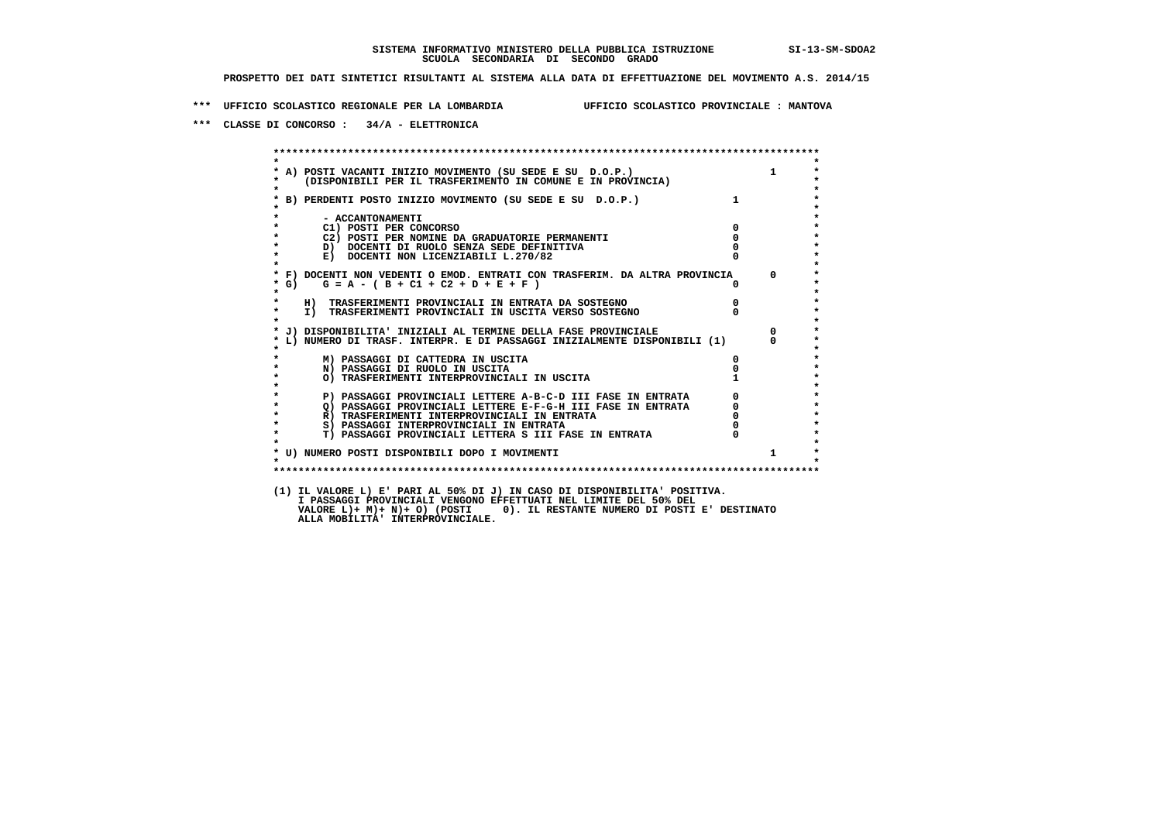**\*\*\* UFFICIO SCOLASTICO REGIONALE PER LA LOMBARDIA UFFICIO SCOLASTICO PROVINCIALE : MANTOVA**

 **\*\*\* CLASSE DI CONCORSO : 34/A - ELETTRONICA**

 **\*\*\*\*\*\*\*\*\*\*\*\*\*\*\*\*\*\*\*\*\*\*\*\*\*\*\*\*\*\*\*\*\*\*\*\*\*\*\*\*\*\*\*\*\*\*\*\*\*\*\*\*\*\*\*\*\*\*\*\*\*\*\*\*\*\*\*\*\*\*\*\*\*\*\*\*\*\*\*\*\*\*\*\*\*\*\*\* \* \*** $\bullet$  **\* A) POSTI VACANTI INIZIO MOVIMENTO (SU SEDE E SU D.O.P.) 1 \* \* (DISPONIBILI PER IL TRASFERIMENTO IN COMUNE E IN PROVINCIA) \* \* \* \* B) PERDENTI POSTO INIZIO MOVIMENTO (SU SEDE E SU D.O.P.) 1 \* \* \* \* - ACCANTONAMENTI \* \* C1) POSTI PER CONCORSO 0 \* \* C2) POSTI PER NOMINE DA GRADUATORIE PERMANENTI 0 \*b b** docenti di RUOLO SENZA SEDE DEFINITIVA  $\overline{D}$  **b**  $\overline{D}$  0  $\overline{D}$  0  $\overline{D}$  0  $\overline{D}$  0  $\overline{D}$  0  $\overline{D}$  0  $\overline{D}$  0  $\overline{D}$  0  $\overline{D}$  0  $\overline{D}$  0  $\overline{D}$  0  $\overline{D}$  0  $\overline{D}$  0  $\overline{D}$  0  $\overline{D}$ **E) DOCENTI NON LICENZIABILI L.270/82 \* \* \* F) DOCENTI NON VEDENTI O EMOD. ENTRATI CON TRASFERIM. DA ALTRA PROVINCIA 0 \* \* G) G = A - ( B + C1 + C2 + D + E + F ) 0 \* \* \* \* H) TRASFERIMENTI PROVINCIALI IN ENTRATA DA SOSTEGNO 0 \* \* I) TRASFERIMENTI PROVINCIALI IN USCITA VERSO SOSTEGNO 0 \* \* \* \* J) DISPONIBILITA' INIZIALI AL TERMINE DELLA FASE PROVINCIALE 0 \* \* L) NUMERO DI TRASF. INTERPR. E DI PASSAGGI INIZIALMENTE DISPONIBILI (1) 0 \* \* \* \* M) PASSAGGI DI CATTEDRA IN USCITA 0 \* \* N) PASSAGGI DI RUOLO IN USCITA 0 \*O) TRASFERIMENTI INTERPROVINCIALI IN USCITA \* \* P) PASSAGGI PROVINCIALI LETTERE A-B-C-D III FASE IN ENTRATA** 0 <sup>0</sup> **DASSAGGI PROVINCIALI LETTERE E-F-G-H** III FASE IN ENTRATA 0 <sup>0</sup> **2) PASSAGGI PROVINCIALI LETTERE E-F-G-H III FASE IN ENTRATA 6 0 R**) TRASFERIMENTI INTERPROVINCIALI IN ENTRATA 6 **0 R)** TRASFERIMENTI INTERPROVINCIALI IN ENTRATA  $\begin{bmatrix} 0 & 0 \\ 0 & 0 \\ 0 & 0 \end{bmatrix}$  PASSAGGI INTERPROVINCIALI IN ENTRATA  $\begin{bmatrix} 0 & 0 \\ 0 & 0 \\ 0 & 0 \end{bmatrix}$  **\* S) PASSAGGI INTERPROVINCIALI IN ENTRATA 0 \*** $\ddot{\phantom{1}}$  **\* T) PASSAGGI PROVINCIALI LETTERA S III FASE IN ENTRATA 0 \*** $\star$  **\* \*** $\star$  **\* U) NUMERO POSTI DISPONIBILI DOPO I MOVIMENTI 1 \* \* \* \*\*\*\*\*\*\*\*\*\*\*\*\*\*\*\*\*\*\*\*\*\*\*\*\*\*\*\*\*\*\*\*\*\*\*\*\*\*\*\*\*\*\*\*\*\*\*\*\*\*\*\*\*\*\*\*\*\*\*\*\*\*\*\*\*\*\*\*\*\*\*\*\*\*\*\*\*\*\*\*\*\*\*\*\*\*\*\* (1) IL VALORE L) E' PARI AL 50% DI J) IN CASO DI DISPONIBILITA' POSITIVA. I PASSAGGI PROVINCIALI VENGONO EFFETTUATI NEL LIMITE DEL 50% DEL VALORE L)+ M)+ N)+ O) (POSTI 0). IL RESTANTE NUMERO DI POSTI E' DESTINATO ALLA MOBILITA' INTERPROVINCIALE.**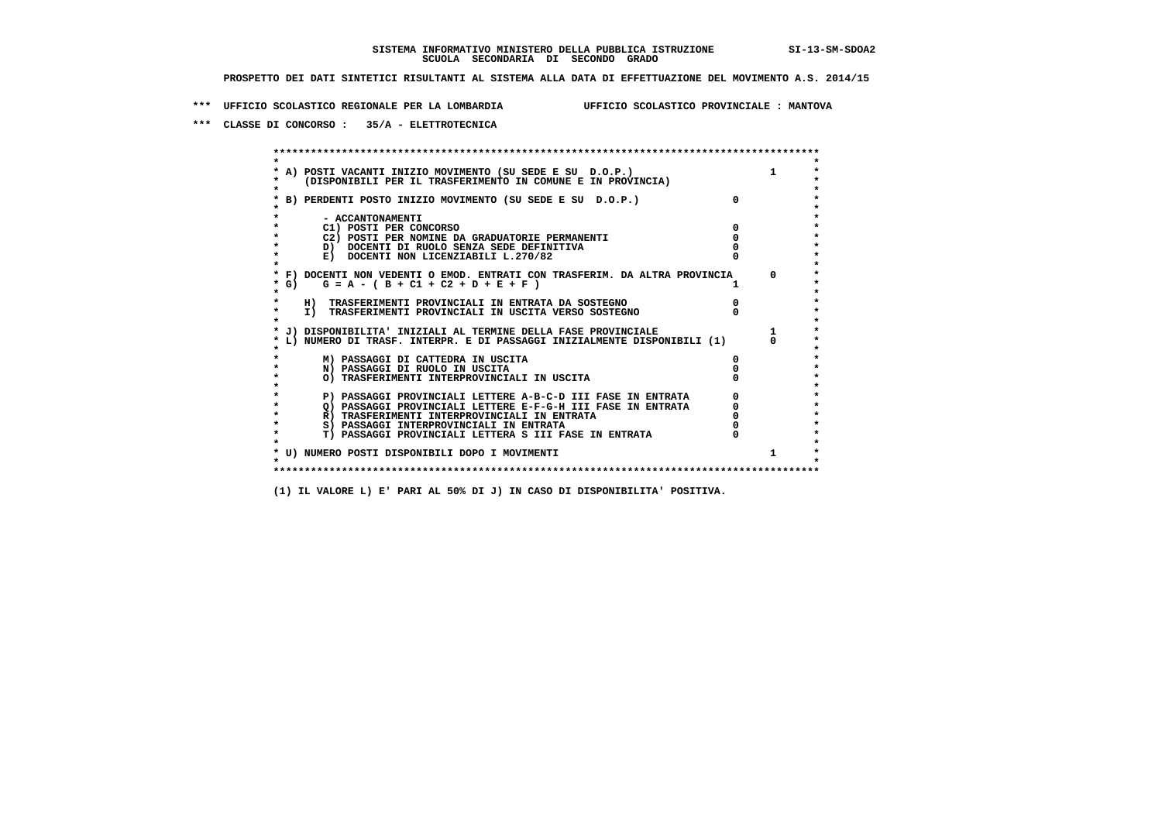**\*\*\* UFFICIO SCOLASTICO REGIONALE PER LA LOMBARDIA UFFICIO SCOLASTICO PROVINCIALE : MANTOVA**

 **\*\*\* CLASSE DI CONCORSO : 35/A - ELETTROTECNICA**

 **\*\*\*\*\*\*\*\*\*\*\*\*\*\*\*\*\*\*\*\*\*\*\*\*\*\*\*\*\*\*\*\*\*\*\*\*\*\*\*\*\*\*\*\*\*\*\*\*\*\*\*\*\*\*\*\*\*\*\*\*\*\*\*\*\*\*\*\*\*\*\*\*\*\*\*\*\*\*\*\*\*\*\*\*\*\*\*\* \* \*** $\bullet$  **\* A) POSTI VACANTI INIZIO MOVIMENTO (SU SEDE E SU D.O.P.) 1 \*** $\star$  **\* (DISPONIBILI PER IL TRASFERIMENTO IN COMUNE E IN PROVINCIA) \*** $\bullet$  **\* \* \* B) PERDENTI POSTO INIZIO MOVIMENTO (SU SEDE E SU D.O.P.) 0 \* \* \* \* - ACCANTONAMENTI \* \* C1) POSTI PER CONCORSO 0 \* \* C2) POSTI PER NOMINE DA GRADUATORIE PERMANENTI 0 \*D)** DOCENTI DI RUOLO SENZA SEDE DEFINITIVA  $\overline{a}$  0  $\overline{b}$  0  $\overline{c}$  0  $\overline{c}$  0  $\overline{c}$  0  $\overline{a}$  0  $\overline{c}$ **E) DOCENTI NON LICENZIABILI L.270/82 \* \* \* F) DOCENTI NON VEDENTI O EMOD. ENTRATI CON TRASFERIM. DA ALTRA PROVINCIA 0 \***  $\star$  **G)** G = A - ( B + C1 + C2 + D + E + F )  **\* \* \* H) TRASFERIMENTI PROVINCIALI IN ENTRATA DA SOSTEGNO 0 \* \* I) TRASFERIMENTI PROVINCIALI IN USCITA VERSO SOSTEGNO 0 \* \* \* \* J) DISPONIBILITA' INIZIALI AL TERMINE DELLA FASE PROVINCIALE 1 \* \* L) NUMERO DI TRASF. INTERPR. E DI PASSAGGI INIZIALMENTE DISPONIBILI (1) 0 \* \* \* \* M) PASSAGGI DI CATTEDRA IN USCITA 0 \* \* N) PASSAGGI DI RUOLO IN USCITA 0 \* \* O) TRASFERIMENTI INTERPROVINCIALI IN USCITA 0 \* \* \* P) PASSAGGI PROVINCIALI LETTERE A-B-C-D III FASE IN ENTRATA** 0 <sup>0</sup> **DASSAGGI PROVINCIALI LETTERE E-F-G-H** III FASE IN ENTRATA 0 <sup>0</sup>  **\* Q) PASSAGGI PROVINCIALI LETTERE E-F-G-H III FASE IN ENTRATA 0 \*R)** TRASFERIMENTI INTERPROVINCIALI IN ENTRATA  $\begin{bmatrix} 0 & 0 \\ 0 & 0 \\ 0 & 0 \end{bmatrix}$  PASSAGGI INTERPROVINCIALI IN ENTRATA  $\begin{bmatrix} 0 & 0 \\ 0 & 0 \\ 0 & 0 \end{bmatrix}$  **\* S) PASSAGGI INTERPROVINCIALI IN ENTRATA 0 \*** $\ddot{\phantom{1}}$  **\* T) PASSAGGI PROVINCIALI LETTERA S III FASE IN ENTRATA 0 \*** $\star$  **\* \* \* U) NUMERO POSTI DISPONIBILI DOPO I MOVIMENTI 1 \* \* \* \*\*\*\*\*\*\*\*\*\*\*\*\*\*\*\*\*\*\*\*\*\*\*\*\*\*\*\*\*\*\*\*\*\*\*\*\*\*\*\*\*\*\*\*\*\*\*\*\*\*\*\*\*\*\*\*\*\*\*\*\*\*\*\*\*\*\*\*\*\*\*\*\*\*\*\*\*\*\*\*\*\*\*\*\*\*\*\***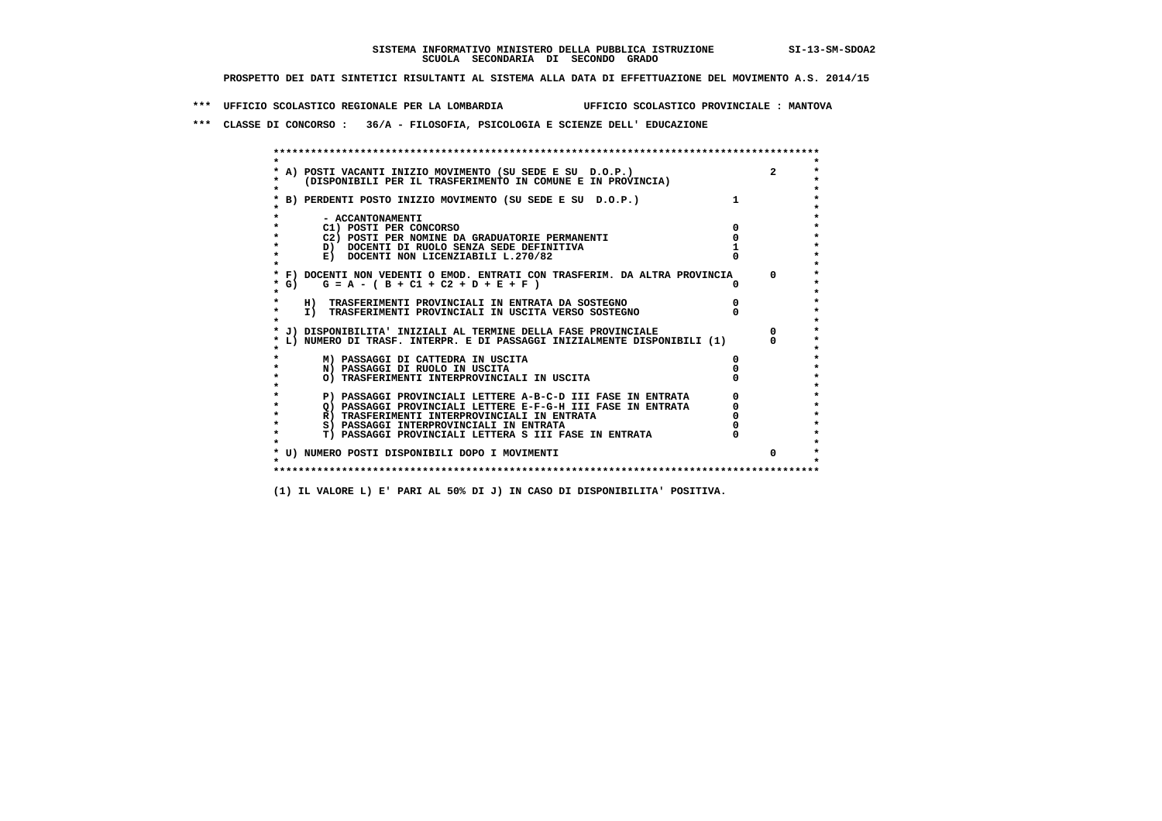**\*\*\* UFFICIO SCOLASTICO REGIONALE PER LA LOMBARDIA UFFICIO SCOLASTICO PROVINCIALE : MANTOVA**

 **\*\*\* CLASSE DI CONCORSO : 36/A - FILOSOFIA, PSICOLOGIA E SCIENZE DELL' EDUCAZIONE**

 **\*\*\*\*\*\*\*\*\*\*\*\*\*\*\*\*\*\*\*\*\*\*\*\*\*\*\*\*\*\*\*\*\*\*\*\*\*\*\*\*\*\*\*\*\*\*\*\*\*\*\*\*\*\*\*\*\*\*\*\*\*\*\*\*\*\*\*\*\*\*\*\*\*\*\*\*\*\*\*\*\*\*\*\*\*\*\*\* \* \*** $\bullet$  **\* A) POSTI VACANTI INIZIO MOVIMENTO (SU SEDE E SU D.O.P.) 2 \*** $\star$  **\* (DISPONIBILI PER IL TRASFERIMENTO IN COMUNE E IN PROVINCIA) \*** $\bullet$  **\* \* \* B) PERDENTI POSTO INIZIO MOVIMENTO (SU SEDE E SU D.O.P.) 1 \* \* \* \* - ACCANTONAMENTI \* \* C1) POSTI PER CONCORSO 0 \* \* C2) POSTI PER NOMINE DA GRADUATORIE PERMANENTI 0 \*D)** DOCENTI DI RUOLO SENZA SEDE DEFINITIVA 1<br> **E)** DOCENTI NON LICENZIABILI L. 270/82 0 **E) DOCENTI NON LICENZIABILI L.270/82 \* \* \* F) DOCENTI NON VEDENTI O EMOD. ENTRATI CON TRASFERIM. DA ALTRA PROVINCIA 0 \* \* G) G = A - ( B + C1 + C2 + D + E + F ) 0 \* \* \* \* H) TRASFERIMENTI PROVINCIALI IN ENTRATA DA SOSTEGNO 0 \* \* I) TRASFERIMENTI PROVINCIALI IN USCITA VERSO SOSTEGNO 0 \* \* \* \* J) DISPONIBILITA' INIZIALI AL TERMINE DELLA FASE PROVINCIALE 0 \* \* L) NUMERO DI TRASF. INTERPR. E DI PASSAGGI INIZIALMENTE DISPONIBILI (1) 0 \* \* \* \* M) PASSAGGI DI CATTEDRA IN USCITA 0 \* \* N) PASSAGGI DI RUOLO IN USCITA 0 \* \* O) TRASFERIMENTI INTERPROVINCIALI IN USCITA 0 \* \* \* P) PASSAGGI PROVINCIALI LETTERE A-B-C-D III FASE IN ENTRATA** 0 <sup>0</sup> **DASSAGGI PROVINCIALI LETTERE E-F-G-H** III FASE IN ENTRATA 0 <sup>0</sup>  $\star$  **\* Q) PASSAGGI PROVINCIALI LETTERE E-F-G-H III FASE IN ENTRATA 0 \*R)** TRASFERIMENTI INTERPROVINCIALI IN ENTRATA  $\begin{bmatrix} 0 & 0 \\ 0 & 0 \\ 0 & 0 \end{bmatrix}$  PASSAGGI INTERPROVINCIALI IN ENTRATA  $\begin{bmatrix} 0 & 0 \\ 0 & 0 \\ 0 & 0 \end{bmatrix}$  **\* S) PASSAGGI INTERPROVINCIALI IN ENTRATA 0 \*** $\ddot{\phantom{1}}$  **\* T) PASSAGGI PROVINCIALI LETTERA S III FASE IN ENTRATA 0 \*** $\star$  **\* \* \* U) NUMERO POSTI DISPONIBILI DOPO I MOVIMENTI 0 \* \* \* \*\*\*\*\*\*\*\*\*\*\*\*\*\*\*\*\*\*\*\*\*\*\*\*\*\*\*\*\*\*\*\*\*\*\*\*\*\*\*\*\*\*\*\*\*\*\*\*\*\*\*\*\*\*\*\*\*\*\*\*\*\*\*\*\*\*\*\*\*\*\*\*\*\*\*\*\*\*\*\*\*\*\*\*\*\*\*\***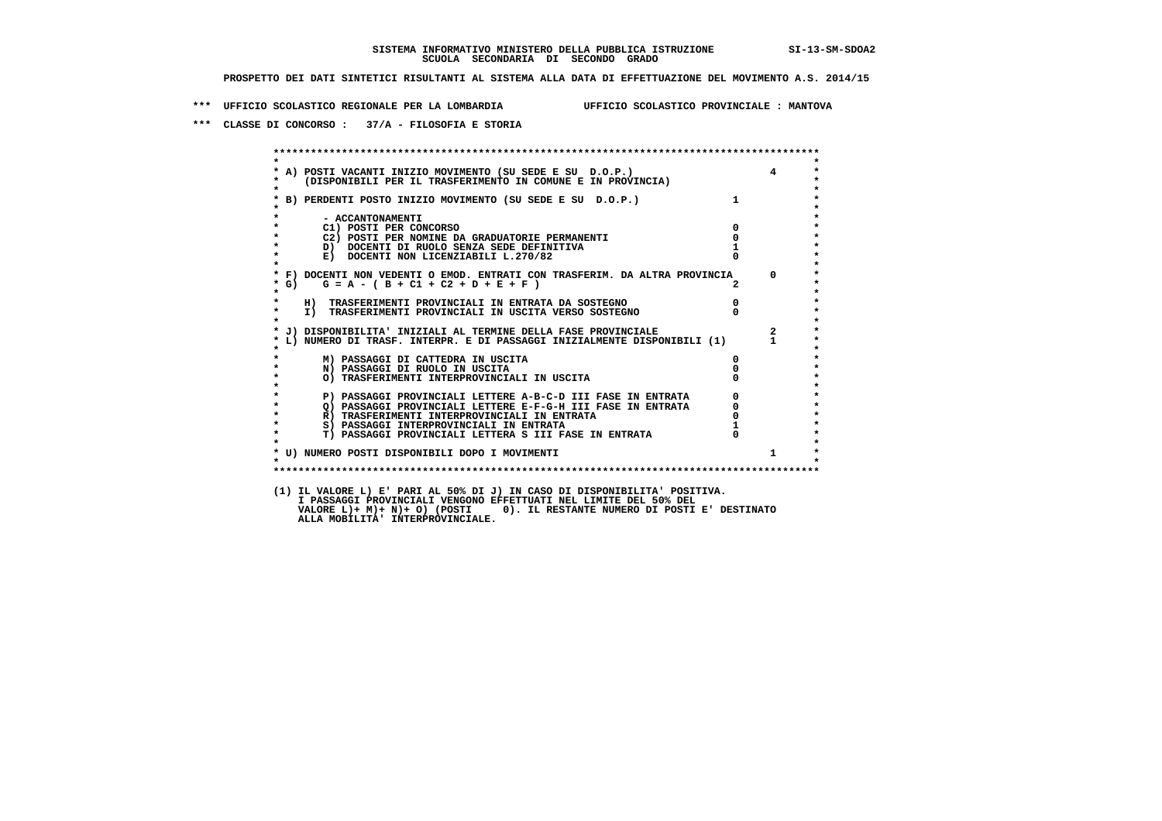**\*\*\* UFFICIO SCOLASTICO REGIONALE PER LA LOMBARDIA UFFICIO SCOLASTICO PROVINCIALE : MANTOVA**

 **\*\*\* CLASSE DI CONCORSO : 37/A - FILOSOFIA E STORIA**

 **\*\*\*\*\*\*\*\*\*\*\*\*\*\*\*\*\*\*\*\*\*\*\*\*\*\*\*\*\*\*\*\*\*\*\*\*\*\*\*\*\*\*\*\*\*\*\*\*\*\*\*\*\*\*\*\*\*\*\*\*\*\*\*\*\*\*\*\*\*\*\*\*\*\*\*\*\*\*\*\*\*\*\*\*\*\*\*\* \* \* \* A) POSTI VACANTI INIZIO MOVIMENTO (SU SEDE E SU D.O.P.) 4 \* \* (DISPONIBILI PER IL TRASFERIMENTO IN COMUNE E IN PROVINCIA) \* \* \* \* B) PERDENTI POSTO INIZIO MOVIMENTO (SU SEDE E SU D.O.P.) 1 \* \* \* \* - ACCANTONAMENTI \* \* C1) POSTI PER CONCORSO 0 \* \* C2) POSTI PER NOMINE DA GRADUATORIE PERMANENTI 0 \*b**  $\overline{D}$  **docenti di RUOLO SENZA SEDE DEFINITIVA**  $\overline{D}$  **1**  $\overline{D}$  **1**  $\overline{D}$  **1**  $\overline{D}$  **1**  $\overline{D}$  **1**  $\overline{D}$  **1**  $\overline{D}$  **1**  $\overline{D}$  **1**  $\overline{D}$  **1**  $\overline{D}$  **1**  $\overline{D}$  **1**  $\overline{D}$  **1**  $\overline{D}$  **1 E) DOCENTI NON LICENZIABILI L.270/82 \* \* \* F) DOCENTI NON VEDENTI O EMOD. ENTRATI CON TRASFERIM. DA ALTRA PROVINCIA 0 \* \* G) G = A - ( B + C1 + C2 + D + E + F ) 2 \* \* \* \* H) TRASFERIMENTI PROVINCIALI IN ENTRATA DA SOSTEGNO 0 \* \* I) TRASFERIMENTI PROVINCIALI IN USCITA VERSO SOSTEGNO 0 \* \* \* \* J) DISPONIBILITA' INIZIALI AL TERMINE DELLA FASE PROVINCIALE 2 \* \* L) NUMERO DI TRASF. INTERPR. E DI PASSAGGI INIZIALMENTE DISPONIBILI (1) 1 \* \* \* \* M) PASSAGGI DI CATTEDRA IN USCITA 0 \* \* N) PASSAGGI DI RUOLO IN USCITA 0 \* \* O) TRASFERIMENTI INTERPROVINCIALI IN USCITA 0 \* \* \* P) PASSAGGI PROVINCIALI LETTERE A-B-C-D III FASE IN ENTRATA** 0 <sup>0</sup> **DASSAGGI PROVINCIALI LETTERE E-F-G-H** III FASE IN ENTRATA 0 <sup>0</sup> **2) PASSAGGI PROVINCIALI LETTERE E-F-G-H III FASE IN ENTRATA 6 0 R**) TRASFERIMENTI INTERPROVINCIALI IN ENTRATA 6 **0 R)** TRASFERIMENTI INTERPROVINCIALI IN ENTRATA  $\begin{bmatrix} 0 \\ 0 \\ 0 \end{bmatrix}$  passaggi interprovinciali in ENTRATA  $\begin{bmatrix} 0 \\ 1 \end{bmatrix}$  **\* S) PASSAGGI INTERPROVINCIALI IN ENTRATA 1 \*** $\ddot{\phantom{1}}$  **\* T) PASSAGGI PROVINCIALI LETTERA S III FASE IN ENTRATA 0 \*** $\star$  **\* \*** $\star$  **\* U) NUMERO POSTI DISPONIBILI DOPO I MOVIMENTI 1 \* \* \* \*\*\*\*\*\*\*\*\*\*\*\*\*\*\*\*\*\*\*\*\*\*\*\*\*\*\*\*\*\*\*\*\*\*\*\*\*\*\*\*\*\*\*\*\*\*\*\*\*\*\*\*\*\*\*\*\*\*\*\*\*\*\*\*\*\*\*\*\*\*\*\*\*\*\*\*\*\*\*\*\*\*\*\*\*\*\*\* (1) IL VALORE L) E' PARI AL 50% DI J) IN CASO DI DISPONIBILITA' POSITIVA. I PASSAGGI PROVINCIALI VENGONO EFFETTUATI NEL LIMITE DEL 50% DEL VALORE L)+ M)+ N)+ O) (POSTI 0). IL RESTANTE NUMERO DI POSTI E' DESTINATO ALLA MOBILITA' INTERPROVINCIALE.**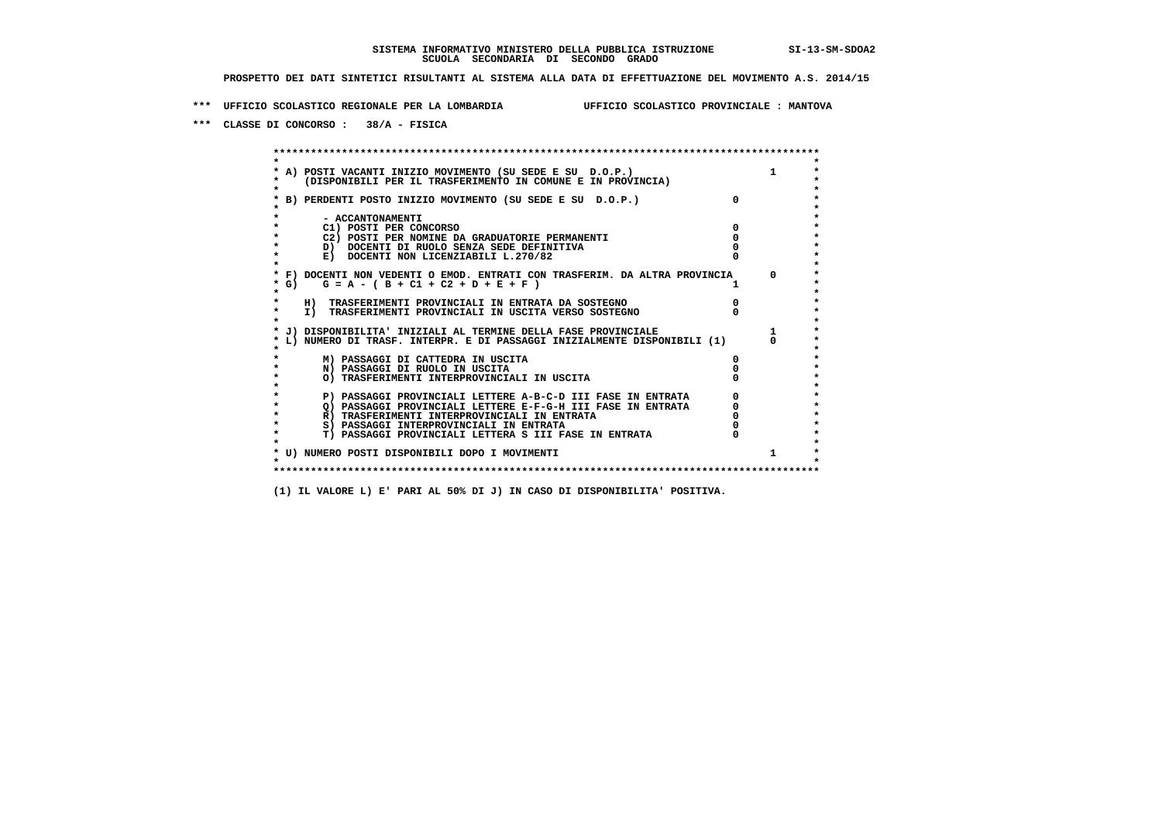**\*\*\* UFFICIO SCOLASTICO REGIONALE PER LA LOMBARDIA UFFICIO SCOLASTICO PROVINCIALE : MANTOVA**

 **\*\*\* CLASSE DI CONCORSO : 38/A - FISICA**

 **\*\*\*\*\*\*\*\*\*\*\*\*\*\*\*\*\*\*\*\*\*\*\*\*\*\*\*\*\*\*\*\*\*\*\*\*\*\*\*\*\*\*\*\*\*\*\*\*\*\*\*\*\*\*\*\*\*\*\*\*\*\*\*\*\*\*\*\*\*\*\*\*\*\*\*\*\*\*\*\*\*\*\*\*\*\*\*\* \* \*** $\bullet$  **\* A) POSTI VACANTI INIZIO MOVIMENTO (SU SEDE E SU D.O.P.) 1 \*** $\star$  **\* (DISPONIBILI PER IL TRASFERIMENTO IN COMUNE E IN PROVINCIA) \*** $\bullet$  **\* \* \* B) PERDENTI POSTO INIZIO MOVIMENTO (SU SEDE E SU D.O.P.) 0 \* \* \* \* - ACCANTONAMENTI \* \* C1) POSTI PER CONCORSO 0 \* \* C2) POSTI PER NOMINE DA GRADUATORIE PERMANENTI 0 \*D)** DOCENTI DI RUOLO SENZA SEDE DEFINITIVA  $\overline{a}$  0  $\overline{b}$  0  $\overline{c}$  0  $\overline{c}$  0  $\overline{c}$  0  $\overline{a}$  0  $\overline{c}$ **E) DOCENTI NON LICENZIABILI L.270/82 \* \* \* F) DOCENTI NON VEDENTI O EMOD. ENTRATI CON TRASFERIM. DA ALTRA PROVINCIA 0 \***  $\star$  **G)** G = A - ( B + C1 + C2 + D + E + F )  **\* \* \* H) TRASFERIMENTI PROVINCIALI IN ENTRATA DA SOSTEGNO 0 \* \* I) TRASFERIMENTI PROVINCIALI IN USCITA VERSO SOSTEGNO 0 \* \* \* \* J) DISPONIBILITA' INIZIALI AL TERMINE DELLA FASE PROVINCIALE 1 \* \* L) NUMERO DI TRASF. INTERPR. E DI PASSAGGI INIZIALMENTE DISPONIBILI (1) 0 \* \* \* \* M) PASSAGGI DI CATTEDRA IN USCITA 0 \* \* N) PASSAGGI DI RUOLO IN USCITA 0 \* \* O) TRASFERIMENTI INTERPROVINCIALI IN USCITA 0 \* \* \* P) PASSAGGI PROVINCIALI LETTERE A-B-C-D III FASE IN ENTRATA** 0 <sup>0</sup> **DASSAGGI PROVINCIALI LETTERE E-F-G-H** III FASE IN ENTRATA 0 <sup>0</sup>  **\* Q) PASSAGGI PROVINCIALI LETTERE E-F-G-H III FASE IN ENTRATA 0 \*R)** TRASFERIMENTI INTERPROVINCIALI IN ENTRATA  $\begin{bmatrix} 0 & 0 \\ 0 & 0 \\ 0 & 0 \end{bmatrix}$  PASSAGGI INTERPROVINCIALI IN ENTRATA  $\begin{bmatrix} 0 & 0 \\ 0 & 0 \\ 0 & 0 \end{bmatrix}$  **\* S) PASSAGGI INTERPROVINCIALI IN ENTRATA 0 \*** $\ddot{\phantom{1}}$  **\* T) PASSAGGI PROVINCIALI LETTERA S III FASE IN ENTRATA 0 \*** $\star$  **\* \* \* U) NUMERO POSTI DISPONIBILI DOPO I MOVIMENTI 1 \* \* \* \*\*\*\*\*\*\*\*\*\*\*\*\*\*\*\*\*\*\*\*\*\*\*\*\*\*\*\*\*\*\*\*\*\*\*\*\*\*\*\*\*\*\*\*\*\*\*\*\*\*\*\*\*\*\*\*\*\*\*\*\*\*\*\*\*\*\*\*\*\*\*\*\*\*\*\*\*\*\*\*\*\*\*\*\*\*\*\***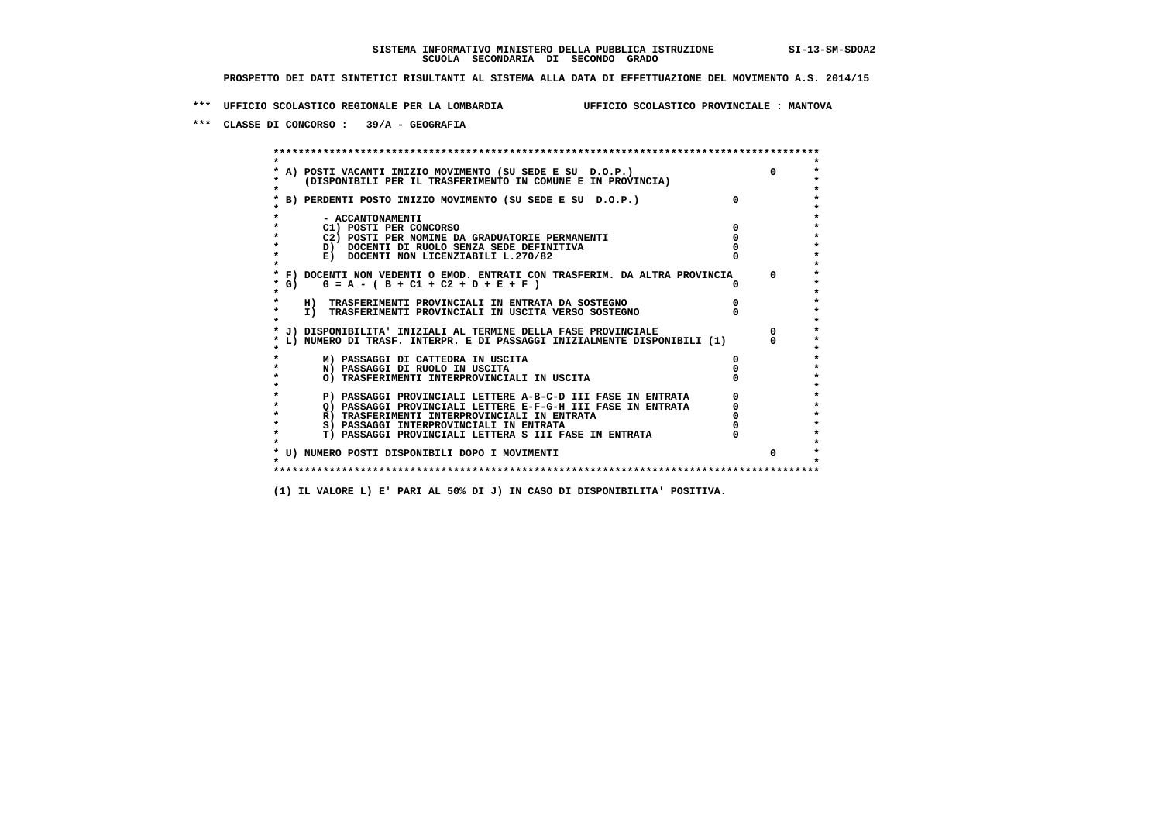**\*\*\* UFFICIO SCOLASTICO REGIONALE PER LA LOMBARDIA UFFICIO SCOLASTICO PROVINCIALE : MANTOVA**

 **\*\*\* CLASSE DI CONCORSO : 39/A - GEOGRAFIA**

 **\*\*\*\*\*\*\*\*\*\*\*\*\*\*\*\*\*\*\*\*\*\*\*\*\*\*\*\*\*\*\*\*\*\*\*\*\*\*\*\*\*\*\*\*\*\*\*\*\*\*\*\*\*\*\*\*\*\*\*\*\*\*\*\*\*\*\*\*\*\*\*\*\*\*\*\*\*\*\*\*\*\*\*\*\*\*\*\* \* \*** $\bullet$  **\* A) POSTI VACANTI INIZIO MOVIMENTO (SU SEDE E SU D.O.P.) 0 \*** $\star$  **\* (DISPONIBILI PER IL TRASFERIMENTO IN COMUNE E IN PROVINCIA) \*** $\bullet$  **\* \* \* B) PERDENTI POSTO INIZIO MOVIMENTO (SU SEDE E SU D.O.P.) 0 \* \* \* \* - ACCANTONAMENTI \* \* C1) POSTI PER CONCORSO 0 \* \* C2) POSTI PER NOMINE DA GRADUATORIE PERMANENTI 0 \*D)** DOCENTI DI RUOLO SENZA SEDE DEFINITIVA  $\overline{a}$  0  $\overline{b}$  0  $\overline{c}$  0  $\overline{c}$  0  $\overline{c}$  0  $\overline{a}$  0  $\overline{b}$ **E) DOCENTI NON LICENZIABILI L.270/82 \* \* \* F) DOCENTI NON VEDENTI O EMOD. ENTRATI CON TRASFERIM. DA ALTRA PROVINCIA 0 \* \* G) G = A - ( B + C1 + C2 + D + E + F ) 0 \* \* \* \* H) TRASFERIMENTI PROVINCIALI IN ENTRATA DA SOSTEGNO 0 \* \* I) TRASFERIMENTI PROVINCIALI IN USCITA VERSO SOSTEGNO 0 \* \* \* \* J) DISPONIBILITA' INIZIALI AL TERMINE DELLA FASE PROVINCIALE 0 \* \* L) NUMERO DI TRASF. INTERPR. E DI PASSAGGI INIZIALMENTE DISPONIBILI (1) 0 \* \* \* \* M) PASSAGGI DI CATTEDRA IN USCITA 0 \* \* N) PASSAGGI DI RUOLO IN USCITA 0 \* \* O) TRASFERIMENTI INTERPROVINCIALI IN USCITA 0 \* \* \* \* P) PASSAGGI PROVINCIALI LETTERE A-B-C-D III FASE IN ENTRATA 0 \*** $\star$  **\* Q) PASSAGGI PROVINCIALI LETTERE E-F-G-H III FASE IN ENTRATA 0 \*R)** TRASFERIMENTI INTERPROVINCIALI IN ENTRATA  $\begin{bmatrix} 0 & 0 \\ 0 & 0 \\ 0 & 0 \end{bmatrix}$  PASSAGGI INTERPROVINCIALI IN ENTRATA  $\begin{bmatrix} 0 & 0 \\ 0 & 0 \\ 0 & 0 \end{bmatrix}$  **\* S) PASSAGGI INTERPROVINCIALI IN ENTRATA 0 \*** $\ddot{\phantom{1}}$  **\* T) PASSAGGI PROVINCIALI LETTERA S III FASE IN ENTRATA 0 \*** $\star$  **\* \* \* U) NUMERO POSTI DISPONIBILI DOPO I MOVIMENTI 0 \* \* \* \*\*\*\*\*\*\*\*\*\*\*\*\*\*\*\*\*\*\*\*\*\*\*\*\*\*\*\*\*\*\*\*\*\*\*\*\*\*\*\*\*\*\*\*\*\*\*\*\*\*\*\*\*\*\*\*\*\*\*\*\*\*\*\*\*\*\*\*\*\*\*\*\*\*\*\*\*\*\*\*\*\*\*\*\*\*\*\***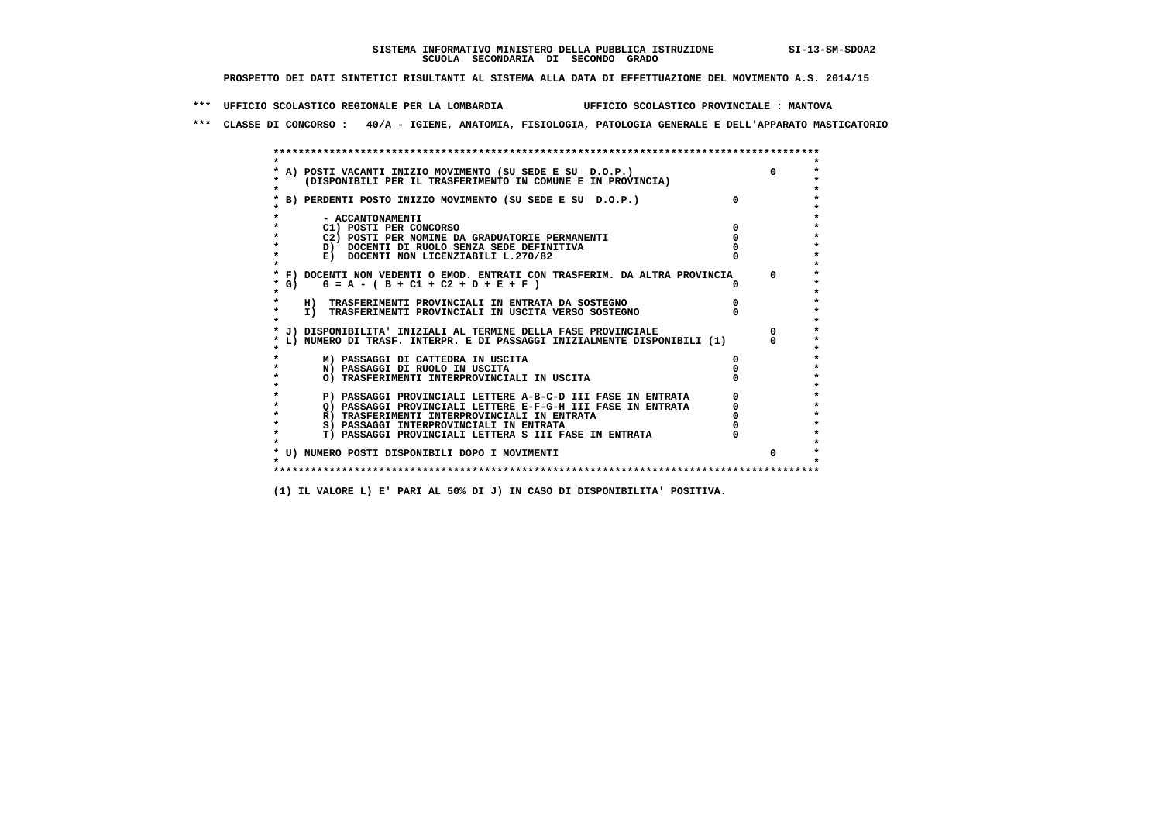**\*\*\* UFFICIO SCOLASTICO REGIONALE PER LA LOMBARDIA UFFICIO SCOLASTICO PROVINCIALE : MANTOVA**

 **\*\*\* CLASSE DI CONCORSO : 40/A - IGIENE, ANATOMIA, FISIOLOGIA, PATOLOGIA GENERALE E DELL'APPARATO MASTICATORIO**

|        | * A) POSTI VACANTI INIZIO MOVIMENTO (SU SEDE E SU D.O.P.)                  |  |
|--------|----------------------------------------------------------------------------|--|
|        | (DISPONIBILI PER IL TRASFERIMENTO IN COMUNE E IN PROVINCIA)                |  |
|        |                                                                            |  |
|        | B) PERDENTI POSTO INIZIO MOVIMENTO (SU SEDE E SU D.O.P.)                   |  |
|        |                                                                            |  |
|        | - ACCANTONAMENTI                                                           |  |
|        | C1) POSTI PER CONCORSO                                                     |  |
|        | C2) POSTI PER NOMINE DA GRADUATORIE PERMANENTI                             |  |
|        | D) DOCENTI DI RUOLO SENZA SEDE DEFINITIVA                                  |  |
|        | E) DOCENTI NON LICENZIABILI L.270/82                                       |  |
|        |                                                                            |  |
|        | * F) DOCENTI NON VEDENTI O EMOD. ENTRATI CON TRASFERIM. DA ALTRA PROVINCIA |  |
| * G) = | $G = A - (B + C1 + C2 + D + E + F)$                                        |  |
| *      |                                                                            |  |
|        | H) TRASFERIMENTI PROVINCIALI IN ENTRATA DA SOSTEGNO                        |  |
| *      | I) TRASFERIMENTI PROVINCIALI IN USCITA VERSO SOSTEGNO                      |  |
|        |                                                                            |  |
|        | J) DISPONIBILITA' INIZIALI AL TERMINE DELLA FASE PROVINCIALE               |  |
|        | L) NUMERO DI TRASF. INTERPR. E DI PASSAGGI INIZIALMENTE DISPONIBILI (1)    |  |
|        |                                                                            |  |
|        | M) PASSAGGI DI CATTEDRA IN USCITA                                          |  |
|        | N) PASSAGGI DI RUOLO IN USCITA                                             |  |
|        | O) TRASFERIMENTI INTERPROVINCIALI IN USCITA                                |  |
|        |                                                                            |  |
|        | P) PASSAGGI PROVINCIALI LETTERE A-B-C-D III FASE IN ENTRATA                |  |
|        | O) PASSAGGI PROVINCIALI LETTERE E-F-G-H III FASE IN ENTRATA                |  |
|        | R) TRASFERIMENTI INTERPROVINCIALI IN ENTRATA                               |  |
| *      | S) PASSAGGI INTERPROVINCIALI IN ENTRATA                                    |  |
|        | T) PASSAGGI PROVINCIALI LETTERA S III FASE IN ENTRATA                      |  |
|        |                                                                            |  |
|        | * U) NUMERO POSTI DISPONIBILI DOPO I MOVIMENTI                             |  |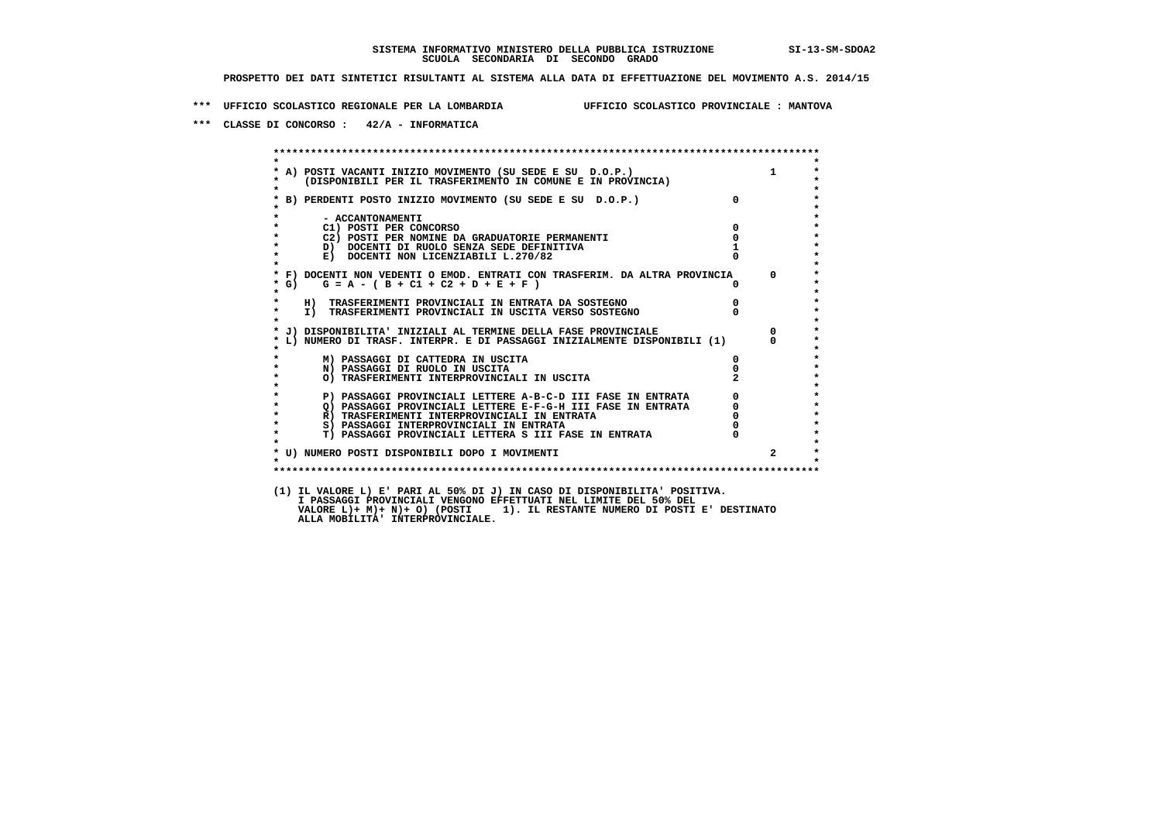**\*\*\* UFFICIO SCOLASTICO REGIONALE PER LA LOMBARDIA UFFICIO SCOLASTICO PROVINCIALE : MANTOVA**

 **\*\*\* CLASSE DI CONCORSO : 42/A - INFORMATICA**

 **\*\*\*\*\*\*\*\*\*\*\*\*\*\*\*\*\*\*\*\*\*\*\*\*\*\*\*\*\*\*\*\*\*\*\*\*\*\*\*\*\*\*\*\*\*\*\*\*\*\*\*\*\*\*\*\*\*\*\*\*\*\*\*\*\*\*\*\*\*\*\*\*\*\*\*\*\*\*\*\*\*\*\*\*\*\*\*\* \* \*** $\bullet$  **\* A) POSTI VACANTI INIZIO MOVIMENTO (SU SEDE E SU D.O.P.) 1 \* \* (DISPONIBILI PER IL TRASFERIMENTO IN COMUNE E IN PROVINCIA) \*** $\bullet$  **\* \* \* B) PERDENTI POSTO INIZIO MOVIMENTO (SU SEDE E SU D.O.P.) 0 \* \* \* \* - ACCANTONAMENTI \* \* C1) POSTI PER CONCORSO 0 \* \* C2) POSTI PER NOMINE DA GRADUATORIE PERMANENTI 0 \*D)** DOCENTI DI RUOLO SENZA SEDE DEFINITIVA 1<br> **E)** DOCENTI NON LICENZIABILI L. 270/82 0 **E) DOCENTI NON LICENZIABILI L.270/82 \* \* \* F) DOCENTI NON VEDENTI O EMOD. ENTRATI CON TRASFERIM. DA ALTRA PROVINCIA 0 \* \* G) G = A - ( B + C1 + C2 + D + E + F ) 0 \* \* \* \* H) TRASFERIMENTI PROVINCIALI IN ENTRATA DA SOSTEGNO 0 \* \* I) TRASFERIMENTI PROVINCIALI IN USCITA VERSO SOSTEGNO 0 \* \* \* \* J) DISPONIBILITA' INIZIALI AL TERMINE DELLA FASE PROVINCIALE 0 \* \* L) NUMERO DI TRASF. INTERPR. E DI PASSAGGI INIZIALMENTE DISPONIBILI (1) 0 \* \* \* \* M) PASSAGGI DI CATTEDRA IN USCITA 0 \* \* N) PASSAGGI DI RUOLO IN USCITA 0 \* \* O) TRASFERIMENTI INTERPROVINCIALI IN USCITA 2 \* \* \* P) PASSAGGI PROVINCIALI LETTERE A-B-C-D III FASE IN ENTRATA 0 \*\*\***<br>0 passaggi provinciali lettere e-f-G-H iii fase in entrata \*\*\*\*\*\*\*\*\*\*\*\*\*\*\*\*\*\*\*\*\* **2) PASSAGGI PROVINCIALI LETTERE E-F-G-H III FASE IN ENTRATA 6 0 R**) TRASFERIMENTI INTERPROVINCIALI IN ENTRATA 6 **0 R)** TRASFERIMENTI INTERPROVINCIALI IN ENTRATA  $\begin{bmatrix} 0 & 0 \\ 0 & 0 \\ 0 & 0 \end{bmatrix}$  passaggi interprovinciali in entrata  $\begin{bmatrix} 0 & 0 \\ 0 & 0 \\ 0 & 0 \end{bmatrix}$  **\* S) PASSAGGI INTERPROVINCIALI IN ENTRATA 0 \*** $\ddot{\phantom{1}}$  **\* T) PASSAGGI PROVINCIALI LETTERA S III FASE IN ENTRATA 0 \*** $\star$  **\* \* \* U) NUMERO POSTI DISPONIBILI DOPO I MOVIMENTI 2 \* \* \* \*\*\*\*\*\*\*\*\*\*\*\*\*\*\*\*\*\*\*\*\*\*\*\*\*\*\*\*\*\*\*\*\*\*\*\*\*\*\*\*\*\*\*\*\*\*\*\*\*\*\*\*\*\*\*\*\*\*\*\*\*\*\*\*\*\*\*\*\*\*\*\*\*\*\*\*\*\*\*\*\*\*\*\*\*\*\*\* (1) IL VALORE L) E' PARI AL 50% DI J) IN CASO DI DISPONIBILITA' POSITIVA. I PASSAGGI PROVINCIALI VENGONO EFFETTUATI NEL LIMITE DEL 50% DEL VALORE L)+ M)+ N)+ O) (POSTI 1). IL RESTANTE NUMERO DI POSTI E' DESTINATO ALLA MOBILITA' INTERPROVINCIALE.**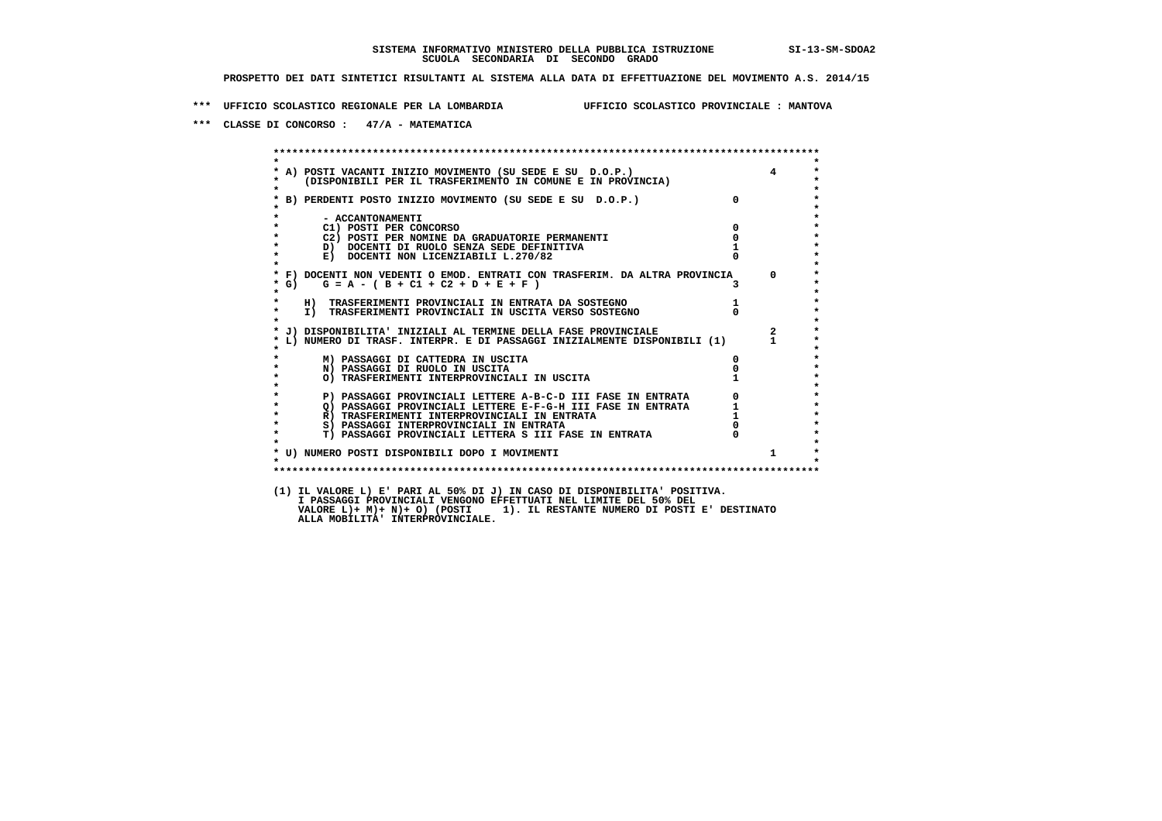**\*\*\* UFFICIO SCOLASTICO REGIONALE PER LA LOMBARDIA UFFICIO SCOLASTICO PROVINCIALE : MANTOVA**

 **\*\*\* CLASSE DI CONCORSO : 47/A - MATEMATICA**

 **\*\*\*\*\*\*\*\*\*\*\*\*\*\*\*\*\*\*\*\*\*\*\*\*\*\*\*\*\*\*\*\*\*\*\*\*\*\*\*\*\*\*\*\*\*\*\*\*\*\*\*\*\*\*\*\*\*\*\*\*\*\*\*\*\*\*\*\*\*\*\*\*\*\*\*\*\*\*\*\*\*\*\*\*\*\*\*\* \* \* \* A) POSTI VACANTI INIZIO MOVIMENTO (SU SEDE E SU D.O.P.) 4 \* \* (DISPONIBILI PER IL TRASFERIMENTO IN COMUNE E IN PROVINCIA) \* \* \* \* B) PERDENTI POSTO INIZIO MOVIMENTO (SU SEDE E SU D.O.P.) 0 \* \* \* \* - ACCANTONAMENTI \* \* C1) POSTI PER CONCORSO 0 \* \* C2) POSTI PER NOMINE DA GRADUATORIE PERMANENTI 0 \*b**  $\overline{D}$  **docenti di RUOLO SENZA SEDE DEFINITIVA**  $\overline{D}$  **1**  $\overline{D}$  **1**  $\overline{D}$  **1**  $\overline{D}$  **1**  $\overline{D}$  **1**  $\overline{D}$  **1**  $\overline{D}$  **1**  $\overline{D}$  **1**  $\overline{D}$  **1**  $\overline{D}$  **1**  $\overline{D}$  **1**  $\overline{D}$  **1**  $\overline{D}$  **1 E) DOCENTI NON LICENZIABILI L.270/82 \* \* \* F) DOCENTI NON VEDENTI O EMOD. ENTRATI CON TRASFERIM. DA ALTRA PROVINCIA 0 \* \* G) G = A - ( B + C1 + C2 + D + E + F ) 3 \* \* \* \* H) TRASFERIMENTI PROVINCIALI IN ENTRATA DA SOSTEGNO 1 \*TO TRASFERIMENTI PROVINCIALI IN USCITA VERSO SOSTEGNO** 0  **\* \* \* J) DISPONIBILITA' INIZIALI AL TERMINE DELLA FASE PROVINCIALE 2 \* \* L) NUMERO DI TRASF. INTERPR. E DI PASSAGGI INIZIALMENTE DISPONIBILI (1) 1 \* \* \* \* M) PASSAGGI DI CATTEDRA IN USCITA 0 \* \* N) PASSAGGI DI RUOLO IN USCITA 0 \*O) TRASFERIMENTI INTERPROVINCIALI IN USCITA \* \* P) PASSAGGI PROVINCIALI LETTERE A-B-C-D III FASE IN ENTRATA** 0 <sup>0</sup> **DASSAGGI PROVINCIALI LETTERE E-F-G-H** III FASE IN ENTRATA 1 **2) PASSAGGI PROVINCIALI LETTERE E-F-G-H III FASE IN ENTRATA 1 \*** 1 **R**) **TRASFERIMENTI INTERPROVINCIALI** IN ENTRATA 1 \* <sup>1</sup>  **\* R) TRASFERIMENTI INTERPROVINCIALI IN ENTRATA 1 \*8) PASSAGGI INTERPROVINCIALI IN ENTRATA**  $\overline{0}$ **<br>
<b>T) PASSAGGI PROVINCIALI LETTERA S III FASE IN ENTRATA**  $\overline{0}$  $\ddot{\phantom{1}}$  **\* T) PASSAGGI PROVINCIALI LETTERA S III FASE IN ENTRATA 0 \*** $\star$  **\* \*** $\star$  **\* U) NUMERO POSTI DISPONIBILI DOPO I MOVIMENTI 1 \* \* \* \*\*\*\*\*\*\*\*\*\*\*\*\*\*\*\*\*\*\*\*\*\*\*\*\*\*\*\*\*\*\*\*\*\*\*\*\*\*\*\*\*\*\*\*\*\*\*\*\*\*\*\*\*\*\*\*\*\*\*\*\*\*\*\*\*\*\*\*\*\*\*\*\*\*\*\*\*\*\*\*\*\*\*\*\*\*\*\* (1) IL VALORE L) E' PARI AL 50% DI J) IN CASO DI DISPONIBILITA' POSITIVA. I PASSAGGI PROVINCIALI VENGONO EFFETTUATI NEL LIMITE DEL 50% DEL VALORE L)+ M)+ N)+ O) (POSTI 1). IL RESTANTE NUMERO DI POSTI E' DESTINATO ALLA MOBILITA' INTERPROVINCIALE.**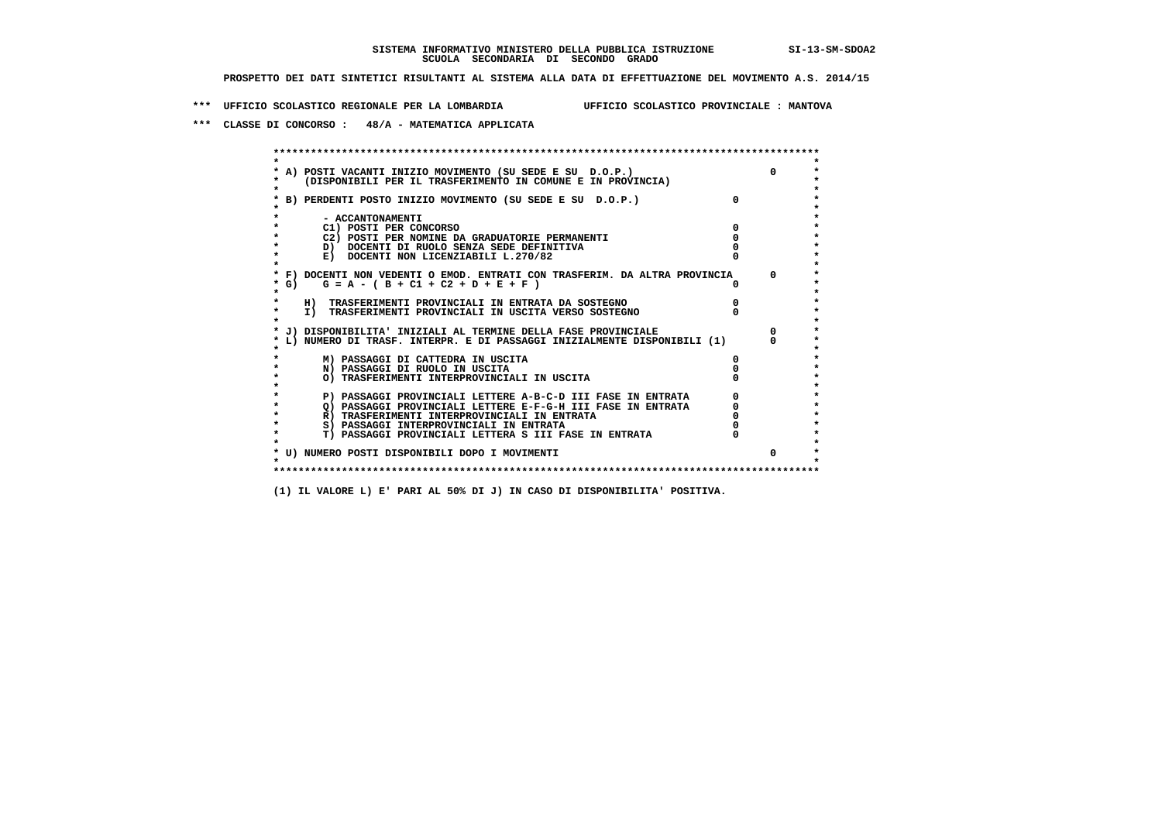**\*\*\* UFFICIO SCOLASTICO REGIONALE PER LA LOMBARDIA UFFICIO SCOLASTICO PROVINCIALE : MANTOVA**

 **\*\*\* CLASSE DI CONCORSO : 48/A - MATEMATICA APPLICATA**

|        | A) POSTI VACANTI INIZIO MOVIMENTO (SU SEDE E SU D.O.P.)<br>(DISPONIBILI PER IL TRASFERIMENTO IN COMUNE E IN PROVINCIA) |          | $\Omega$   |
|--------|------------------------------------------------------------------------------------------------------------------------|----------|------------|
|        | B) PERDENTI POSTO INIZIO MOVIMENTO (SU SEDE E SU D.O.P.)                                                               | $\Omega$ |            |
|        | - ACCANTONAMENTI                                                                                                       |          |            |
|        | C1) POSTI PER CONCORSO                                                                                                 |          |            |
|        | C2) POSTI PER NOMINE DA GRADUATORIE PERMANENTI                                                                         |          |            |
|        | D) DOCENTI DI RUOLO SENZA SEDE DEFINITIVA                                                                              |          |            |
|        | E) DOCENTI NON LICENZIABILI L.270/82                                                                                   |          |            |
|        | * F) DOCENTI NON VEDENTI O EMOD. ENTRATI CON TRASFERIM. DA ALTRA PROVINCIA                                             |          | $^{\circ}$ |
| $*$ G) | $G = A - (B + C1 + C2 + D + E + F)$                                                                                    |          |            |
|        | H) TRASFERIMENTI PROVINCIALI IN ENTRATA DA SOSTEGNO                                                                    |          |            |
|        | I) TRASFERIMENTI PROVINCIALI IN USCITA VERSO SOSTEGNO                                                                  |          |            |
|        | * J) DISPONIBILITA' INIZIALI AL TERMINE DELLA FASE PROVINCIALE                                                         |          | $^{\circ}$ |
|        | L) NUMERO DI TRASF. INTERPR. E DI PASSAGGI INIZIALMENTE DISPONIBILI (1)                                                |          |            |
|        | M) PASSAGGI DI CATTEDRA IN USCITA                                                                                      |          |            |
|        | N) PASSAGGI DI RUOLO IN USCITA                                                                                         |          |            |
|        | O) TRASFERIMENTI INTERPROVINCIALI IN USCITA                                                                            |          |            |
|        |                                                                                                                        |          |            |
|        | P) PASSAGGI PROVINCIALI LETTERE A-B-C-D III FASE IN ENTRATA                                                            |          |            |
|        | O) PASSAGGI PROVINCIALI LETTERE E-F-G-H III FASE IN ENTRATA                                                            |          |            |
|        | R) TRASFERIMENTI INTERPROVINCIALI IN ENTRATA                                                                           |          |            |
|        | S) PASSAGGI INTERPROVINCIALI IN ENTRATA                                                                                |          |            |
|        | T) PASSAGGI PROVINCIALI LETTERA S III FASE IN ENTRATA                                                                  |          |            |
|        |                                                                                                                        |          |            |
|        | * U) NUMERO POSTI DISPONIBILI DOPO I MOVIMENTI                                                                         |          | $\Omega$   |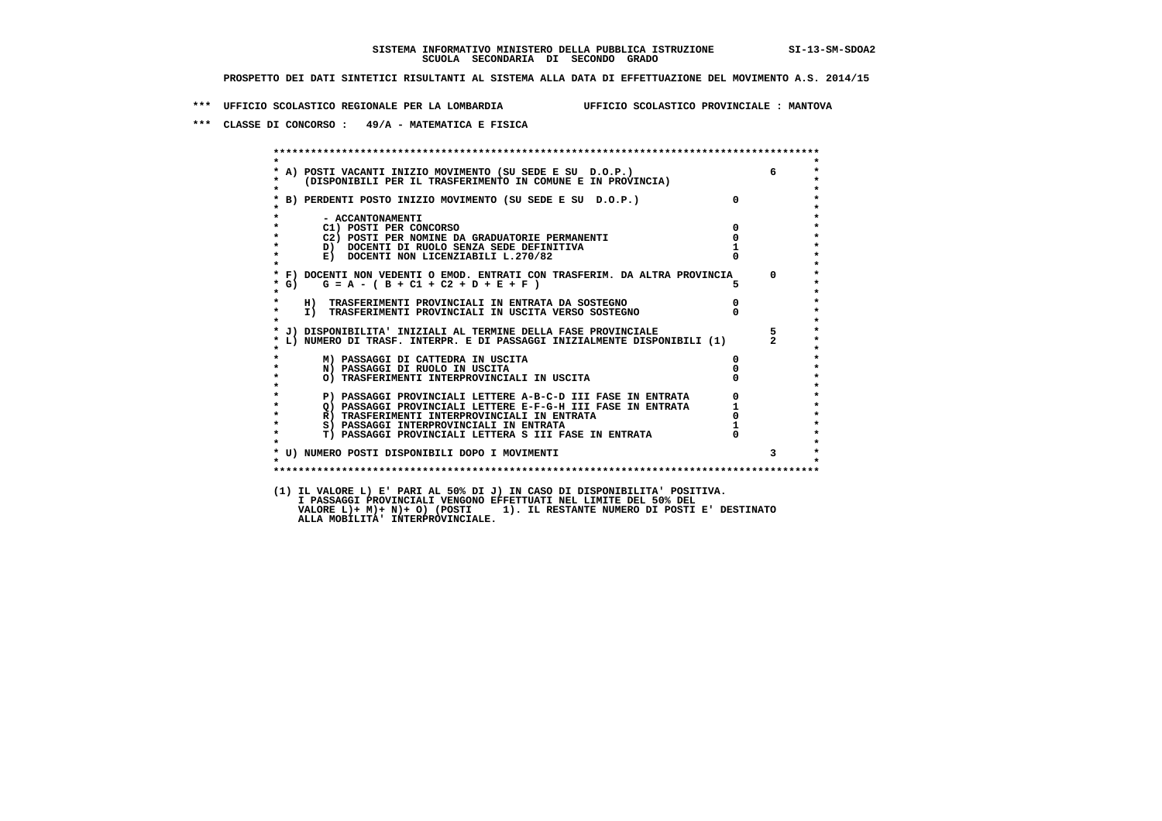**\*\*\* UFFICIO SCOLASTICO REGIONALE PER LA LOMBARDIA UFFICIO SCOLASTICO PROVINCIALE : MANTOVA**

 **\*\*\* CLASSE DI CONCORSO : 49/A - MATEMATICA E FISICA**

 **\*\*\*\*\*\*\*\*\*\*\*\*\*\*\*\*\*\*\*\*\*\*\*\*\*\*\*\*\*\*\*\*\*\*\*\*\*\*\*\*\*\*\*\*\*\*\*\*\*\*\*\*\*\*\*\*\*\*\*\*\*\*\*\*\*\*\*\*\*\*\*\*\*\*\*\*\*\*\*\*\*\*\*\*\*\*\*\* \* \* \* A) POSTI VACANTI INIZIO MOVIMENTO (SU SEDE E SU D.O.P.) 6 \* \* (DISPONIBILI PER IL TRASFERIMENTO IN COMUNE E IN PROVINCIA) \* \* \* \* B) PERDENTI POSTO INIZIO MOVIMENTO (SU SEDE E SU D.O.P.) 0 \* \* \* \* - ACCANTONAMENTI \* \* C1) POSTI PER CONCORSO 0 \* \* C2) POSTI PER NOMINE DA GRADUATORIE PERMANENTI 0 \*b**  $\overline{D}$  **docenti di RUOLO SENZA SEDE DEFINITIVA**  $\overline{D}$  **1**  $\overline{D}$  **1**  $\overline{D}$  **1**  $\overline{D}$  **1**  $\overline{D}$  **1**  $\overline{D}$  **1**  $\overline{D}$  **1**  $\overline{D}$  **1**  $\overline{D}$  **1**  $\overline{D}$  **1**  $\overline{D}$  **1**  $\overline{D}$  **1**  $\overline{D}$  **1 E) DOCENTI NON LICENZIABILI L.270/82 \* \* \* F) DOCENTI NON VEDENTI O EMOD. ENTRATI CON TRASFERIM. DA ALTRA PROVINCIA 0 \***  $\star$  **G)** G = A - ( B + C1 + C2 + D + E + F )  **\* \* \* H) TRASFERIMENTI PROVINCIALI IN ENTRATA DA SOSTEGNO 0 \* \* I) TRASFERIMENTI PROVINCIALI IN USCITA VERSO SOSTEGNO 0 \* \* \* \* J) DISPONIBILITA' INIZIALI AL TERMINE DELLA FASE PROVINCIALE 5 \* \* L) NUMERO DI TRASF. INTERPR. E DI PASSAGGI INIZIALMENTE DISPONIBILI (1) 2 \* \* \* \* M) PASSAGGI DI CATTEDRA IN USCITA 0 \* \* N) PASSAGGI DI RUOLO IN USCITA 0 \* \* O) TRASFERIMENTI INTERPROVINCIALI IN USCITA 0 \* \* \* \* P) PASSAGGI PROVINCIALI LETTERE A-B-C-D III FASE IN ENTRATA 0 \*2) PASSAGGI PROVINCIALI LETTERE E-F-G-H III FASE IN ENTRATA 1 1 R**) TRASFERIMENTI INTERPROVINCIALI IN ENTRATA 1 0 **R)** TRASFERIMENTI INTERPROVINCIALI IN ENTRATA 0<br>
8) PASSAGGI INTERPROVINCIALI IN ENTRATA 1  **\* S) PASSAGGI INTERPROVINCIALI IN ENTRATA 1 \*** $\ddot{\phantom{1}}$  **\* T) PASSAGGI PROVINCIALI LETTERA S III FASE IN ENTRATA 0 \*** $\star$  **\* \* \* U) NUMERO POSTI DISPONIBILI DOPO I MOVIMENTI 3 \* \* \* \*\*\*\*\*\*\*\*\*\*\*\*\*\*\*\*\*\*\*\*\*\*\*\*\*\*\*\*\*\*\*\*\*\*\*\*\*\*\*\*\*\*\*\*\*\*\*\*\*\*\*\*\*\*\*\*\*\*\*\*\*\*\*\*\*\*\*\*\*\*\*\*\*\*\*\*\*\*\*\*\*\*\*\*\*\*\*\* (1) IL VALORE L) E' PARI AL 50% DI J) IN CASO DI DISPONIBILITA' POSITIVA. I PASSAGGI PROVINCIALI VENGONO EFFETTUATI NEL LIMITE DEL 50% DEL VALORE L)+ M)+ N)+ O) (POSTI 1). IL RESTANTE NUMERO DI POSTI E' DESTINATO ALLA MOBILITA' INTERPROVINCIALE.**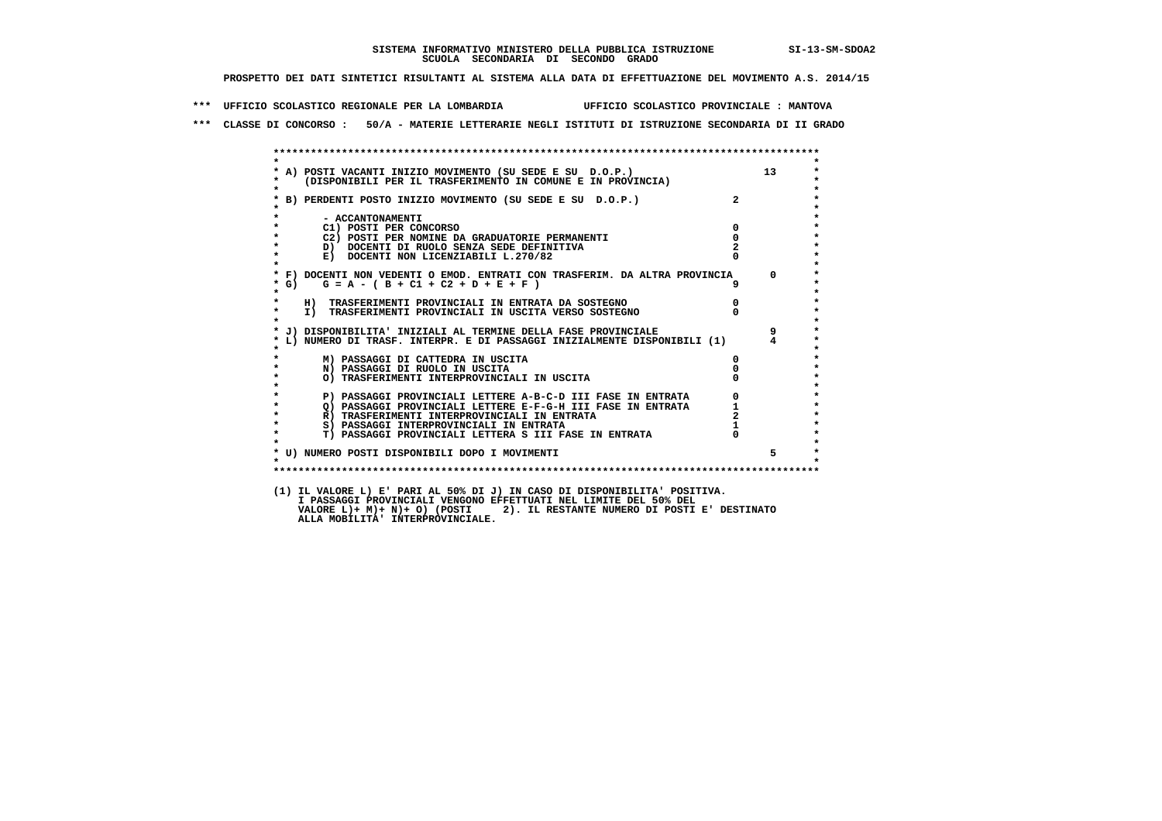**\*\*\* UFFICIO SCOLASTICO REGIONALE PER LA LOMBARDIA UFFICIO SCOLASTICO PROVINCIALE : MANTOVA**

 **\*\*\* CLASSE DI CONCORSO : 50/A - MATERIE LETTERARIE NEGLI ISTITUTI DI ISTRUZIONE SECONDARIA DI II GRADO**

|                    | * A) POSTI VACANTI INIZIO MOVIMENTO (SU SEDE E SU D.O.P.)<br>*    (DISPONIBILI PER IL TRASFERIMENTO IN COMUNE E IN PROVINCIA) |                            | 13             |
|--------------------|-------------------------------------------------------------------------------------------------------------------------------|----------------------------|----------------|
| $\bullet$          | * B) PERDENTI POSTO INIZIO MOVIMENTO (SU SEDE E SU D.O.P.)                                                                    | $\overline{2}$             |                |
|                    |                                                                                                                               |                            |                |
| $\star$            | - ACCANTONAMENTI                                                                                                              |                            |                |
|                    | C1) POSTI PER CONCORSO<br>C2) POSTI PER NOMINE DA GRADUATORIE PERMANENTI                                                      | $^{\circ}$<br>$\mathbf{o}$ |                |
| $\star$            | D) DOCENTI DI RUOLO SENZA SEDE DEFINITIVA                                                                                     |                            |                |
| $\star$            | E) DOCENTI NON LICENZIABILI L.270/82                                                                                          |                            |                |
|                    | * F) DOCENTI NON VEDENTI O EMOD. ENTRATI CON TRASFERIM. DA ALTRA PROVINCIA                                                    |                            | $\Omega$       |
| $*$ G)             | $G = A - (B + C1 + C2 + D + E + F)$                                                                                           |                            |                |
| $\star$            | H) TRASFERIMENTI PROVINCIALI IN ENTRATA DA SOSTEGNO                                                                           | $\overline{0}$             |                |
| $\star$<br>$\star$ | I) TRASFERIMENTI PROVINCIALI IN USCITA VERSO SOSTEGNO                                                                         |                            |                |
|                    | * J) DISPONIBILITA' INIZIALI AL TERMINE DELLA FASE PROVINCIALE                                                                |                            | 9              |
|                    | * L) NUMERO DI TRASF. INTERPR. E DI PASSAGGI INIZIALMENTE DISPONIBILI (1)                                                     |                            | $\overline{4}$ |
|                    | M) PASSAGGI DI CATTEDRA IN USCITA                                                                                             | 0                          |                |
| $\star$            | N) PASSAGGI DI RUOLO IN USCITA                                                                                                |                            |                |
| $\star$            | O) TRASFERIMENTI INTERPROVINCIALI IN USCITA                                                                                   |                            |                |
| $\star$            | P) PASSAGGI PROVINCIALI LETTERE A-B-C-D III FASE IN ENTRATA                                                                   |                            |                |
| $\star$            | Q) PASSAGGI PROVINCIALI LETTERE E-F-G-H III FASE IN ENTRATA                                                                   |                            |                |
| $\star$            | R) TRASFERIMENTI INTERPROVINCIALI IN ENTRATA                                                                                  |                            |                |
| $\star$            | S) PASSAGGI INTERPROVINCIALI IN ENTRATA                                                                                       |                            |                |
| $\star$            | T) PASSAGGI PROVINCIALI LETTERA S III FASE IN ENTRATA                                                                         |                            |                |
|                    | * U) NUMERO POSTI DISPONIBILI DOPO I MOVIMENTI                                                                                |                            | 5              |
| $\star$            |                                                                                                                               |                            |                |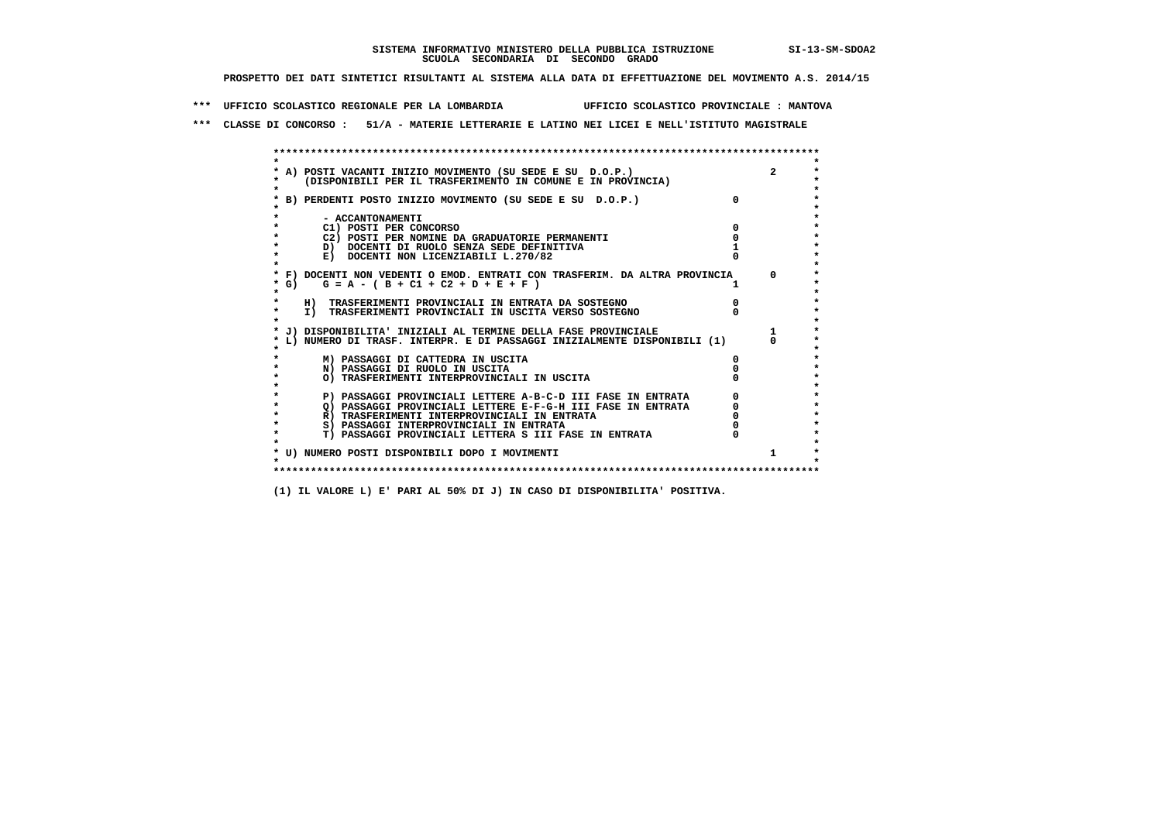**\*\*\* UFFICIO SCOLASTICO REGIONALE PER LA LOMBARDIA UFFICIO SCOLASTICO PROVINCIALE : MANTOVA**

 **\*\*\* CLASSE DI CONCORSO : 51/A - MATERIE LETTERARIE E LATINO NEI LICEI E NELL'ISTITUTO MAGISTRALE**

| * A) POSTI VACANTI INIZIO MOVIMENTO (SU SEDE E SU D.O.P.)                  |          |
|----------------------------------------------------------------------------|----------|
| (DISPONIBILI PER IL TRASFERIMENTO IN COMUNE E IN PROVINCIA)                |          |
| B) PERDENTI POSTO INIZIO MOVIMENTO (SU SEDE E SU D.O.P.)                   | $\Omega$ |
|                                                                            |          |
| - ACCANTONAMENTI                                                           |          |
| C1) POSTI PER CONCORSO                                                     |          |
| C2) POSTI PER NOMINE DA GRADUATORIE PERMANENTI                             |          |
| D) DOCENTI DI RUOLO SENZA SEDE DEFINITIVA                                  |          |
| E) DOCENTI NON LICENZIABILI L.270/82                                       |          |
| * F) DOCENTI NON VEDENTI O EMOD. ENTRATI CON TRASFERIM. DA ALTRA PROVINCIA |          |
| $G = A - (B + C1 + C2 + D + E + F)$<br>$*$ G)                              |          |
| $\star$                                                                    |          |
| H) TRASFERIMENTI PROVINCIALI IN ENTRATA DA SOSTEGNO                        |          |
| I) TRASFERIMENTI PROVINCIALI IN USCITA VERSO SOSTEGNO                      |          |
|                                                                            |          |
| J) DISPONIBILITA' INIZIALI AL TERMINE DELLA FASE PROVINCIALE               |          |
| L) NUMERO DI TRASF. INTERPR. E DI PASSAGGI INIZIALMENTE DISPONIBILI (1)    |          |
| M) PASSAGGI DI CATTEDRA IN USCITA                                          |          |
| N) PASSAGGI DI RUOLO IN USCITA                                             |          |
| O) TRASFERIMENTI INTERPROVINCIALI IN USCITA                                |          |
|                                                                            |          |
| P) PASSAGGI PROVINCIALI LETTERE A-B-C-D III FASE IN ENTRATA                |          |
| O) PASSAGGI PROVINCIALI LETTERE E-F-G-H III FASE IN ENTRATA                |          |
| R) TRASFERIMENTI INTERPROVINCIALI IN ENTRATA                               |          |
| S) PASSAGGI INTERPROVINCIALI IN ENTRATA                                    |          |
| T) PASSAGGI PROVINCIALI LETTERA S III FASE IN ENTRATA                      |          |
|                                                                            |          |
| * U) NUMERO POSTI DISPONIBILI DOPO I MOVIMENTI                             |          |
|                                                                            |          |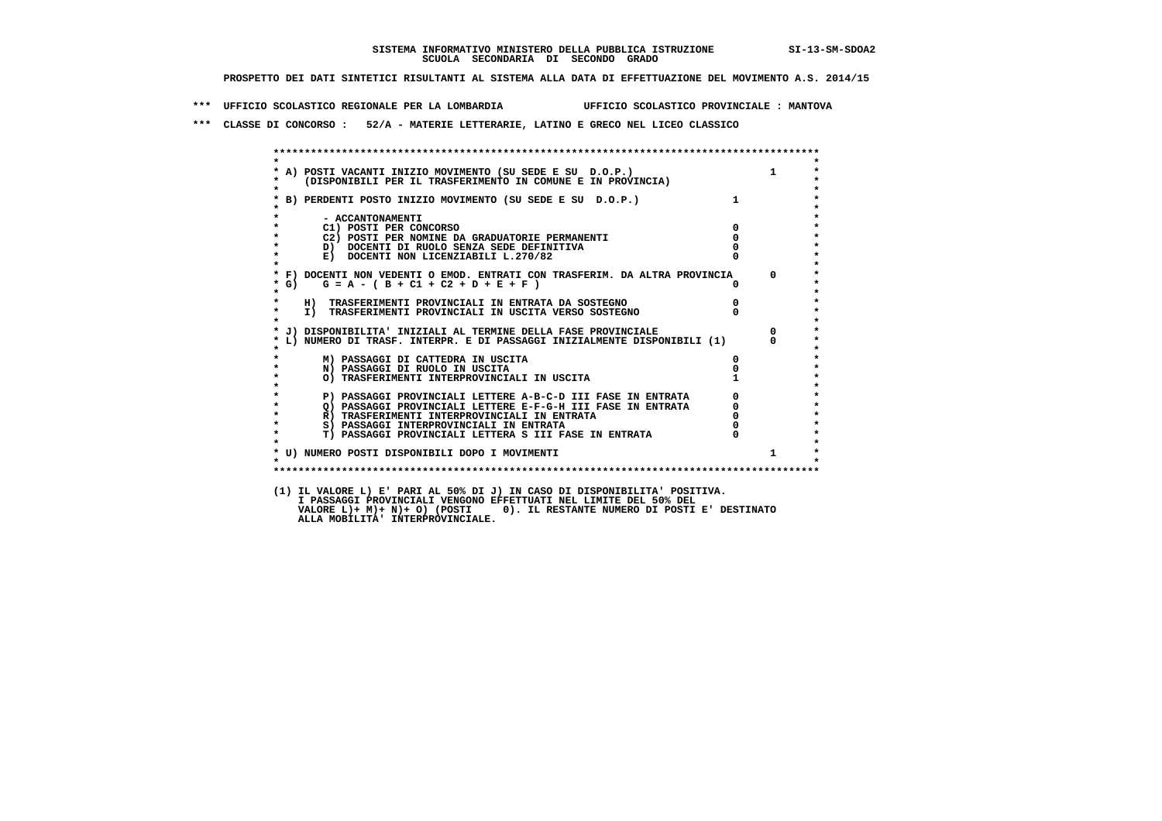**\*\*\* UFFICIO SCOLASTICO REGIONALE PER LA LOMBARDIA UFFICIO SCOLASTICO PROVINCIALE : MANTOVA**

 **\*\*\* CLASSE DI CONCORSO : 52/A - MATERIE LETTERARIE, LATINO E GRECO NEL LICEO CLASSICO**

 **\*\*\*\*\*\*\*\*\*\*\*\*\*\*\*\*\*\*\*\*\*\*\*\*\*\*\*\*\*\*\*\*\*\*\*\*\*\*\*\*\*\*\*\*\*\*\*\*\*\*\*\*\*\*\*\*\*\*\*\*\*\*\*\*\*\*\*\*\*\*\*\*\*\*\*\*\*\*\*\*\*\*\*\*\*\*\*\* \* \* \* A) POSTI VACANTI INIZIO MOVIMENTO (SU SEDE E SU D.O.P.) 1 \* \* (DISPONIBILI PER IL TRASFERIMENTO IN COMUNE E IN PROVINCIA) \* \* \* \* B) PERDENTI POSTO INIZIO MOVIMENTO (SU SEDE E SU D.O.P.) 1 \* \* \* \* - ACCANTONAMENTI \* \* C1) POSTI PER CONCORSO 0 \* \* C2) POSTI PER NOMINE DA GRADUATORIE PERMANENTI 0 \*b b** docenti di RUOLO SENZA SEDE DEFINITIVA  $\overline{D}$  **b**  $\overline{D}$  0  $\overline{D}$  0  $\overline{D}$  0  $\overline{D}$  0  $\overline{D}$  0  $\overline{D}$  0  $\overline{D}$  0  $\overline{D}$  0  $\overline{D}$  0  $\overline{D}$  0  $\overline{D}$  0  $\overline{D}$  0  $\overline{D}$  0  $\overline{D}$  0  $\overline{D}$ **E) DOCENTI NON LICENZIABILI L.270/82 \* \* \* F) DOCENTI NON VEDENTI O EMOD. ENTRATI CON TRASFERIM. DA ALTRA PROVINCIA 0 \* \* G) G = A - ( B + C1 + C2 + D + E + F ) 0 \* \* \* \* H) TRASFERIMENTI PROVINCIALI IN ENTRATA DA SOSTEGNO 0 \* \* I) TRASFERIMENTI PROVINCIALI IN USCITA VERSO SOSTEGNO 0 \* \* \* \* J) DISPONIBILITA' INIZIALI AL TERMINE DELLA FASE PROVINCIALE 0 \* \* L) NUMERO DI TRASF. INTERPR. E DI PASSAGGI INIZIALMENTE DISPONIBILI (1) 0 \* \* \* \* M) PASSAGGI DI CATTEDRA IN USCITA 0 \* \* N) PASSAGGI DI RUOLO IN USCITA 0 \*O) TRASFERIMENTI INTERPROVINCIALI IN USCITA \* \* P) PASSAGGI PROVINCIALI LETTERE A-B-C-D III FASE IN ENTRATA** 0 <sup>0</sup> **DASSAGGI PROVINCIALI LETTERE E-F-G-H** III FASE IN ENTRATA 0 <sup>0</sup> **2) PASSAGGI PROVINCIALI LETTERE E-F-G-H III FASE IN ENTRATA 6 0 R**) TRASFERIMENTI INTERPROVINCIALI IN ENTRATA 6 **0 R**) TRASFERIMENTI INTERPROVINCIALI IN ENTRATA  $\begin{bmatrix} 0 & 0 \\ 0 & 0 \\ 0 & 0 \end{bmatrix}$  **\* S) PASSAGGI INTERPROVINCIALI IN ENTRATA 0 \*** $\ddot{\phantom{1}}$  **\* T) PASSAGGI PROVINCIALI LETTERA S III FASE IN ENTRATA 0 \*** $\star$  **\* \* \* U) NUMERO POSTI DISPONIBILI DOPO I MOVIMENTI 1 \* \* \* \*\*\*\*\*\*\*\*\*\*\*\*\*\*\*\*\*\*\*\*\*\*\*\*\*\*\*\*\*\*\*\*\*\*\*\*\*\*\*\*\*\*\*\*\*\*\*\*\*\*\*\*\*\*\*\*\*\*\*\*\*\*\*\*\*\*\*\*\*\*\*\*\*\*\*\*\*\*\*\*\*\*\*\*\*\*\*\* (1) IL VALORE L) E' PARI AL 50% DI J) IN CASO DI DISPONIBILITA' POSITIVA. I PASSAGGI PROVINCIALI VENGONO EFFETTUATI NEL LIMITE DEL 50% DEL VALORE L)+ M)+ N)+ O) (POSTI 0). IL RESTANTE NUMERO DI POSTI E' DESTINATO ALLA MOBILITA' INTERPROVINCIALE.**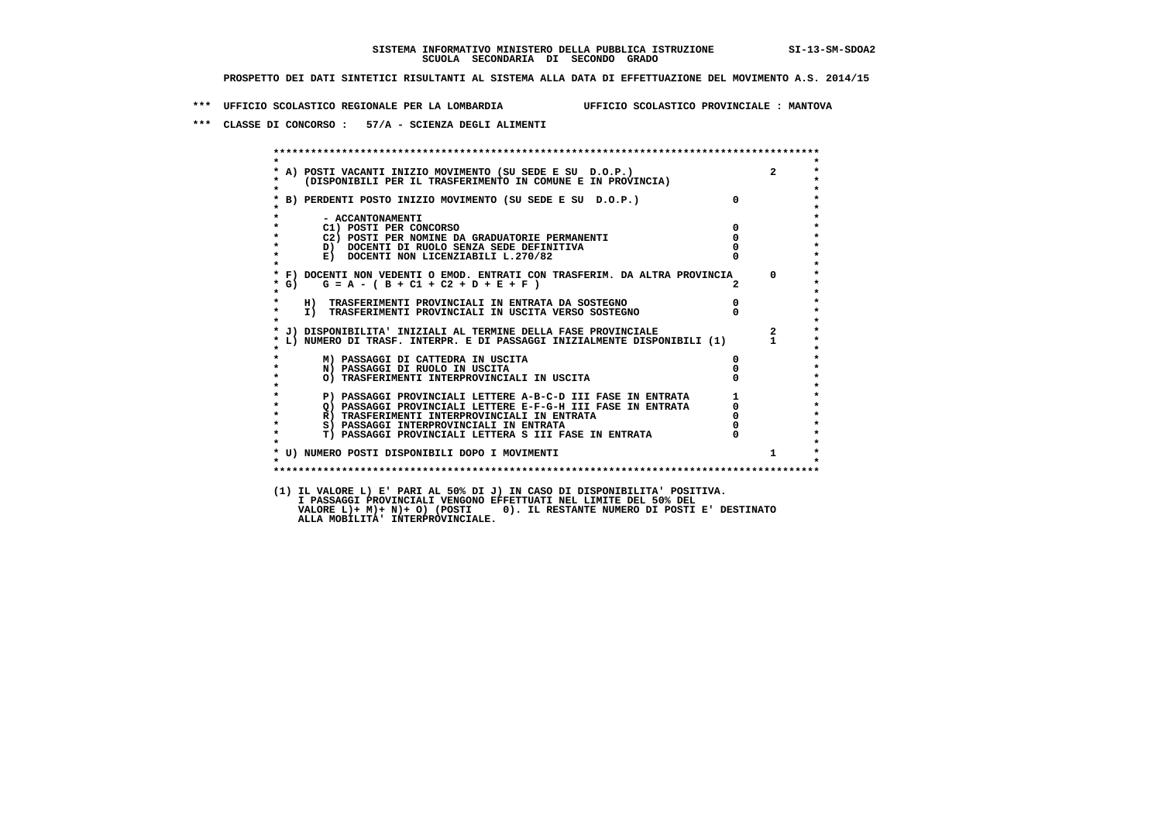**\*\*\* UFFICIO SCOLASTICO REGIONALE PER LA LOMBARDIA UFFICIO SCOLASTICO PROVINCIALE : MANTOVA**

 **\*\*\* CLASSE DI CONCORSO : 57/A - SCIENZA DEGLI ALIMENTI**

|                    | A) POSTI VACANTI INIZIO MOVIMENTO (SU SEDE E SU D.O.P.)<br>(DISPONIBILI PER IL TRASFERIMENTO IN COMUNE E IN PROVINCIA) |                                            | $2^{\circ}$  |
|--------------------|------------------------------------------------------------------------------------------------------------------------|--------------------------------------------|--------------|
|                    | * B) PERDENTI POSTO INIZIO MOVIMENTO (SU SEDE E SU D.O.P.)                                                             | $\overline{0}$                             |              |
|                    | - ACCANTONAMENTI                                                                                                       | $\overline{0}$                             |              |
|                    | C1) POSTI PER CONCORSO                                                                                                 | $\Omega$                                   |              |
| $\star$            | C2) POSTI PER NOMINE DA GRADUATORIE PERMANENTI<br>D) DOCENTI DI RUOLO SENZA SEDE DEFINITIVA                            |                                            |              |
| $\star$            | E) DOCENTI NON LICENZIABILI L.270/82                                                                                   |                                            |              |
| $*$ G)             | * F) DOCENTI NON VEDENTI O EMOD. ENTRATI CON TRASFERIM. DA ALTRA PROVINCIA<br>$G = A - (B + C1 + C2 + D + E + F)$      |                                            | $\Omega$     |
| $\star$<br>$\star$ | H) TRASFERIMENTI PROVINCIALI IN ENTRATA DA SOSTEGNO                                                                    | $\overline{0}$                             |              |
| $\star$            | I) TRASFERIMENTI PROVINCIALI IN USCITA VERSO SOSTEGNO                                                                  |                                            |              |
|                    | * J) DISPONIBILITA' INIZIALI AL TERMINE DELLA FASE PROVINCIALE                                                         |                                            | $\mathbf{2}$ |
|                    | L) NUMERO DI TRASF. INTERPR. E DI PASSAGGI INIZIALMENTE DISPONIBILI (1)                                                |                                            |              |
|                    | M) PASSAGGI DI CATTEDRA IN USCITA                                                                                      | $\mathbf{0}$                               |              |
| $\star$            | N) PASSAGGI DI RUOLO IN USCITA                                                                                         |                                            |              |
|                    | O) TRASFERIMENTI INTERPROVINCIALI IN USCITA                                                                            |                                            |              |
|                    | P) PASSAGGI PROVINCIALI LETTERE A-B-C-D III FASE IN ENTRATA                                                            | $\begin{array}{c} 1 \\ 0 \\ 0 \end{array}$ |              |
|                    | Q) PASSAGGI PROVINCIALI LETTERE E-F-G-H III FASE IN ENTRATA                                                            |                                            |              |
| $\star$            | R) TRASFERIMENTI INTERPROVINCIALI IN ENTRATA                                                                           |                                            |              |
| $\star$            | S) PASSAGGI INTERPROVINCIALI IN ENTRATA                                                                                |                                            |              |
| $\star$            | T) PASSAGGI PROVINCIALI LETTERA S III FASE IN ENTRATA                                                                  |                                            |              |
| $\star$            | * U) NUMERO POSTI DISPONIBILI DOPO I MOVIMENTI                                                                         |                                            | $1 \quad$    |
|                    |                                                                                                                        |                                            |              |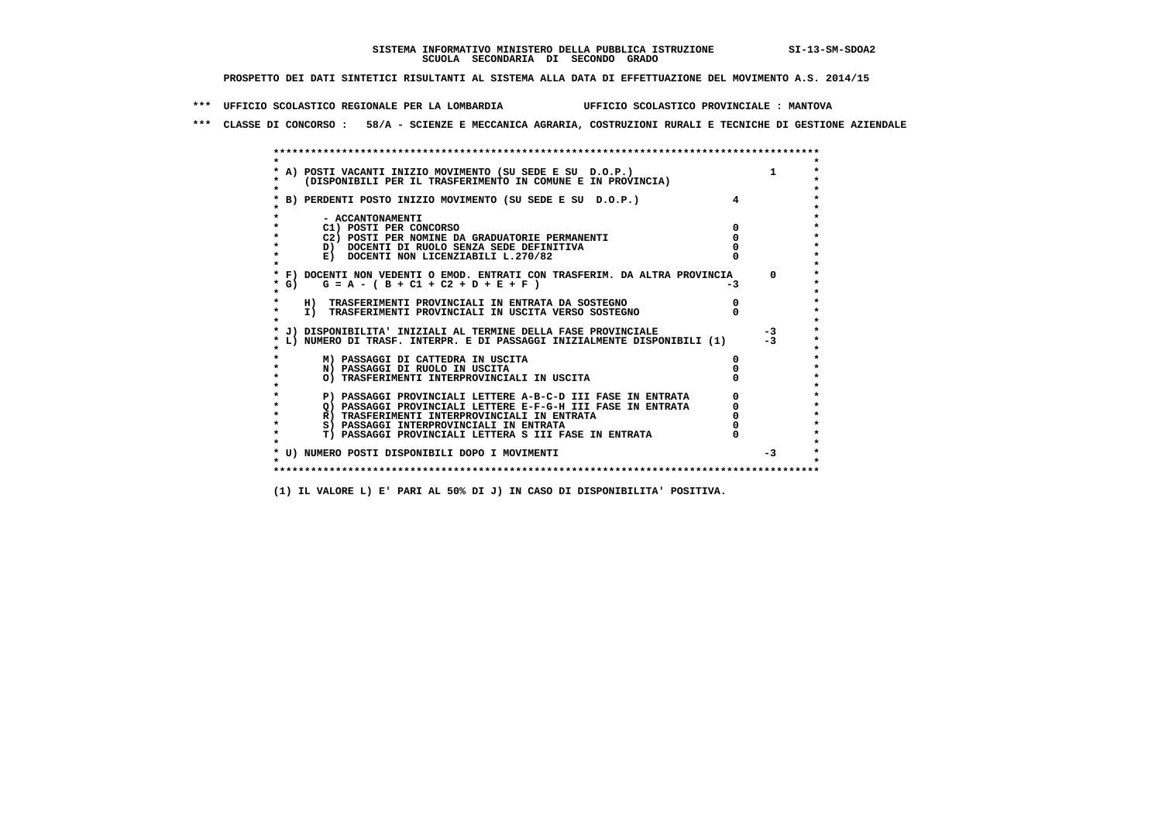**\*\*\* UFFICIO SCOLASTICO REGIONALE PER LA LOMBARDIA UFFICIO SCOLASTICO PROVINCIALE : MANTOVA**

 **\*\*\* CLASSE DI CONCORSO : 58/A - SCIENZE E MECCANICA AGRARIA, COSTRUZIONI RURALI E TECNICHE DI GESTIONE AZIENDALE**

|        | A) POSTI VACANTI INIZIO MOVIMENTO (SU SEDE E SU D.O.P.)                    |    |          |
|--------|----------------------------------------------------------------------------|----|----------|
|        | (DISPONIBILI PER IL TRASFERIMENTO IN COMUNE E IN PROVINCIA)                |    |          |
|        |                                                                            |    |          |
|        | B) PERDENTI POSTO INIZIO MOVIMENTO (SU SEDE E SU D.O.P.)                   |    |          |
|        |                                                                            |    |          |
|        | - ACCANTONAMENTI                                                           |    |          |
|        | C1) POSTI PER CONCORSO                                                     |    |          |
|        | C2) POSTI PER NOMINE DA GRADUATORIE PERMANENTI                             |    |          |
|        | D) DOCENTI DI RUOLO SENZA SEDE DEFINITIVA                                  |    |          |
|        | E) DOCENTI NON LICENZIABILI L.270/82                                       |    |          |
|        | * F) DOCENTI NON VEDENTI O EMOD. ENTRATI CON TRASFERIM. DA ALTRA PROVINCIA |    | $\Omega$ |
| * G) = | $G = A - (B + C1 + C2 + D + E + F)$                                        | -3 |          |
|        |                                                                            |    |          |
|        | H) TRASFERIMENTI PROVINCIALI IN ENTRATA DA SOSTEGNO                        |    |          |
|        | I) TRASFERIMENTI PROVINCIALI IN USCITA VERSO SOSTEGNO                      |    |          |
|        |                                                                            |    |          |
|        | J) DISPONIBILITA' INIZIALI AL TERMINE DELLA FASE PROVINCIALE               |    | $-3$     |
|        | L) NUMERO DI TRASF. INTERPR. E DI PASSAGGI INIZIALMENTE DISPONIBILI (1)    |    |          |
|        |                                                                            |    |          |
|        | M) PASSAGGI DI CATTEDRA IN USCITA                                          |    |          |
|        | N) PASSAGGI DI RUOLO IN USCITA                                             |    |          |
|        | O) TRASFERIMENTI INTERPROVINCIALI IN USCITA                                |    |          |
|        |                                                                            |    |          |
|        | P) PASSAGGI PROVINCIALI LETTERE A-B-C-D III FASE IN ENTRATA                |    |          |
|        | O) PASSAGGI PROVINCIALI LETTERE E-F-G-H III FASE IN ENTRATA                |    |          |
|        | R) TRASFERIMENTI INTERPROVINCIALI IN ENTRATA                               |    |          |
|        | S) PASSAGGI INTERPROVINCIALI IN ENTRATA                                    |    |          |
|        | T) PASSAGGI PROVINCIALI LETTERA S III FASE IN ENTRATA                      |    |          |
|        |                                                                            |    |          |
|        | * U) NUMERO POSTI DISPONIBILI DOPO I MOVIMENTI                             |    | $-3$     |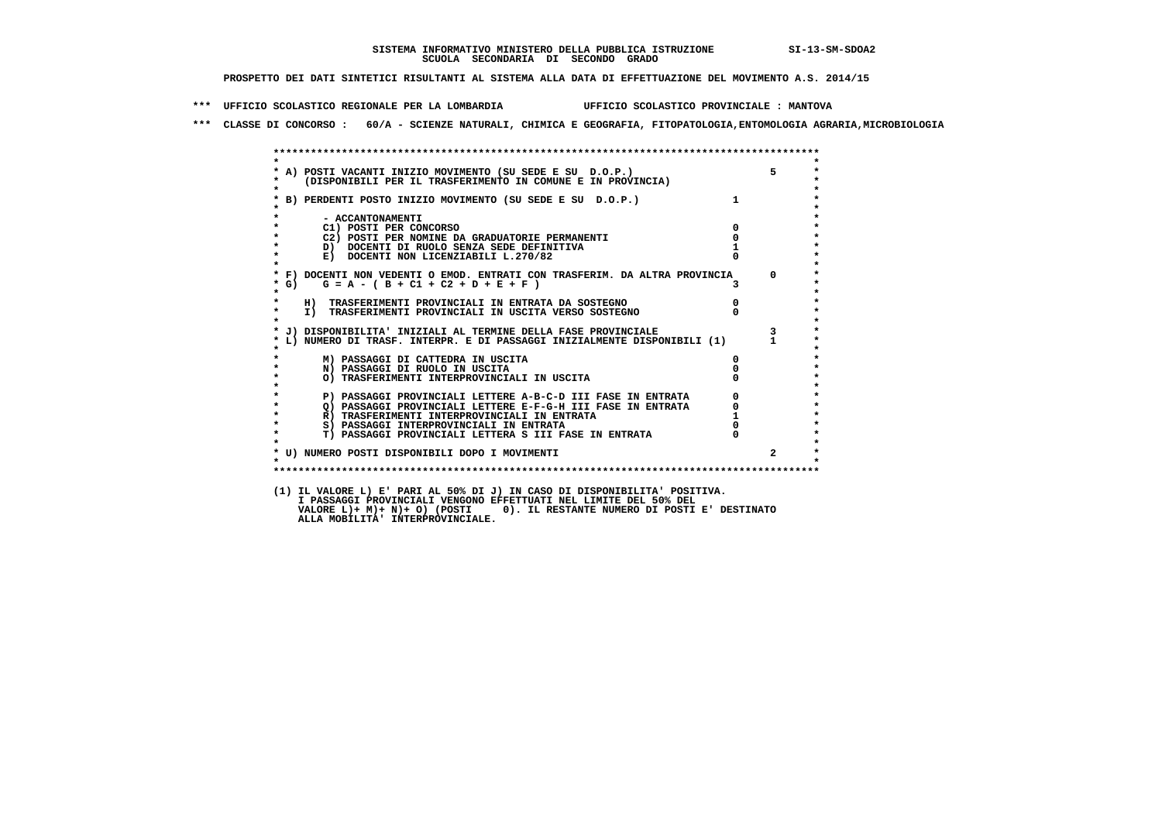**\*\*\* UFFICIO SCOLASTICO REGIONALE PER LA LOMBARDIA UFFICIO SCOLASTICO PROVINCIALE : MANTOVA**

 **\*\*\* CLASSE DI CONCORSO : 60/A - SCIENZE NATURALI, CHIMICA E GEOGRAFIA, FITOPATOLOGIA,ENTOMOLOGIA AGRARIA,MICROBIOLOGIA**

|                    | * A) POSTI VACANTI INIZIO MOVIMENTO (SU SEDE E SU D.O.P.)<br>* (DISPONIBILI PER IL TRASFERIMENTO IN COMUNE E IN PROVINCIA) |                | $5 - 1$        |
|--------------------|----------------------------------------------------------------------------------------------------------------------------|----------------|----------------|
|                    | * B) PERDENTI POSTO INIZIO MOVIMENTO (SU SEDE E SU D.O.P.)                                                                 |                |                |
|                    | - ACCANTONAMENTI                                                                                                           |                |                |
| $\star$            | C1) POSTI PER CONCORSO                                                                                                     | $\mathbf{0}$   |                |
| $\star$            | C2) POSTI PER NOMINE DA GRADUATORIE PERMANENTI                                                                             | 0              |                |
| $\star$            | D) DOCENTI DI RUOLO SENZA SEDE DEFINITIVA                                                                                  |                |                |
| $\star$<br>$\star$ | E) DOCENTI NON LICENZIABILI L.270/82                                                                                       |                |                |
|                    | * F) DOCENTI NON VEDENTI O EMOD. ENTRATI CON TRASFERIM. DA ALTRA PROVINCIA                                                 |                | $\Omega$       |
| $*$ G)             | $G = A - (B + C1 + C2 + D + E + F)$                                                                                        |                |                |
| $\star$            | H) TRASFERIMENTI PROVINCIALI IN ENTRATA DA SOSTEGNO                                                                        | $\overline{0}$ |                |
| $\star$<br>$\cdot$ | I) TRASFERIMENTI PROVINCIALI IN USCITA VERSO SOSTEGNO                                                                      |                |                |
|                    | * J) DISPONIBILITA' INIZIALI AL TERMINE DELLA FASE PROVINCIALE                                                             |                |                |
|                    | L) NUMERO DI TRASF. INTERPR. E DI PASSAGGI INIZIALMENTE DISPONIBILI (1)                                                    |                | $\mathbf{1}$   |
| $\star$            | M) PASSAGGI DI CATTEDRA IN USCITA                                                                                          | 0              |                |
| $\star$            | N) PASSAGGI DI RUOLO IN USCITA                                                                                             |                |                |
| $\star$            | O) TRASFERIMENTI INTERPROVINCIALI IN USCITA                                                                                |                |                |
|                    | P) PASSAGGI PROVINCIALI LETTERE A-B-C-D III FASE IN ENTRATA                                                                | $^{\circ}$     |                |
| $\star$            | Q) PASSAGGI PROVINCIALI LETTERE E-F-G-H III FASE IN ENTRATA                                                                | $\mathbf{0}$   |                |
| $\star$            | R) TRASFERIMENTI INTERPROVINCIALI IN ENTRATA                                                                               |                |                |
| $\star$            | S) PASSAGGI INTERPROVINCIALI IN ENTRATA                                                                                    |                |                |
| $\star$            | T) PASSAGGI PROVINCIALI LETTERA S III FASE IN ENTRATA                                                                      |                |                |
| $\mathbf{r}$       |                                                                                                                            |                |                |
|                    | * U) NUMERO POSTI DISPONIBILI DOPO I MOVIMENTI                                                                             |                | $\overline{a}$ |
|                    |                                                                                                                            |                |                |

 **I PASSAGGI PROVINCIALI VENGONO EFFETTUATI NEL LIMITE DEL 50% DEL VALORE L)+ M)+ N)+ O) (POSTI 0). IL RESTANTE NUMERO DI POSTI E' DESTINATO ALLA MOBILITA' INTERPROVINCIALE.**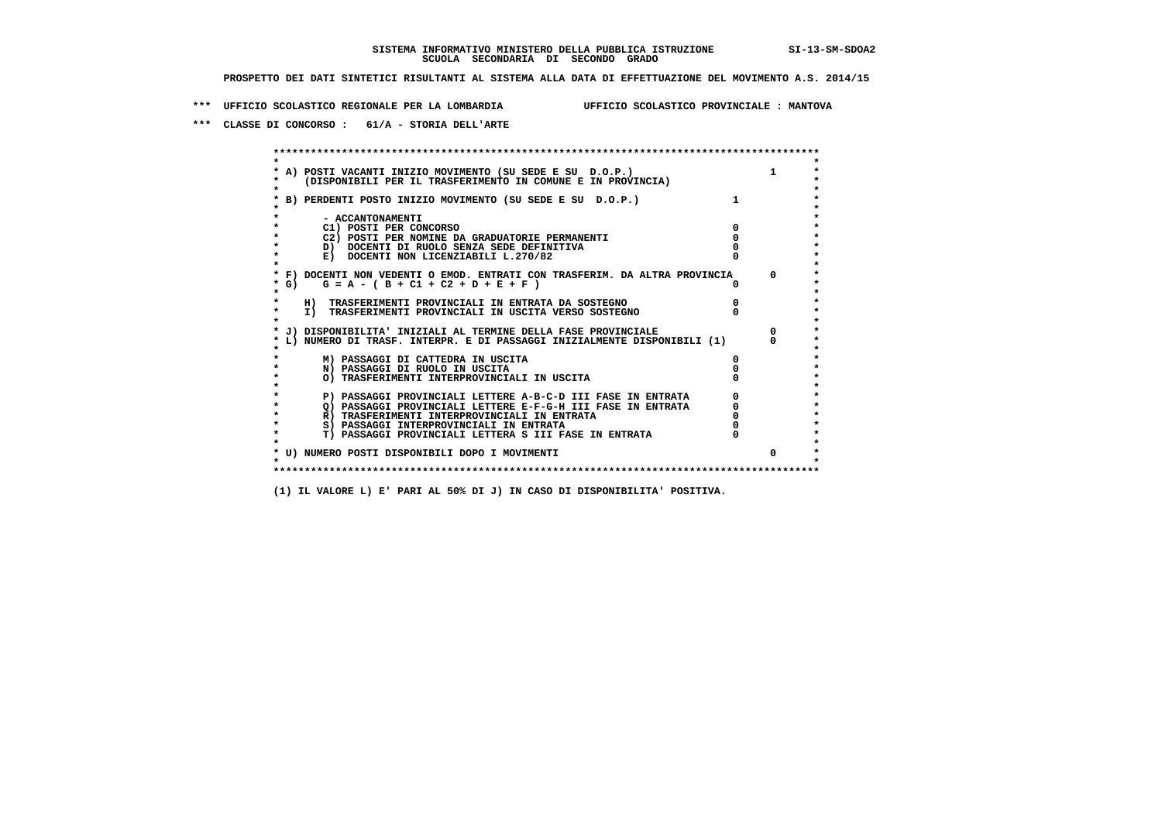**\*\*\* UFFICIO SCOLASTICO REGIONALE PER LA LOMBARDIA UFFICIO SCOLASTICO PROVINCIALE : MANTOVA**

 **\*\*\* CLASSE DI CONCORSO : 61/A - STORIA DELL'ARTE**

 **\*\*\*\*\*\*\*\*\*\*\*\*\*\*\*\*\*\*\*\*\*\*\*\*\*\*\*\*\*\*\*\*\*\*\*\*\*\*\*\*\*\*\*\*\*\*\*\*\*\*\*\*\*\*\*\*\*\*\*\*\*\*\*\*\*\*\*\*\*\*\*\*\*\*\*\*\*\*\*\*\*\*\*\*\*\*\*\* \* \*** $\bullet$  **\* A) POSTI VACANTI INIZIO MOVIMENTO (SU SEDE E SU D.O.P.) 1 \*** $\star$  **\* (DISPONIBILI PER IL TRASFERIMENTO IN COMUNE E IN PROVINCIA) \* \* \* \* B) PERDENTI POSTO INIZIO MOVIMENTO (SU SEDE E SU D.O.P.) 1 \* \* \* \* - ACCANTONAMENTI \* \* C1) POSTI PER CONCORSO 0 \* \* C2) POSTI PER NOMINE DA GRADUATORIE PERMANENTI 0 \*D)** DOCENTI DI RUOLO SENZA SEDE DEFINITIVA  $\overline{a}$  0  $\overline{b}$  0  $\overline{c}$  0  $\overline{c}$  0  $\overline{c}$  0  $\overline{a}$  0  $\overline{c}$ **E) DOCENTI NON LICENZIABILI L.270/82 \* \* \* F) DOCENTI NON VEDENTI O EMOD. ENTRATI CON TRASFERIM. DA ALTRA PROVINCIA 0 \* \* G) G = A - ( B + C1 + C2 + D + E + F ) 0 \* \* \* \* H) TRASFERIMENTI PROVINCIALI IN ENTRATA DA SOSTEGNO 0 \* \* I) TRASFERIMENTI PROVINCIALI IN USCITA VERSO SOSTEGNO 0 \* \* \* \* J) DISPONIBILITA' INIZIALI AL TERMINE DELLA FASE PROVINCIALE 0 \* \* L) NUMERO DI TRASF. INTERPR. E DI PASSAGGI INIZIALMENTE DISPONIBILI (1) 0 \* \* \* \* M) PASSAGGI DI CATTEDRA IN USCITA 0 \* \* N) PASSAGGI DI RUOLO IN USCITA 0 \* \* O) TRASFERIMENTI INTERPROVINCIALI IN USCITA 0 \* \* \* P) PASSAGGI PROVINCIALI LETTERE A-B-C-D III FASE IN ENTRATA 0 \*\*\***<br>0 passaggi provinciali lettere e-f-G-H iii fase in entrata \*\*\*\*\*\*\*\*\*\*\*\*\*\*\*\*\*\*\*\*\*  $\star$  **\* Q) PASSAGGI PROVINCIALI LETTERE E-F-G-H III FASE IN ENTRATA 0 \*R)** TRASFERIMENTI INTERPROVINCIALI IN ENTRATA  $\begin{bmatrix} 0 & 0 \\ 0 & 0 \\ 0 & 0 \end{bmatrix}$  PASSAGGI INTERPROVINCIALI IN ENTRATA  $\begin{bmatrix} 0 & 0 \\ 0 & 0 \\ 0 & 0 \end{bmatrix}$  **\* S) PASSAGGI INTERPROVINCIALI IN ENTRATA 0 \*** $\ddot{\phantom{1}}$  **\* T) PASSAGGI PROVINCIALI LETTERA S III FASE IN ENTRATA 0 \*** $\star$  **\* \* \* U) NUMERO POSTI DISPONIBILI DOPO I MOVIMENTI 0 \* \* \* \*\*\*\*\*\*\*\*\*\*\*\*\*\*\*\*\*\*\*\*\*\*\*\*\*\*\*\*\*\*\*\*\*\*\*\*\*\*\*\*\*\*\*\*\*\*\*\*\*\*\*\*\*\*\*\*\*\*\*\*\*\*\*\*\*\*\*\*\*\*\*\*\*\*\*\*\*\*\*\*\*\*\*\*\*\*\*\***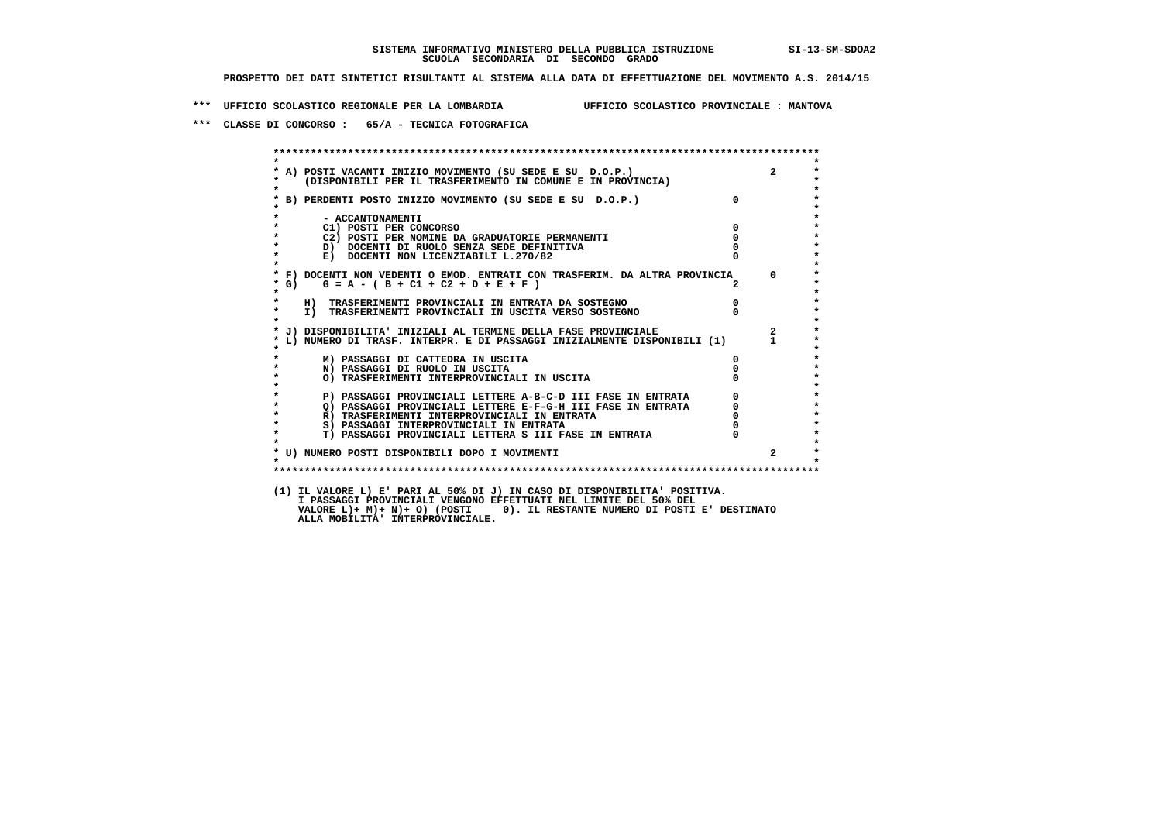**\*\*\* UFFICIO SCOLASTICO REGIONALE PER LA LOMBARDIA UFFICIO SCOLASTICO PROVINCIALE : MANTOVA**

 **\*\*\* CLASSE DI CONCORSO : 65/A - TECNICA FOTOGRAFICA**

| $\star$           | A) POSTI VACANTI INIZIO MOVIMENTO (SU SEDE E SU D.O.P.)<br>(DISPONIBILI PER IL TRASFERIMENTO IN COMUNE E IN PROVINCIA) |                                             | $2^{\circ}$    |
|-------------------|------------------------------------------------------------------------------------------------------------------------|---------------------------------------------|----------------|
|                   |                                                                                                                        |                                             |                |
|                   | * B) PERDENTI POSTO INIZIO MOVIMENTO (SU SEDE E SU D.O.P.)                                                             | $\mathbf{0}$                                |                |
|                   | - ACCANTONAMENTI                                                                                                       |                                             |                |
|                   | C1) POSTI PER CONCORSO                                                                                                 | $\overline{0}$                              |                |
|                   | C2) POSTI PER NOMINE DA GRADUATORIE PERMANENTI                                                                         | $\Omega$                                    |                |
|                   | D) DOCENTI DI RUOLO SENZA SEDE DEFINITIVA                                                                              |                                             |                |
| $\star$           | E) DOCENTI NON LICENZIABILI L.270/82                                                                                   |                                             |                |
|                   | * F) DOCENTI NON VEDENTI O EMOD. ENTRATI CON TRASFERIM. DA ALTRA PROVINCIA                                             |                                             | $\Omega$       |
| $*$ G)<br>$\star$ | $G = A - (B + C1 + C2 + D + E + F)$                                                                                    |                                             |                |
|                   | H) TRASFERIMENTI PROVINCIALI IN ENTRATA DA SOSTEGNO<br>I) TRASFERIMENTI PROVINCIALI IN USCITA VERSO SOSTEGNO           | $\overline{\mathbf{0}}$                     |                |
| $\star$           |                                                                                                                        |                                             |                |
|                   | * J) DISPONIBILITA' INIZIALI AL TERMINE DELLA FASE PROVINCIALE                                                         |                                             | $2^{\circ}$    |
|                   | L) NUMERO DI TRASF. INTERPR. E DI PASSAGGI INIZIALMENTE DISPONIBILI (1) 1                                              |                                             |                |
|                   | M) PASSAGGI DI CATTEDRA IN USCITA                                                                                      | $\mathbf{0}$                                |                |
|                   | N) PASSAGGI DI RUOLO IN USCITA                                                                                         |                                             |                |
|                   | O) TRASFERIMENTI INTERPROVINCIALI IN USCITA                                                                            |                                             |                |
|                   | P) PASSAGGI PROVINCIALI LETTERE A-B-C-D III FASE IN ENTRATA                                                            | $\begin{bmatrix} 0 \\ 0 \\ 0 \end{bmatrix}$ |                |
| $\bullet$         | Q) PASSAGGI PROVINCIALI LETTERE E-F-G-H III FASE IN ENTRATA                                                            |                                             |                |
| $\star$           | R) TRASFERIMENTI INTERPROVINCIALI IN ENTRATA                                                                           |                                             |                |
| $\bullet$         | S) PASSAGGI INTERPROVINCIALI IN ENTRATA                                                                                |                                             |                |
| $\star$           | T) PASSAGGI PROVINCIALI LETTERA S III FASE IN ENTRATA                                                                  |                                             |                |
|                   | * U) NUMERO POSTI DISPONIBILI DOPO I MOVIMENTI                                                                         |                                             | $\overline{2}$ |
| $\mathbf{r}$      |                                                                                                                        |                                             |                |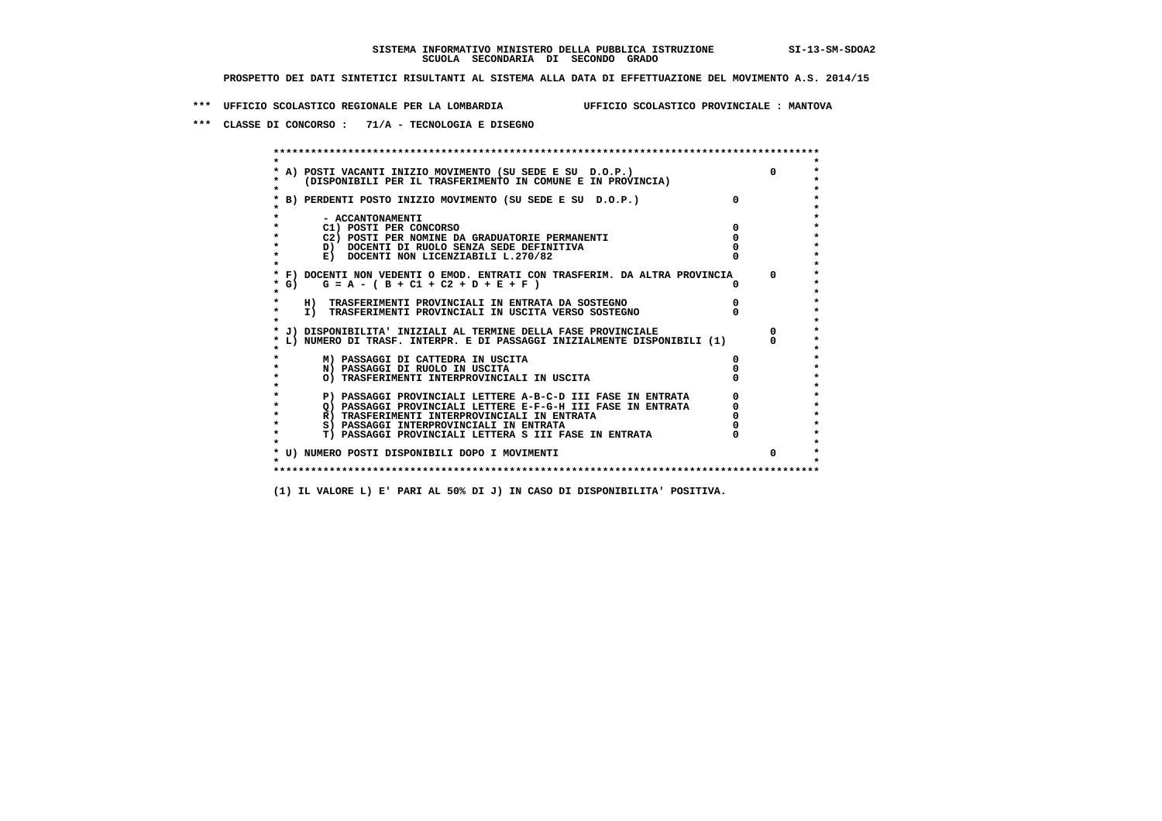**\*\*\* UFFICIO SCOLASTICO REGIONALE PER LA LOMBARDIA UFFICIO SCOLASTICO PROVINCIALE : MANTOVA**

 **\*\*\* CLASSE DI CONCORSO : 71/A - TECNOLOGIA E DISEGNO**

 **\*\*\*\*\*\*\*\*\*\*\*\*\*\*\*\*\*\*\*\*\*\*\*\*\*\*\*\*\*\*\*\*\*\*\*\*\*\*\*\*\*\*\*\*\*\*\*\*\*\*\*\*\*\*\*\*\*\*\*\*\*\*\*\*\*\*\*\*\*\*\*\*\*\*\*\*\*\*\*\*\*\*\*\*\*\*\*\* \* \*** $\bullet$  **\* A) POSTI VACANTI INIZIO MOVIMENTO (SU SEDE E SU D.O.P.) 0 \*** $\star$  **\* (DISPONIBILI PER IL TRASFERIMENTO IN COMUNE E IN PROVINCIA) \*** $\bullet$  **\* \* \* B) PERDENTI POSTO INIZIO MOVIMENTO (SU SEDE E SU D.O.P.) 0 \* \* \* \* - ACCANTONAMENTI \* \* C1) POSTI PER CONCORSO 0 \* \* C2) POSTI PER NOMINE DA GRADUATORIE PERMANENTI 0 \*D)** DOCENTI DI RUOLO SENZA SEDE DEFINITIVA  $\overline{a}$  0  $\overline{b}$  0  $\overline{c}$  0  $\overline{c}$  0  $\overline{c}$  0  $\overline{a}$  0  $\overline{b}$ **E) DOCENTI NON LICENZIABILI L.270/82 \* \* \* F) DOCENTI NON VEDENTI O EMOD. ENTRATI CON TRASFERIM. DA ALTRA PROVINCIA 0 \* \* G) G = A - ( B + C1 + C2 + D + E + F ) 0 \* \* \* \* H) TRASFERIMENTI PROVINCIALI IN ENTRATA DA SOSTEGNO 0 \* \* I) TRASFERIMENTI PROVINCIALI IN USCITA VERSO SOSTEGNO 0 \* \* \* \* J) DISPONIBILITA' INIZIALI AL TERMINE DELLA FASE PROVINCIALE 0 \* \* L) NUMERO DI TRASF. INTERPR. E DI PASSAGGI INIZIALMENTE DISPONIBILI (1) 0 \* \* \* \* M) PASSAGGI DI CATTEDRA IN USCITA 0 \* \* N) PASSAGGI DI RUOLO IN USCITA 0 \* \* O) TRASFERIMENTI INTERPROVINCIALI IN USCITA 0 \* \* \* P) PASSAGGI PROVINCIALI LETTERE A-B-C-D III FASE IN ENTRATA** 0 <sup>0</sup> **DASSAGGI PROVINCIALI LETTERE E-F-G-H** III FASE IN ENTRATA 0 <sup>0</sup>  $\star$  **\* Q) PASSAGGI PROVINCIALI LETTERE E-F-G-H III FASE IN ENTRATA 0 \*R)** TRASFERIMENTI INTERPROVINCIALI IN ENTRATA  $\begin{bmatrix} 0 & 0 \\ 0 & 0 \\ 0 & 0 \end{bmatrix}$  PASSAGGI INTERPROVINCIALI IN ENTRATA  $\begin{bmatrix} 0 & 0 \\ 0 & 0 \\ 0 & 0 \end{bmatrix}$  **\* S) PASSAGGI INTERPROVINCIALI IN ENTRATA 0 \*** $\ddot{\phantom{1}}$  **\* T) PASSAGGI PROVINCIALI LETTERA S III FASE IN ENTRATA 0 \*** $\star$  **\* \* \* U) NUMERO POSTI DISPONIBILI DOPO I MOVIMENTI 0 \* \* \* \*\*\*\*\*\*\*\*\*\*\*\*\*\*\*\*\*\*\*\*\*\*\*\*\*\*\*\*\*\*\*\*\*\*\*\*\*\*\*\*\*\*\*\*\*\*\*\*\*\*\*\*\*\*\*\*\*\*\*\*\*\*\*\*\*\*\*\*\*\*\*\*\*\*\*\*\*\*\*\*\*\*\*\*\*\*\*\***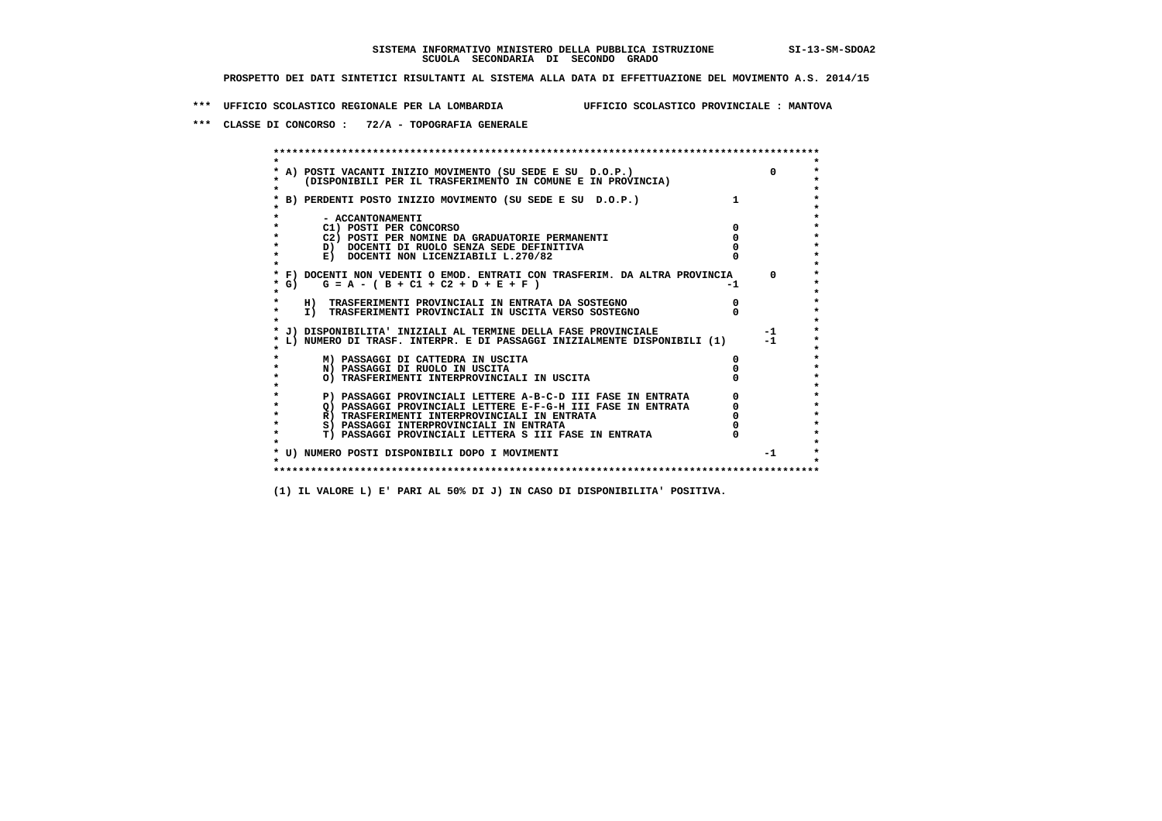**\*\*\* UFFICIO SCOLASTICO REGIONALE PER LA LOMBARDIA UFFICIO SCOLASTICO PROVINCIALE : MANTOVA**

 **\*\*\* CLASSE DI CONCORSO : 72/A - TOPOGRAFIA GENERALE**

 **\*\*\*\*\*\*\*\*\*\*\*\*\*\*\*\*\*\*\*\*\*\*\*\*\*\*\*\*\*\*\*\*\*\*\*\*\*\*\*\*\*\*\*\*\*\*\*\*\*\*\*\*\*\*\*\*\*\*\*\*\*\*\*\*\*\*\*\*\*\*\*\*\*\*\*\*\*\*\*\*\*\*\*\*\*\*\*\* \* \*** $\bullet$  **\* A) POSTI VACANTI INIZIO MOVIMENTO (SU SEDE E SU D.O.P.) 0 \* \* (DISPONIBILI PER IL TRASFERIMENTO IN COMUNE E IN PROVINCIA) \* \* \* \* B) PERDENTI POSTO INIZIO MOVIMENTO (SU SEDE E SU D.O.P.) 1 \* \* \* \* - ACCANTONAMENTI \* \* C1) POSTI PER CONCORSO 0 \* \* C2) POSTI PER NOMINE DA GRADUATORIE PERMANENTI 0 \*D)** DOCENTI DI RUOLO SENZA SEDE DEFINITIVA  $\overline{a}$  0  $\overline{b}$  0  $\overline{c}$  0  $\overline{c}$  0  $\overline{c}$  0  $\overline{a}$  0  $\overline{b}$ **E) DOCENTI NON LICENZIABILI L.270/82 \* \* \* F) DOCENTI NON VEDENTI O EMOD. ENTRATI CON TRASFERIM. DA ALTRA PROVINCIA 0 \***  $\star$  **G)** G = A - ( B + C1 + C2 + D + E + F)  **\* \* \* H) TRASFERIMENTI PROVINCIALI IN ENTRATA DA SOSTEGNO 0 \* \* I) TRASFERIMENTI PROVINCIALI IN USCITA VERSO SOSTEGNO 0 \* \* \* \* J) DISPONIBILITA' INIZIALI AL TERMINE DELLA FASE PROVINCIALE -1 \* \* L) NUMERO DI TRASF. INTERPR. E DI PASSAGGI INIZIALMENTE DISPONIBILI (1) -1 \* \* \* \* M) PASSAGGI DI CATTEDRA IN USCITA 0 \* \* N) PASSAGGI DI RUOLO IN USCITA 0 \* \* O) TRASFERIMENTI INTERPROVINCIALI IN USCITA 0 \* \* \* P) PASSAGGI PROVINCIALI LETTERE A-B-C-D III FASE IN ENTRATA** 0 <sup>0</sup> **DASSAGGI PROVINCIALI LETTERE E-F-G-H** III FASE IN ENTRATA 0 <sup>0</sup> **2) PASSAGGI PROVINCIALI LETTERE E-F-G-H III FASE IN ENTRATA 6 0 R**) TRASFERIMENTI INTERPROVINCIALI IN ENTRATA 6 **0 R)** TRASFERIMENTI INTERPROVINCIALI IN ENTRATA  $\begin{bmatrix} 0 & 0 \\ 0 & 0 \\ 0 & 0 \end{bmatrix}$  PASSAGGI INTERPROVINCIALI IN ENTRATA  $\begin{bmatrix} 0 & 0 \\ 0 & 0 \\ 0 & 0 \end{bmatrix}$  **\* S) PASSAGGI INTERPROVINCIALI IN ENTRATA 0 \*** $\ddot{\phantom{1}}$  **\* T) PASSAGGI PROVINCIALI LETTERA S III FASE IN ENTRATA 0 \*** $\star$  **\* \* \* U) NUMERO POSTI DISPONIBILI DOPO I MOVIMENTI -1 \* \* \* \*\*\*\*\*\*\*\*\*\*\*\*\*\*\*\*\*\*\*\*\*\*\*\*\*\*\*\*\*\*\*\*\*\*\*\*\*\*\*\*\*\*\*\*\*\*\*\*\*\*\*\*\*\*\*\*\*\*\*\*\*\*\*\*\*\*\*\*\*\*\*\*\*\*\*\*\*\*\*\*\*\*\*\*\*\*\*\***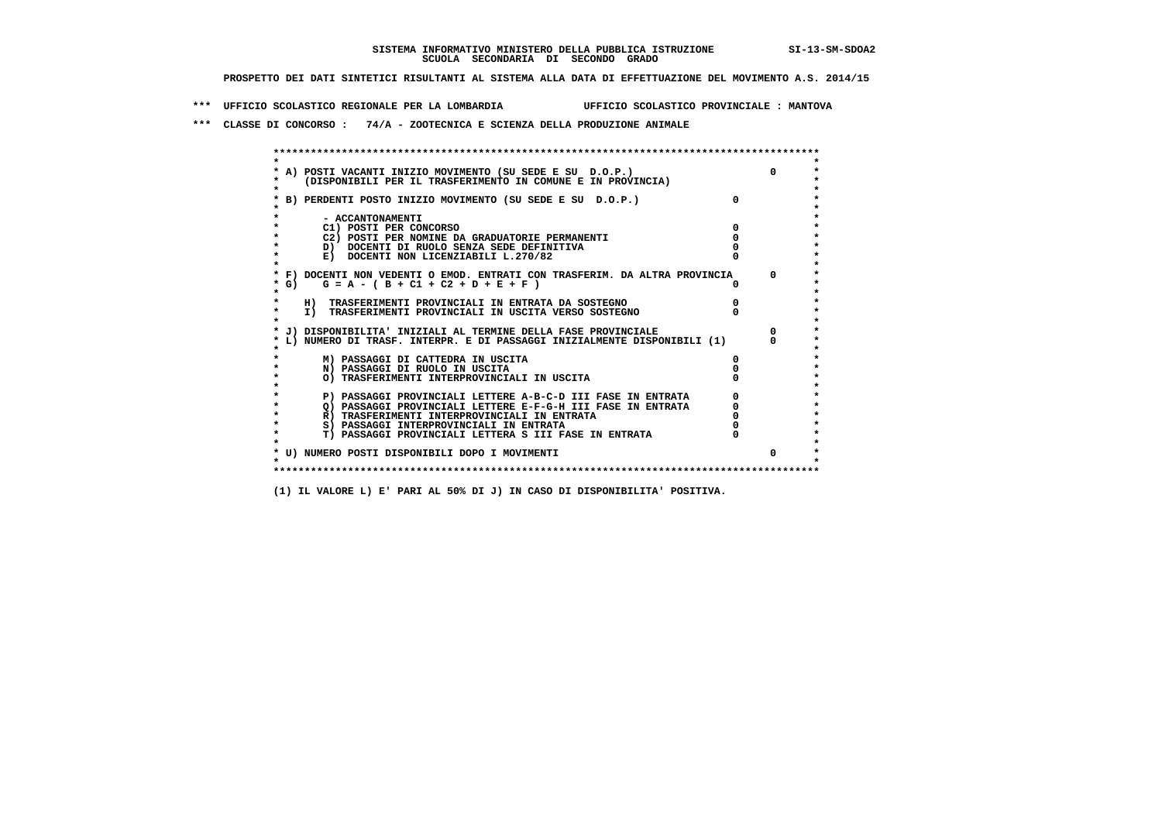**\*\*\* UFFICIO SCOLASTICO REGIONALE PER LA LOMBARDIA UFFICIO SCOLASTICO PROVINCIALE : MANTOVA**

 **\*\*\* CLASSE DI CONCORSO : 74/A - ZOOTECNICA E SCIENZA DELLA PRODUZIONE ANIMALE**

|         | * A) POSTI VACANTI INIZIO MOVIMENTO (SU SEDE E SU D.O.P.)                     |          |
|---------|-------------------------------------------------------------------------------|----------|
|         | (DISPONIBILI PER IL TRASFERIMENTO IN COMUNE E IN PROVINCIA)                   |          |
|         |                                                                               |          |
|         | B) PERDENTI POSTO INIZIO MOVIMENTO (SU SEDE E SU D.O.P.)                      | $\Omega$ |
|         |                                                                               |          |
|         | - ACCANTONAMENTI                                                              |          |
|         | C1) POSTI PER CONCORSO                                                        |          |
|         | C2) POSTI PER NOMINE DA GRADUATORIE PERMANENTI                                |          |
|         | D) DOCENTI DI RUOLO SENZA SEDE DEFINITIVA                                     |          |
|         | E) DOCENTI NON LICENZIABILI L.270/82                                          |          |
|         | * F) DOCENTI NON VEDENTI O EMOD. ENTRATI CON TRASFERIM. DA ALTRA PROVINCIA    |          |
| * G) +  | $G = A - (B + C1 + C2 + D + E + F)$                                           |          |
|         |                                                                               |          |
|         | H) TRASFERIMENTI PROVINCIALI IN ENTRATA DA SOSTEGNO                           |          |
| $\star$ | I) TRASFERIMENTI PROVINCIALI IN USCITA VERSO SOSTEGNO                         |          |
|         |                                                                               |          |
|         | J) DISPONIBILITA' INIZIALI AL TERMINE DELLA FASE PROVINCIALE                  |          |
|         | L) NUMERO DI TRASF. INTERPR. E DI PASSAGGI INIZIALMENTE DISPONIBILI (1)       |          |
|         |                                                                               |          |
|         | M) PASSAGGI DI CATTEDRA IN USCITA                                             |          |
|         | N) PASSAGGI DI RUOLO IN USCITA<br>O) TRASFERIMENTI INTERPROVINCIALI IN USCITA |          |
|         |                                                                               |          |
| $\star$ | P) PASSAGGI PROVINCIALI LETTERE A-B-C-D III FASE IN ENTRATA                   |          |
| $\star$ | O) PASSAGGI PROVINCIALI LETTERE E-F-G-H III FASE IN ENTRATA                   |          |
|         | R) TRASFERIMENTI INTERPROVINCIALI IN ENTRATA                                  |          |
|         | S) PASSAGGI INTERPROVINCIALI IN ENTRATA                                       |          |
| *       | T) PASSAGGI PROVINCIALI LETTERA S III FASE IN ENTRATA                         |          |
|         |                                                                               |          |
|         | * U) NUMERO POSTI DISPONIBILI DOPO I MOVIMENTI                                |          |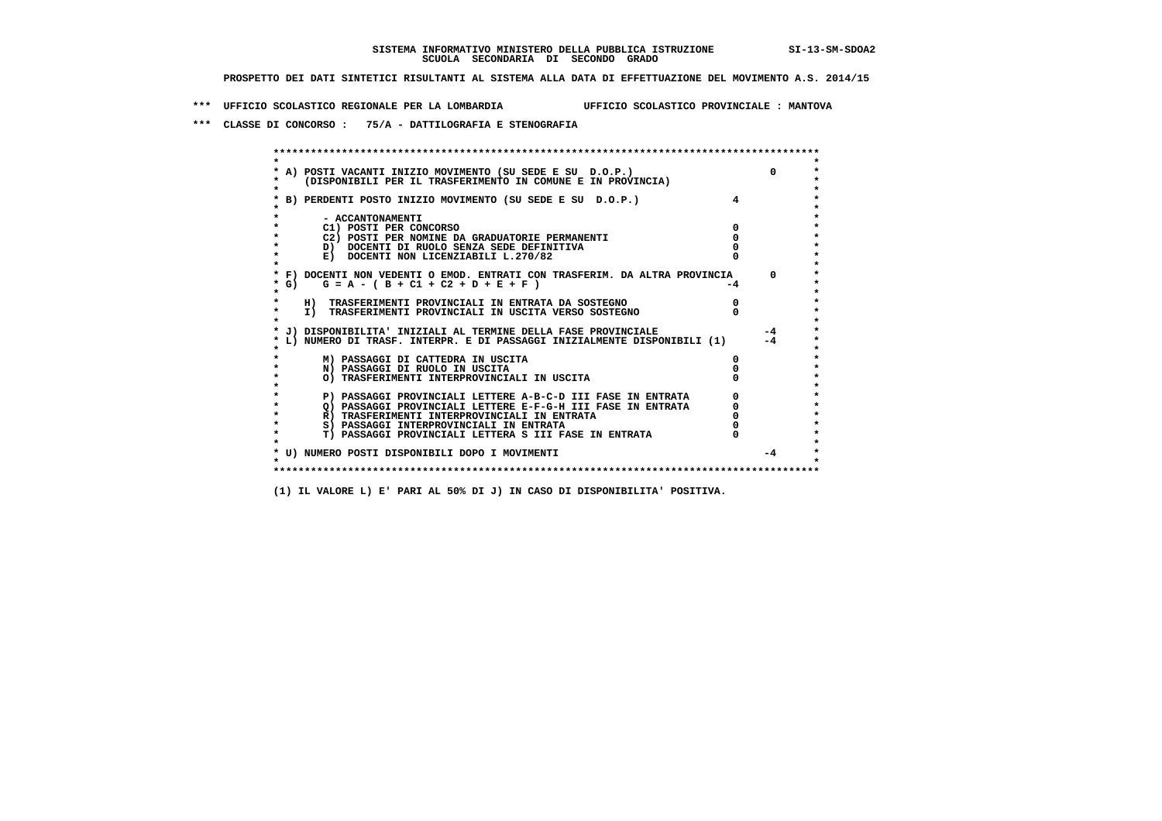**\*\*\* UFFICIO SCOLASTICO REGIONALE PER LA LOMBARDIA UFFICIO SCOLASTICO PROVINCIALE : MANTOVA**

 **\*\*\* CLASSE DI CONCORSO : 75/A - DATTILOGRAFIA E STENOGRAFIA**

 **\*\*\*\*\*\*\*\*\*\*\*\*\*\*\*\*\*\*\*\*\*\*\*\*\*\*\*\*\*\*\*\*\*\*\*\*\*\*\*\*\*\*\*\*\*\*\*\*\*\*\*\*\*\*\*\*\*\*\*\*\*\*\*\*\*\*\*\*\*\*\*\*\*\*\*\*\*\*\*\*\*\*\*\*\*\*\*\* \* \*** $\bullet$  **\* A) POSTI VACANTI INIZIO MOVIMENTO (SU SEDE E SU D.O.P.) 0 \* \* (DISPONIBILI PER IL TRASFERIMENTO IN COMUNE E IN PROVINCIA) \* \* \* \* B) PERDENTI POSTO INIZIO MOVIMENTO (SU SEDE E SU D.O.P.) 4 \* \* \* \* - ACCANTONAMENTI \* \* C1) POSTI PER CONCORSO 0 \* \* C2) POSTI PER NOMINE DA GRADUATORIE PERMANENTI 0 \*D)** DOCENTI DI RUOLO SENZA SEDE DEFINITIVA  $\overline{a}$  0  $\overline{b}$  0  $\overline{c}$  0  $\overline{c}$  0  $\overline{c}$  0  $\overline{a}$  0  $\overline{b}$ **E) DOCENTI NON LICENZIABILI L.270/82 \* \* \* F) DOCENTI NON VEDENTI O EMOD. ENTRATI CON TRASFERIM. DA ALTRA PROVINCIA 0 \*** $*$  G) G = A - ( B + C1 + C2 + D + E + F )  **\* \* \* H) TRASFERIMENTI PROVINCIALI IN ENTRATA DA SOSTEGNO 0 \*The CONSTRUCTION CONSTRUCTED IN CONSTRUCTION CONSTRUES IN TRASFERIMENTI PROVINCIALI IN USCITA VERSO SOSTEGNO \* \* \* J) DISPONIBILITA' INIZIALI AL TERMINE DELLA FASE PROVINCIALE -4 \* \* L) NUMERO DI TRASF. INTERPR. E DI PASSAGGI INIZIALMENTE DISPONIBILI (1) -4 \* \* \* \* M) PASSAGGI DI CATTEDRA IN USCITA 0 \* \* N) PASSAGGI DI RUOLO IN USCITA 0 \* \* O) TRASFERIMENTI INTERPROVINCIALI IN USCITA 0 \* \* \* P) PASSAGGI PROVINCIALI LETTERE A-B-C-D III FASE IN ENTRATA** 0 <sup>0</sup> **DASSAGGI PROVINCIALI LETTERE E-F-G-H** III FASE IN ENTRATA 0 <sup>0</sup>  $\star$  **\* Q) PASSAGGI PROVINCIALI LETTERE E-F-G-H III FASE IN ENTRATA 0 \*R)** TRASFERIMENTI INTERPROVINCIALI IN ENTRATA  $\begin{bmatrix} 0 & 0 \\ 0 & 0 \\ 0 & 0 \end{bmatrix}$  PASSAGGI INTERPROVINCIALI IN ENTRATA  $\begin{bmatrix} 0 & 0 \\ 0 & 0 \\ 0 & 0 \end{bmatrix}$ **8) PASSAGGI INTERPROVINCIALI IN ENTRATA 6 \*\*\*** 0 \*\*\*<br> **T) PASSAGGI PROVINCIALI LETTERA S III FASE IN ENTRATA** 0 \*\*\*  $\ddot{\phantom{1}}$  **\* T) PASSAGGI PROVINCIALI LETTERA S III FASE IN ENTRATA 0 \*** $\star$  **\* \* \* U) NUMERO POSTI DISPONIBILI DOPO I MOVIMENTI -4 \* \* \* \*\*\*\*\*\*\*\*\*\*\*\*\*\*\*\*\*\*\*\*\*\*\*\*\*\*\*\*\*\*\*\*\*\*\*\*\*\*\*\*\*\*\*\*\*\*\*\*\*\*\*\*\*\*\*\*\*\*\*\*\*\*\*\*\*\*\*\*\*\*\*\*\*\*\*\*\*\*\*\*\*\*\*\*\*\*\*\***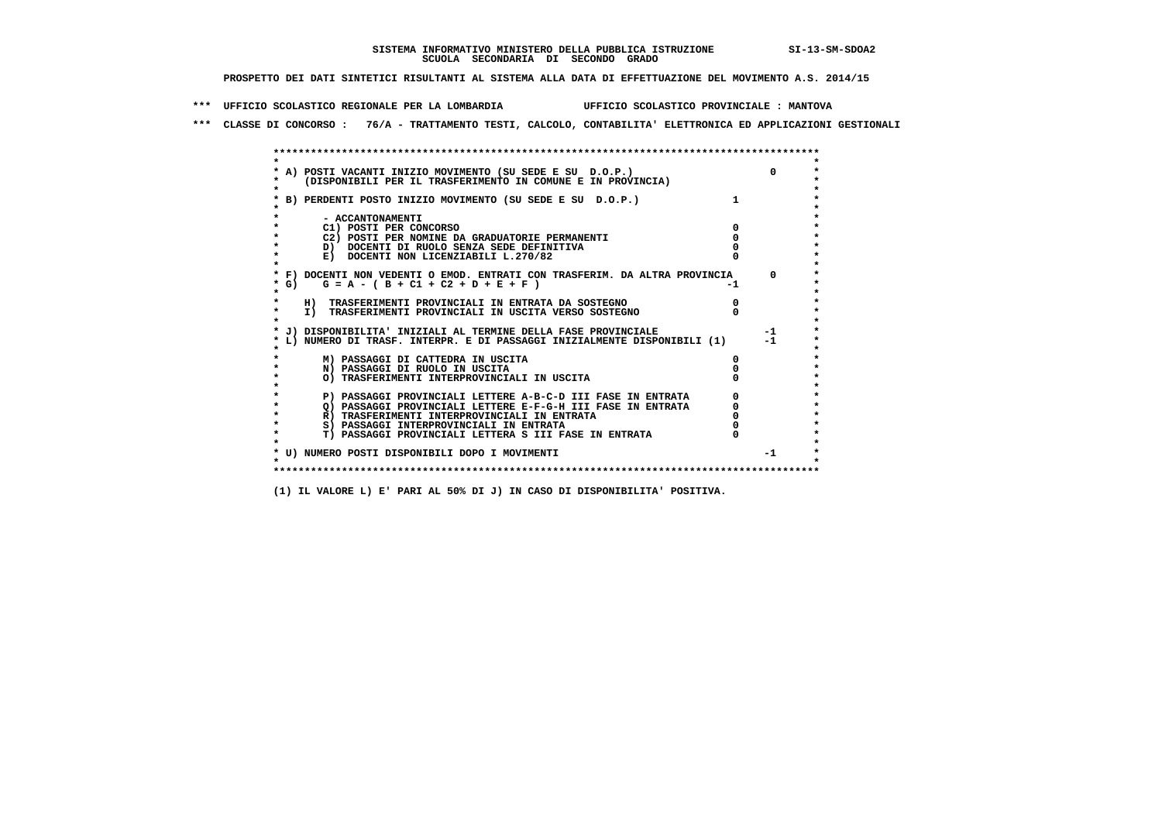**\*\*\* UFFICIO SCOLASTICO REGIONALE PER LA LOMBARDIA UFFICIO SCOLASTICO PROVINCIALE : MANTOVA**

 **\*\*\* CLASSE DI CONCORSO : 76/A - TRATTAMENTO TESTI, CALCOLO, CONTABILITA' ELETTRONICA ED APPLICAZIONI GESTIONALI**

|        | A) POSTI VACANTI INIZIO MOVIMENTO (SU SEDE E SU D.O.P.)                    |      |
|--------|----------------------------------------------------------------------------|------|
|        | (DISPONIBILI PER IL TRASFERIMENTO IN COMUNE E IN PROVINCIA)                |      |
|        |                                                                            |      |
|        | B) PERDENTI POSTO INIZIO MOVIMENTO (SU SEDE E SU D.O.P.)                   |      |
|        |                                                                            |      |
|        | - ACCANTONAMENTI                                                           |      |
|        | C1) POSTI PER CONCORSO                                                     |      |
|        | C2) POSTI PER NOMINE DA GRADUATORIE PERMANENTI                             |      |
|        | D) DOCENTI DI RUOLO SENZA SEDE DEFINITIVA                                  |      |
|        | E) DOCENTI NON LICENZIABILI L.270/82                                       |      |
|        | * F) DOCENTI NON VEDENTI O EMOD. ENTRATI CON TRASFERIM. DA ALTRA PROVINCIA |      |
| $*$ G) | $G = A - (B + C1 + C2 + D + E + F)$                                        |      |
|        |                                                                            |      |
|        | H) TRASFERIMENTI PROVINCIALI IN ENTRATA DA SOSTEGNO                        |      |
|        | I) TRASFERIMENTI PROVINCIALI IN USCITA VERSO SOSTEGNO                      |      |
|        |                                                                            |      |
|        | J) DISPONIBILITA' INIZIALI AL TERMINE DELLA FASE PROVINCIALE               | $-1$ |
|        | L) NUMERO DI TRASF. INTERPR. E DI PASSAGGI INIZIALMENTE DISPONIBILI (1)    | $-1$ |
|        |                                                                            |      |
|        | M) PASSAGGI DI CATTEDRA IN USCITA                                          |      |
|        | N) PASSAGGI DI RUOLO IN USCITA                                             |      |
|        | O) TRASFERIMENTI INTERPROVINCIALI IN USCITA                                |      |
|        |                                                                            |      |
|        | P) PASSAGGI PROVINCIALI LETTERE A-B-C-D III FASE IN ENTRATA                |      |
|        | Q) PASSAGGI PROVINCIALI LETTERE E-F-G-H III FASE IN ENTRATA                |      |
|        | R) TRASFERIMENTI INTERPROVINCIALI IN ENTRATA                               |      |
|        | S) PASSAGGI INTERPROVINCIALI IN ENTRATA                                    |      |
|        | T) PASSAGGI PROVINCIALI LETTERA S III FASE IN ENTRATA                      |      |
|        |                                                                            |      |
|        | * U) NUMERO POSTI DISPONIBILI DOPO I MOVIMENTI                             | $-1$ |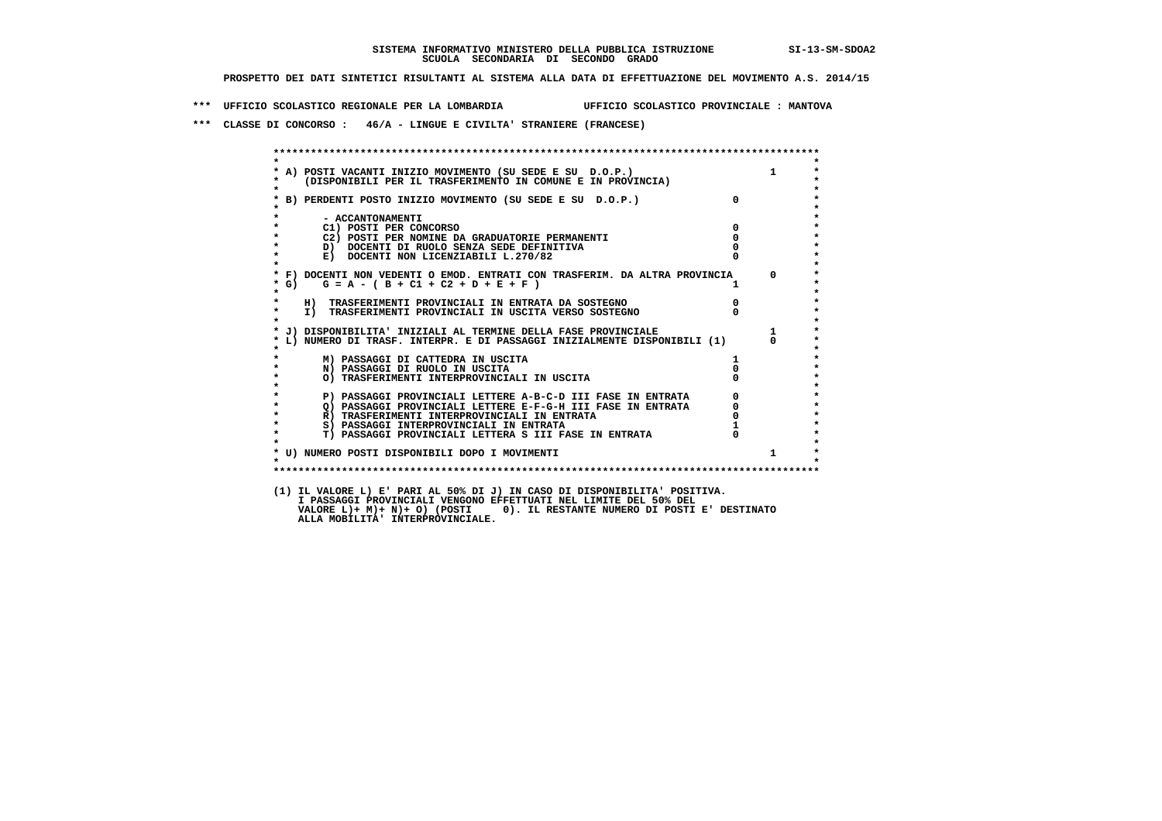**\*\*\* UFFICIO SCOLASTICO REGIONALE PER LA LOMBARDIA UFFICIO SCOLASTICO PROVINCIALE : MANTOVA**

 **\*\*\* CLASSE DI CONCORSO : 46/A - LINGUE E CIVILTA' STRANIERE (FRANCESE)**

|                   | A) POSTI VACANTI INIZIO MOVIMENTO (SU SEDE E SU D.O.P.) 1<br>(DISPONIBILI PER IL TRASFERIMENTO IN COMUNE E IN PROVINCIA) |                                                 |              |
|-------------------|--------------------------------------------------------------------------------------------------------------------------|-------------------------------------------------|--------------|
|                   | B) PERDENTI POSTO INIZIO MOVIMENTO (SU SEDE E SU D.O.P.)                                                                 | $\mathbf{0}$                                    |              |
|                   | - ACCANTONAMENTI                                                                                                         |                                                 |              |
|                   | C1) POSTI PER CONCORSO                                                                                                   | $\Omega$                                        |              |
|                   | C2) POSTI PER NOMINE DA GRADUATORIE PERMANENTI                                                                           | $\Omega$                                        |              |
|                   | D) DOCENTI DI RUOLO SENZA SEDE DEFINITIVA                                                                                |                                                 |              |
| $\star$           | E) DOCENTI NON LICENZIABILI L.270/82                                                                                     |                                                 |              |
|                   | * F) DOCENTI NON VEDENTI O EMOD. ENTRATI CON TRASFERIM. DA ALTRA PROVINCIA                                               |                                                 | $\Omega$     |
| $*$ G)<br>$\star$ | $G = A - (B + C1 + C2 + D + E + F)$                                                                                      |                                                 |              |
| $\star$           | H) TRASFERIMENTI PROVINCIALI IN ENTRATA DA SOSTEGNO                                                                      | $\overline{0}$                                  |              |
| $\star$           | I) TRASFERIMENTI PROVINCIALI IN USCITA VERSO SOSTEGNO                                                                    |                                                 |              |
|                   | * J) DISPONIBILITA' INIZIALI AL TERMINE DELLA FASE PROVINCIALE                                                           |                                                 | $\mathbf{1}$ |
|                   | L) NUMERO DI TRASF. INTERPR. E DI PASSAGGI INIZIALMENTE DISPONIBILI (1)                                                  |                                                 |              |
|                   | M) PASSAGGI DI CATTEDRA IN USCITA                                                                                        |                                                 |              |
| $\star$           | N) PASSAGGI DI RUOLO IN USCITA                                                                                           |                                                 |              |
|                   | O) TRASFERIMENTI INTERPROVINCIALI IN USCITA                                                                              |                                                 |              |
| $\star$           | P) PASSAGGI PROVINCIALI LETTERE A-B-C-D III FASE IN ENTRATA Q) PASSAGGI PROVINCIALI LETTERE E-F-G-H III FASE IN ENTRATA  | $\begin{array}{c} 0 \\ 0 \\ 0 \\ 1 \end{array}$ |              |
| $\star$           |                                                                                                                          |                                                 |              |
| $\bullet$         | R) TRASFERIMENTI INTERPROVINCIALI IN ENTRATA                                                                             |                                                 |              |
| $\star$           | S) PASSAGGI INTERPROVINCIALI IN ENTRATA                                                                                  |                                                 |              |
| $\star$           | T) PASSAGGI PROVINCIALI LETTERA S III FASE IN ENTRATA                                                                    |                                                 |              |
|                   | * U) NUMERO POSTI DISPONIBILI DOPO I MOVIMENTI                                                                           |                                                 | $\mathbf{1}$ |
| $\bullet$         |                                                                                                                          |                                                 |              |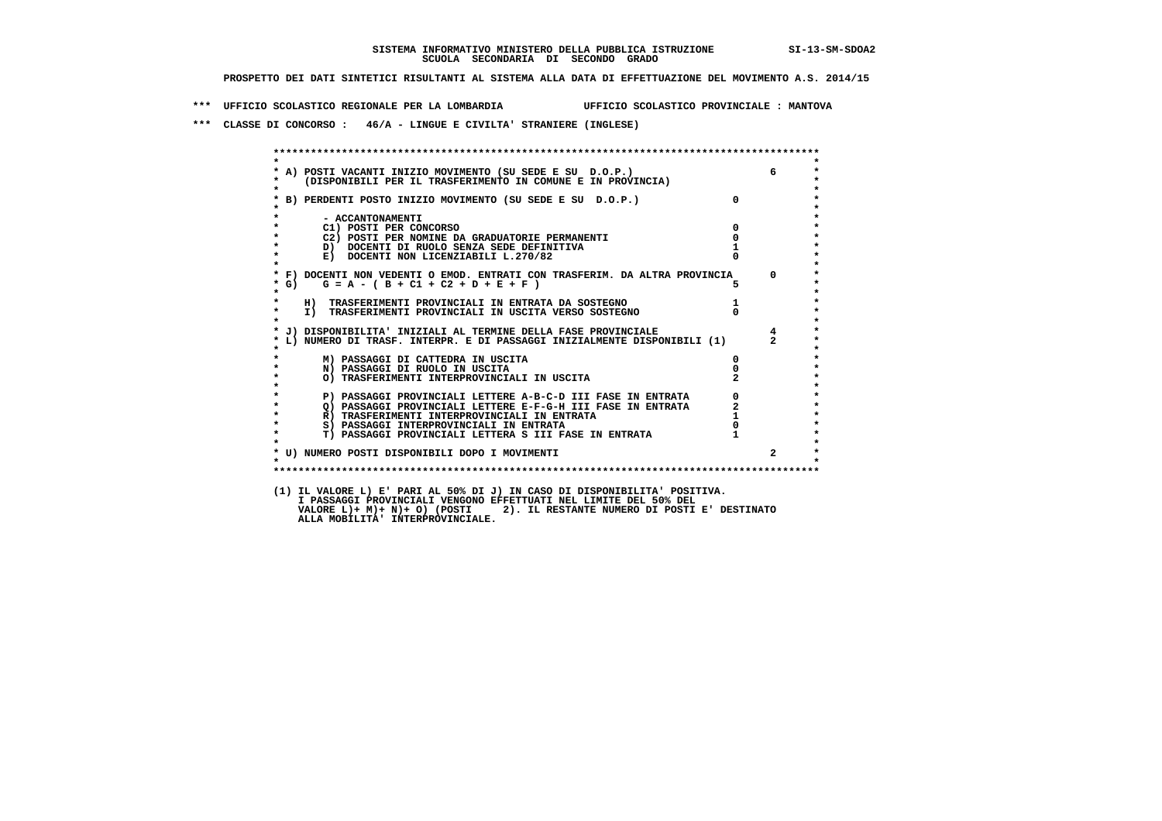**\*\*\* UFFICIO SCOLASTICO REGIONALE PER LA LOMBARDIA UFFICIO SCOLASTICO PROVINCIALE : MANTOVA**

 **\*\*\* CLASSE DI CONCORSO : 46/A - LINGUE E CIVILTA' STRANIERE (INGLESE)**

|                    | A) POSTI VACANTI INIZIO MOVIMENTO (SU SEDE E SU D.O.P.)<br>(DISPONIBILI PER IL TRASFERIMENTO IN COMUNE E IN PROVINCIA)                                                                                                               |                | 6              |
|--------------------|--------------------------------------------------------------------------------------------------------------------------------------------------------------------------------------------------------------------------------------|----------------|----------------|
|                    | * B) PERDENTI POSTO INIZIO MOVIMENTO (SU SEDE E SU D.O.P.)                                                                                                                                                                           | $\overline{0}$ |                |
| $\star$            | - ACCANTONAMENTI<br>$\overline{\mathbf{0}}$                                                                                                                                                                                          |                |                |
|                    | C1) POSTI PER CONCORSO<br>C2) POSTI PER NOMINE DA GRADUATORIE PERMANENTI                                                                                                                                                             | $\overline{0}$ |                |
| $\star$            | D) DOCENTI DI RUOLO SENZA SEDE DEFINITIVA                                                                                                                                                                                            |                |                |
| $\star$            | E) DOCENTI NON LICENZIABILI L.270/82                                                                                                                                                                                                 |                |                |
| $*$ G)             | * F) DOCENTI NON VEDENTI O EMOD. ENTRATI CON TRASFERIM. DA ALTRA PROVINCIA 0<br>$G = A - (B + C1 + C2 + D + E + F)$                                                                                                                  |                |                |
| $\star$<br>$\star$ | H) TRASFERIMENTI PROVINCIALI IN ENTRATA DA SOSTEGNO                                                                                                                                                                                  |                |                |
| $\star$            | I) TRASFERIMENTI PROVINCIALI IN ENARGALA VERSO SOSTEGNO                                                                                                                                                                              |                |                |
|                    | * J) DISPONIBILITA' INIZIALI AL TERMINE DELLA FASE PROVINCIALE                                                                                                                                                                       |                | $\overline{4}$ |
|                    | L) NUMERO DI TRASF. INTERPR. E DI PASSAGGI INIZIALMENTE DISPONIBILI (1) 2                                                                                                                                                            |                |                |
|                    | M) PASSAGGI DI CATTEDRA IN USCITA                                                                                                                                                                                                    |                |                |
| $\star$            | N) PASSAGGI DI RUOLO IN USCITA                                                                                                                                                                                                       |                |                |
|                    | O) TRASFERIMENTI INTERPROVINCIALI IN USCITA                                                                                                                                                                                          |                |                |
|                    | P) PASSAGGI PROVINCIALI LETTERE A-B-C-D III FASE IN ENTRATA (0)<br>(2) PASSAGGI PROVINCIALI LETTERE E-F-G-H III FASE IN ENTRATA (2)<br>R) TRASFERIMENTI INTERPROVINCIALI IN ENTRATA (1)<br>5) PASSAGGI INTERPROVINCIALI IN ENTRATA ( |                |                |
| $\star$            |                                                                                                                                                                                                                                      |                |                |
| $\star$            |                                                                                                                                                                                                                                      |                |                |
| $\star$            |                                                                                                                                                                                                                                      |                |                |
| $\star$            | T) PASSAGGI PROVINCIALI LETTERA S III FASE IN ENTRATA 1                                                                                                                                                                              |                |                |
| $\star$            | * U) NUMERO POSTI DISPONIBILI DOPO I MOVIMENTI                                                                                                                                                                                       |                |                |
|                    |                                                                                                                                                                                                                                      |                |                |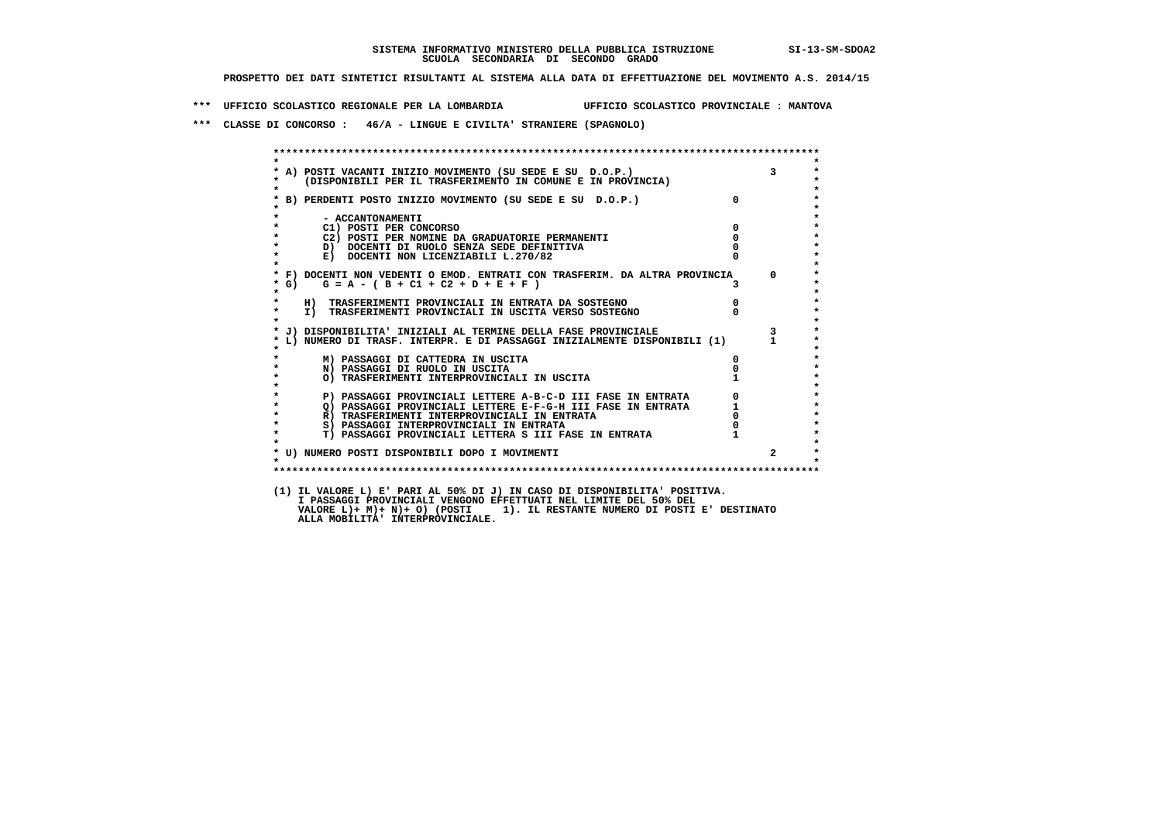**\*\*\* UFFICIO SCOLASTICO REGIONALE PER LA LOMBARDIA UFFICIO SCOLASTICO PROVINCIALE : MANTOVA**

 **\*\*\* CLASSE DI CONCORSO : 46/A - LINGUE E CIVILTA' STRANIERE (SPAGNOLO)**

|           | A) POSTI VACANTI INIZIO MOVIMENTO (SU SEDE E SU D.O.P.)<br>(DISPONIBILI PER IL TRASFERIMENTO IN COMUNE E IN PROVINCIA) |                                            |              |
|-----------|------------------------------------------------------------------------------------------------------------------------|--------------------------------------------|--------------|
|           | B) PERDENTI POSTO INIZIO MOVIMENTO (SU SEDE E SU D.O.P.)                                                               | $\Omega$                                   |              |
|           | - ACCANTONAMENTI                                                                                                       |                                            |              |
|           | C1) POSTI PER CONCORSO                                                                                                 | $\mathbf{0}$                               |              |
|           | C2) POSTI PER NOMINE DA GRADUATORIE PERMANENTI                                                                         | $\overline{0}$                             |              |
|           | D) DOCENTI DI RUOLO SENZA SEDE DEFINITIVA                                                                              |                                            |              |
|           | E) DOCENTI NON LICENZIABILI L.270/82                                                                                   |                                            |              |
|           | * F) DOCENTI NON VEDENTI O EMOD. ENTRATI CON TRASFERIM. DA ALTRA PROVINCIA 0                                           |                                            |              |
| $*$ G)    | $G = A - (B + C1 + C2 + D + E + F)$                                                                                    |                                            |              |
| $\star$   | H) TRASFERIMENTI PROVINCIALI IN ENTRATA DA SOSTEGNO                                                                    | $\overline{0}$                             |              |
| $\star$   | I) TRASFERIMENTI PROVINCIALI IN USCITA VERSO SOSTEGNO                                                                  |                                            |              |
|           | J) DISPONIBILITA' INIZIALI AL TERMINE DELLA FASE PROVINCIALE                                                           |                                            |              |
|           | L) NUMERO DI TRASF. INTERPR. E DI PASSAGGI INIZIALMENTE DISPONIBILI (1)                                                |                                            | $\mathbf{1}$ |
|           | M) PASSAGGI DI CATTEDRA IN USCITA                                                                                      |                                            |              |
|           | N) PASSAGGI DI RUOLO IN USCITA                                                                                         |                                            |              |
|           | O) TRASFERIMENTI INTERPROVINCIALI IN USCITA                                                                            | $1 \quad \Box$                             |              |
|           | P) PASSAGGI PROVINCIALI LETTERE A-B-C-D III FASE IN ENTRATA                                                            | $\begin{array}{c} 0 \\ 1 \\ 0 \end{array}$ |              |
| $\star$   | P) PASSAGGI PROVINCIALI LEIIERE A-D-U-LII FASE IN ENTRATA Q) PASSAGGI PROVINCIALI LETTERE E-F-G-H III FASE IN ENTRATA  |                                            |              |
| $\bullet$ | R) TRASFERIMENTI INTERPROVINCIALI IN ENTRATA                                                                           |                                            |              |
| $\star$   | S) PASSAGGI INTERPROVINCIALI IN ENTRATA                                                                                |                                            |              |
| $\star$   | T) PASSAGGI PROVINCIALI LETTERA S III FASE IN ENTRATA                                                                  |                                            |              |
|           | * U) NUMERO POSTI DISPONIBILI DOPO I MOVIMENTI                                                                         |                                            |              |
| $\bullet$ |                                                                                                                        |                                            |              |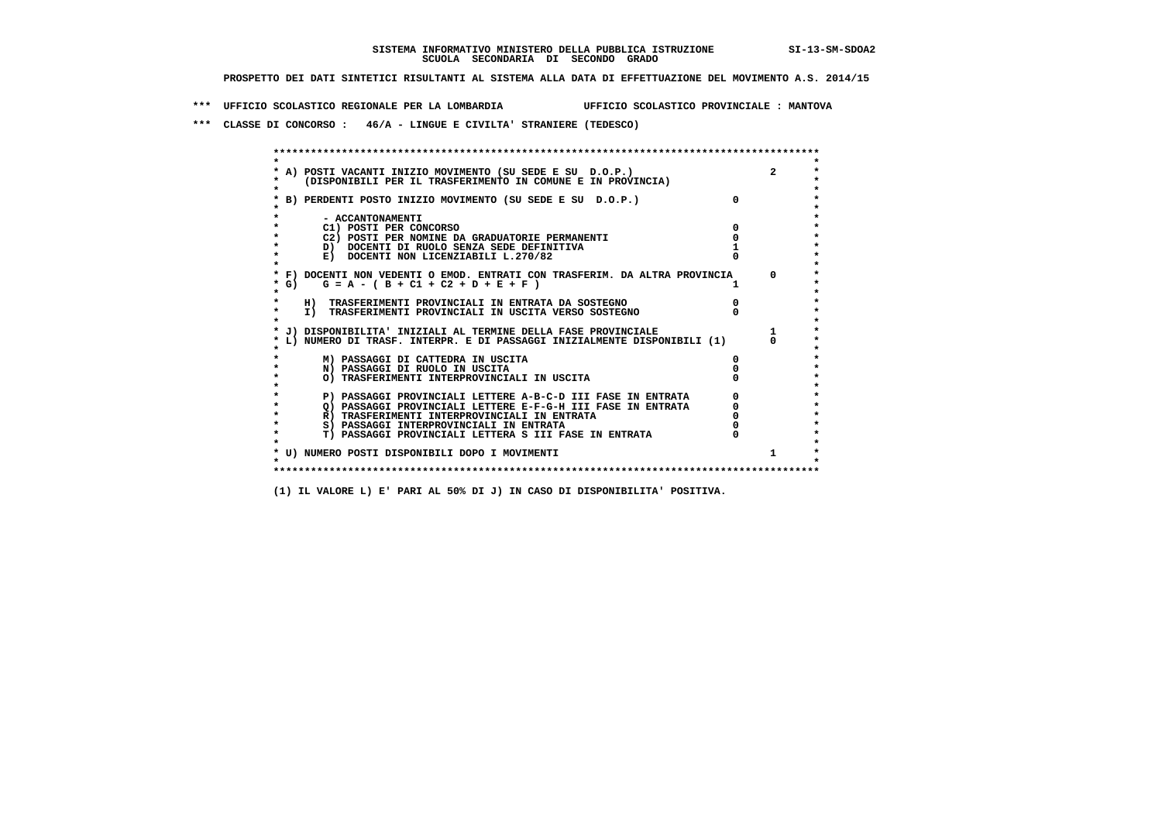**\*\*\* UFFICIO SCOLASTICO REGIONALE PER LA LOMBARDIA UFFICIO SCOLASTICO PROVINCIALE : MANTOVA**

 **\*\*\* CLASSE DI CONCORSO : 46/A - LINGUE E CIVILTA' STRANIERE (TEDESCO)**

| A) POSTI VACANTI INIZIO MOVIMENTO (SU SEDE E SU D.O.P.)<br>(DISPONIBILI PER IL TRASFERIMENTO IN COMUNE E IN PROVINCIA) | $\overline{2}$ |
|------------------------------------------------------------------------------------------------------------------------|----------------|
| B) PERDENTI POSTO INIZIO MOVIMENTO (SU SEDE E SU D.O.P.)                                                               |                |
| - ACCANTONAMENTI                                                                                                       |                |
| C1) POSTI PER CONCORSO                                                                                                 |                |
| C2) POSTI PER NOMINE DA GRADUATORIE PERMANENTI                                                                         |                |
| D) DOCENTI DI RUOLO SENZA SEDE DEFINITIVA                                                                              |                |
| E) DOCENTI NON LICENZIABILI L.270/82                                                                                   |                |
| * F) DOCENTI NON VEDENTI O EMOD. ENTRATI CON TRASFERIM. DA ALTRA PROVINCIA                                             | $\Omega$       |
| * G) $G = A - (B + C1 + C2 + D + E + F)$                                                                               |                |
| H) TRASFERIMENTI PROVINCIALI IN ENTRATA DA SOSTEGNO                                                                    |                |
| I) TRASFERIMENTI PROVINCIALI IN USCITA VERSO SOSTEGNO                                                                  |                |
| J) DISPONIBILITA' INIZIALI AL TERMINE DELLA FASE PROVINCIALE                                                           |                |
| L) NUMERO DI TRASF. INTERPR. E DI PASSAGGI INIZIALMENTE DISPONIBILI (1)                                                |                |
|                                                                                                                        |                |
| M) PASSAGGI DI CATTEDRA IN USCITA                                                                                      |                |
| N) PASSAGGI DI RUOLO IN USCITA<br>O) TRASFERIMENTI INTERPROVINCIALI IN USCITA                                          |                |
|                                                                                                                        |                |
| P) PASSAGGI PROVINCIALI LETTERE A-B-C-D III FASE IN ENTRATA                                                            |                |
| O) PASSAGGI PROVINCIALI LETTERE E-F-G-H III FASE IN ENTRATA                                                            |                |
| R) TRASFERIMENTI INTERPROVINCIALI IN ENTRATA                                                                           |                |
| S) PASSAGGI INTERPROVINCIALI IN ENTRATA                                                                                |                |
| T) PASSAGGI PROVINCIALI LETTERA S III FASE IN ENTRATA                                                                  |                |
|                                                                                                                        |                |
| * U) NUMERO POSTI DISPONIBILI DOPO I MOVIMENTI                                                                         |                |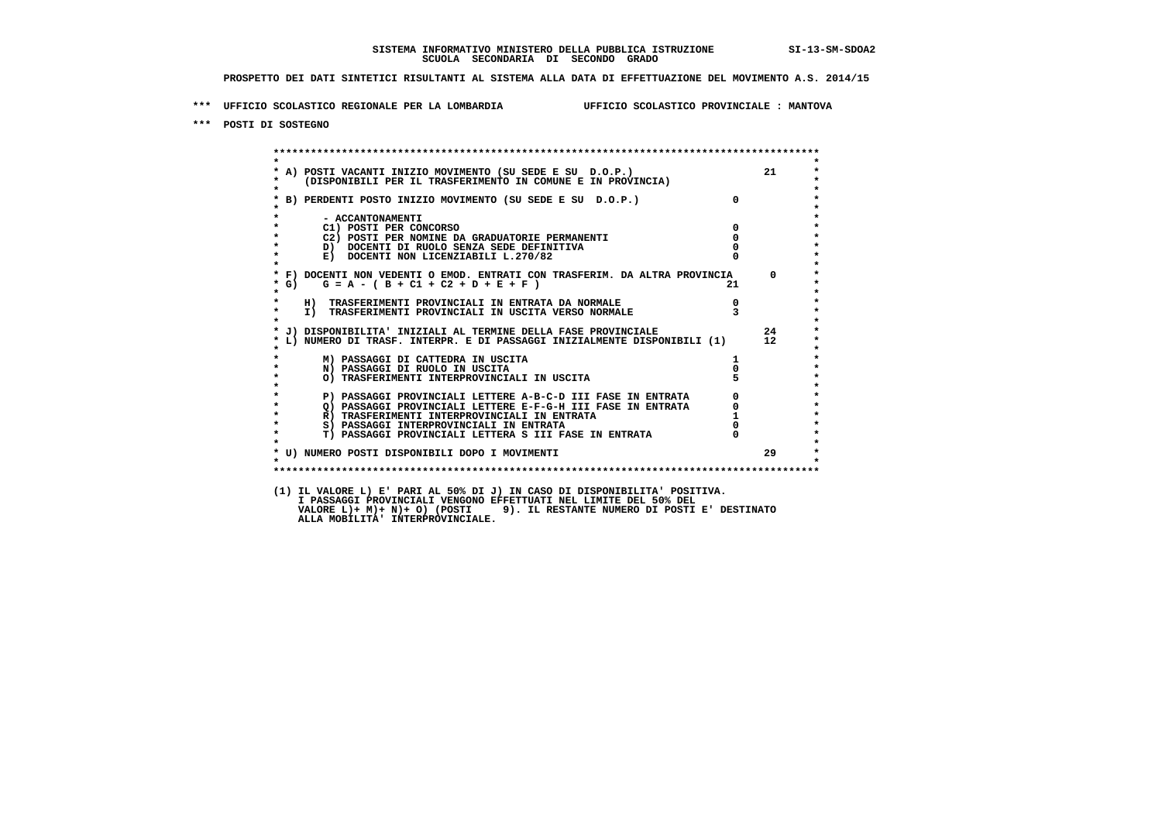**\*\*\* UFFICIO SCOLASTICO REGIONALE PER LA LOMBARDIA UFFICIO SCOLASTICO PROVINCIALE : MANTOVA**

 **\*\*\* POSTI DI SOSTEGNO**

 **\*\*\*\*\*\*\*\*\*\*\*\*\*\*\*\*\*\*\*\*\*\*\*\*\*\*\*\*\*\*\*\*\*\*\*\*\*\*\*\*\*\*\*\*\*\*\*\*\*\*\*\*\*\*\*\*\*\*\*\*\*\*\*\*\*\*\*\*\*\*\*\*\*\*\*\*\*\*\*\*\*\*\*\*\*\*\*\* \* \*** $\bullet$  **\* A) POSTI VACANTI INIZIO MOVIMENTO (SU SEDE E SU D.O.P.) 21 \*** $\star$  **\* (DISPONIBILI PER IL TRASFERIMENTO IN COMUNE E IN PROVINCIA) \*** $\bullet$  **\* \* \* B) PERDENTI POSTO INIZIO MOVIMENTO (SU SEDE E SU D.O.P.) 0 \* \* \* \* - ACCANTONAMENTI \* \* C1) POSTI PER CONCORSO 0 \* \* C2) POSTI PER NOMINE DA GRADUATORIE PERMANENTI 0 \*D)** DOCENTI DI RUOLO SENZA SEDE DEFINITIVA  $\overline{R}$  0  $\overline{R}$  0  $\overline{R}$  0  $\overline{R}$  0  $\overline{R}$  0  $\overline{R}$  0  $\overline{R}$  0  $\overline{R}$  0  $\overline{R}$  0  $\overline{R}$  0  $\overline{R}$  0  $\overline{R}$  0  $\overline{R}$  0  $\overline{R}$  0  $\overline{R}$  0  $\overline{R}$  0  $\$ **E) DOCENTI NON LICENZIABILI L.270/82 \* \* \* F) DOCENTI NON VEDENTI O EMOD. ENTRATI CON TRASFERIM. DA ALTRA PROVINCIA 0 \***  $\star$  **G)** G = A - ( B + C1 + C2 + D + E + F )  **\* \* \* H) TRASFERIMENTI PROVINCIALI IN ENTRATA DA NORMALE 0 \* \* I) TRASFERIMENTI PROVINCIALI IN USCITA VERSO NORMALE 3 \* \* \* \* J) DISPONIBILITA' INIZIALI AL TERMINE DELLA FASE PROVINCIALE 24 \* \* L) NUMERO DI TRASF. INTERPR. E DI PASSAGGI INIZIALMENTE DISPONIBILI (1) 12 \* \* \* \* M) PASSAGGI DI CATTEDRA IN USCITA 1 \* \* N) PASSAGGI DI RUOLO IN USCITA 0 \* \* O) TRASFERIMENTI INTERPROVINCIALI IN USCITA 5 \* \* \* P) PASSAGGI PROVINCIALI LETTERE A-B-C-D III FASE IN ENTRATA 0 \*\*\***<br>0 passaggi provinciali lettere e-f-G-H iii fase in entrata \*\*\*\*\*\*\*\*\*\*\*\*\*\*\*\*\*\*\*\*\* **2) PASSAGGI PROVINCIALI LETTERE E-F-G-H III FASE IN ENTRATA 6**  $\overline{Q}$  **PASSAGGI PROVINCIALI LETTERE E-F-G-H III FASE IN ENTRATA** 0  **\* R) TRASFERIMENTI INTERPROVINCIALI IN ENTRATA 1 \*8) PASSAGGI INTERPROVINCIALI IN ENTRATA 6 \*\*\*** 0 \*\*\*<br> **T) PASSAGGI PROVINCIALI LETTERA S III FASE IN ENTRATA** 0 \*\*\*  $\ddot{\phantom{1}}$  **\* T) PASSAGGI PROVINCIALI LETTERA S III FASE IN ENTRATA 0 \*** $\star$  **\* \*** $\star$  **\* U) NUMERO POSTI DISPONIBILI DOPO I MOVIMENTI 29 \* \* \* \*\*\*\*\*\*\*\*\*\*\*\*\*\*\*\*\*\*\*\*\*\*\*\*\*\*\*\*\*\*\*\*\*\*\*\*\*\*\*\*\*\*\*\*\*\*\*\*\*\*\*\*\*\*\*\*\*\*\*\*\*\*\*\*\*\*\*\*\*\*\*\*\*\*\*\*\*\*\*\*\*\*\*\*\*\*\*\* (1) IL VALORE L) E' PARI AL 50% DI J) IN CASO DI DISPONIBILITA' POSITIVA. I PASSAGGI PROVINCIALI VENGONO EFFETTUATI NEL LIMITE DEL 50% DEL**

 **VALORE L)+ M)+ N)+ O) (POSTI 9). IL RESTANTE NUMERO DI POSTI E' DESTINATO ALLA MOBILITA' INTERPROVINCIALE.**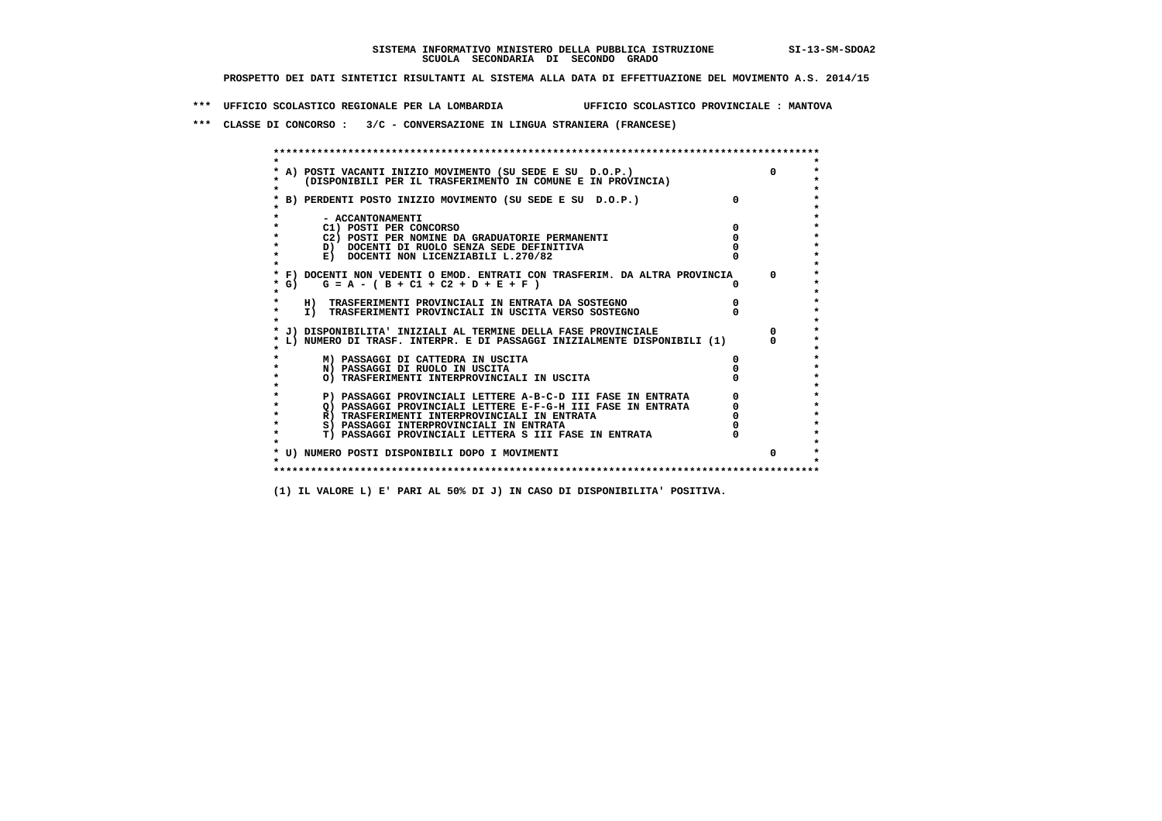**\*\*\* UFFICIO SCOLASTICO REGIONALE PER LA LOMBARDIA UFFICIO SCOLASTICO PROVINCIALE : MANTOVA**

 **\*\*\* CLASSE DI CONCORSO : 3/C - CONVERSAZIONE IN LINGUA STRANIERA (FRANCESE)**

|        | A) POSTI VACANTI INIZIO MOVIMENTO (SU SEDE E SU D.O.P.)                    |              |
|--------|----------------------------------------------------------------------------|--------------|
|        | (DISPONIBILI PER IL TRASFERIMENTO IN COMUNE E IN PROVINCIA)                |              |
|        | B) PERDENTI POSTO INIZIO MOVIMENTO (SU SEDE E SU D.O.P.)                   |              |
|        | - ACCANTONAMENTI                                                           |              |
|        | C1) POSTI PER CONCORSO                                                     |              |
|        | C2) POSTI PER NOMINE DA GRADUATORIE PERMANENTI                             |              |
|        | D) DOCENTI DI RUOLO SENZA SEDE DEFINITIVA                                  |              |
|        | E) DOCENTI NON LICENZIABILI L.270/82                                       |              |
|        | * F) DOCENTI NON VEDENTI O EMOD. ENTRATI CON TRASFERIM. DA ALTRA PROVINCIA | $\mathsf{O}$ |
| * G) + | $G = A - (B + C1 + C2 + D + E + F)$                                        |              |
|        | H) TRASFERIMENTI PROVINCIALI IN ENTRATA DA SOSTEGNO                        |              |
|        | I) TRASFERIMENTI PROVINCIALI IN USCITA VERSO SOSTEGNO                      |              |
|        | J) DISPONIBILITA' INIZIALI AL TERMINE DELLA FASE PROVINCIALE               |              |
|        | L) NUMERO DI TRASF. INTERPR. E DI PASSAGGI INIZIALMENTE DISPONIBILI (1)    |              |
|        | M) PASSAGGI DI CATTEDRA IN USCITA                                          |              |
|        | N) PASSAGGI DI RUOLO IN USCITA                                             |              |
|        | O) TRASFERIMENTI INTERPROVINCIALI IN USCITA                                |              |
|        | P) PASSAGGI PROVINCIALI LETTERE A-B-C-D III FASE IN ENTRATA                |              |
|        | O) PASSAGGI PROVINCIALI LETTERE E-F-G-H III FASE IN ENTRATA                |              |
|        | R) TRASFERIMENTI INTERPROVINCIALI IN ENTRATA                               |              |
|        | S) PASSAGGI INTERPROVINCIALI IN ENTRATA                                    |              |
|        | T) PASSAGGI PROVINCIALI LETTERA S III FASE IN ENTRATA                      |              |
|        | * U) NUMERO POSTI DISPONIBILI DOPO I MOVIMENTI                             |              |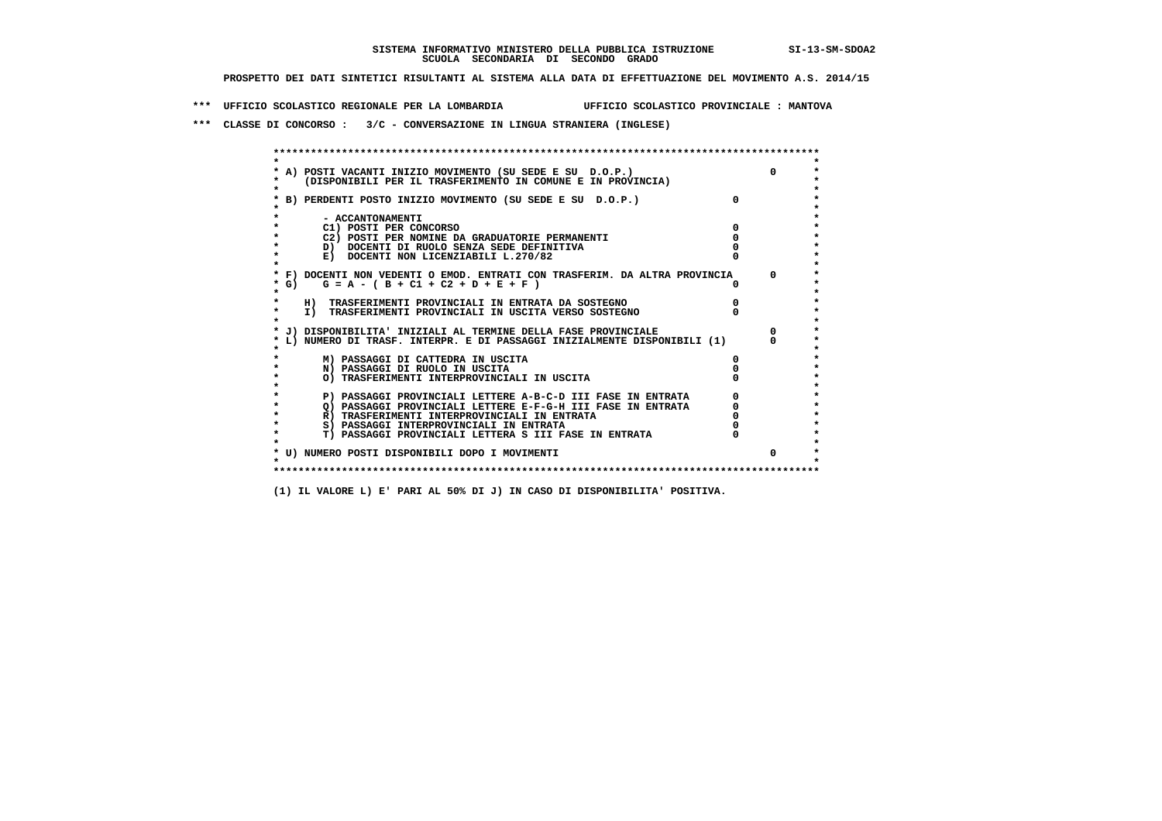**\*\*\* UFFICIO SCOLASTICO REGIONALE PER LA LOMBARDIA UFFICIO SCOLASTICO PROVINCIALE : MANTOVA**

 **\*\*\* CLASSE DI CONCORSO : 3/C - CONVERSAZIONE IN LINGUA STRANIERA (INGLESE)**

|         | * A) POSTI VACANTI INIZIO MOVIMENTO (SU SEDE E SU D.O.P.)                                                   | $\Omega$   |
|---------|-------------------------------------------------------------------------------------------------------------|------------|
|         | (DISPONIBILI PER IL TRASFERIMENTO IN COMUNE E IN PROVINCIA)                                                 |            |
|         |                                                                                                             |            |
|         | B) PERDENTI POSTO INIZIO MOVIMENTO (SU SEDE E SU D.O.P.)                                                    |            |
|         |                                                                                                             |            |
|         | - ACCANTONAMENTI                                                                                            |            |
|         | C1) POSTI PER CONCORSO                                                                                      |            |
|         | C2) POSTI PER NOMINE DA GRADUATORIE PERMANENTI                                                              |            |
|         | D) DOCENTI DI RUOLO SENZA SEDE DEFINITIVA                                                                   |            |
|         | E) DOCENTI NON LICENZIABILI L.270/82                                                                        |            |
|         |                                                                                                             |            |
|         | * F) DOCENTI NON VEDENTI O EMOD. ENTRATI CON TRASFERIM. DA ALTRA PROVINCIA                                  | $^{\circ}$ |
| * G) =  | $G = A - (B + C1 + C2 + D + E + F)$                                                                         |            |
| $\star$ |                                                                                                             |            |
|         | H) TRASFERIMENTI PROVINCIALI IN ENTRATA DA SOSTEGNO                                                         |            |
|         | I) TRASFERIMENTI PROVINCIALI IN USCITA VERSO SOSTEGNO                                                       |            |
|         |                                                                                                             |            |
|         | * J) DISPONIBILITA' INIZIALI AL TERMINE DELLA FASE PROVINCIALE                                              |            |
|         | L) NUMERO DI TRASF. INTERPR. E DI PASSAGGI INIZIALMENTE DISPONIBILI (1)                                     |            |
|         |                                                                                                             |            |
|         | M) PASSAGGI DI CATTEDRA IN USCITA                                                                           |            |
|         | N) PASSAGGI DI RUOLO IN USCITA                                                                              |            |
|         | O) TRASFERIMENTI INTERPROVINCIALI IN USCITA                                                                 |            |
|         |                                                                                                             |            |
|         | P) PASSAGGI PROVINCIALI LETTERE A-B-C-D III FASE IN ENTRATA                                                 |            |
|         | O) PASSAGGI PROVINCIALI LETTERE E-F-G-H III FASE IN ENTRATA<br>R) TRASFERIMENTI INTERPROVINCIALI IN ENTRATA |            |
|         | S) PASSAGGI INTERPROVINCIALI IN ENTRATA                                                                     |            |
|         | <b>T) PASSAGGI PROVINCIALI LETTERA S III FASE IN ENTRATA</b>                                                |            |
|         |                                                                                                             |            |
|         | * U) NUMERO POSTI DISPONIBILI DOPO I MOVIMENTI                                                              | $\Omega$   |
|         |                                                                                                             |            |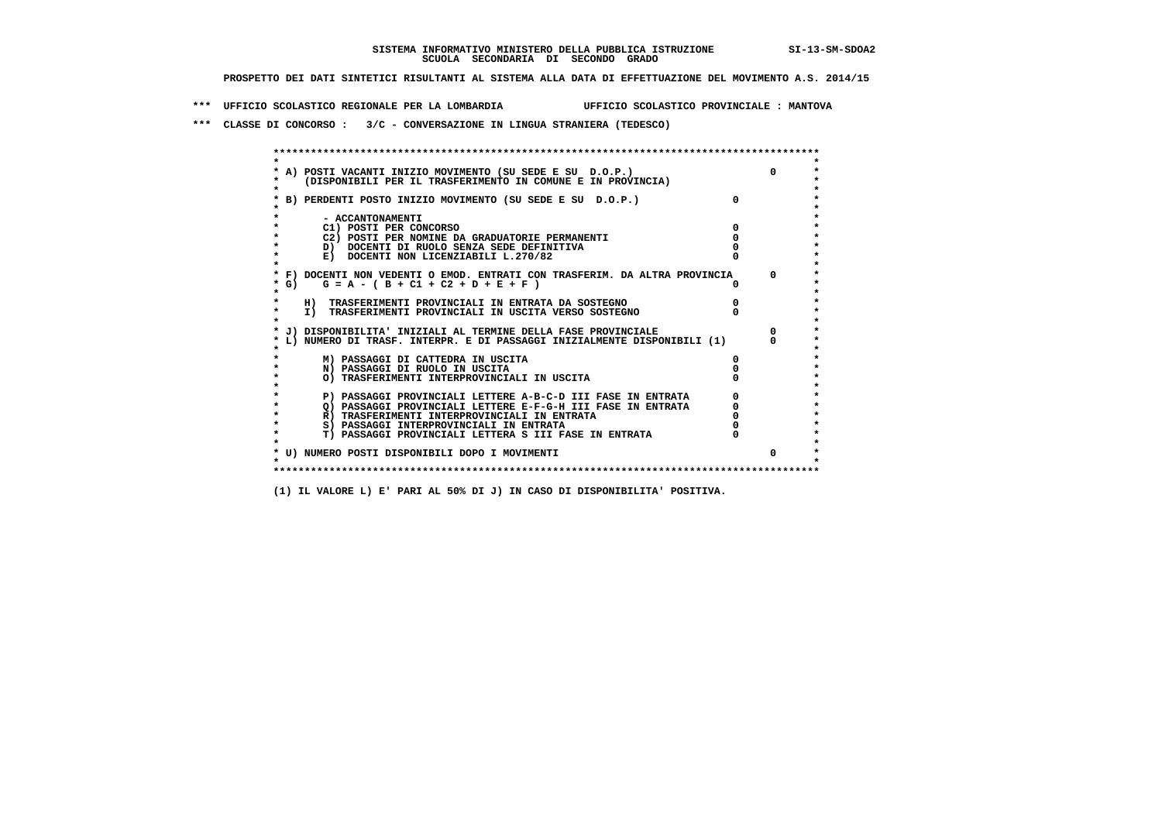**\*\*\* UFFICIO SCOLASTICO REGIONALE PER LA LOMBARDIA UFFICIO SCOLASTICO PROVINCIALE : MANTOVA**

 **\*\*\* CLASSE DI CONCORSO : 3/C - CONVERSAZIONE IN LINGUA STRANIERA (TEDESCO)**

|         | * A) POSTI VACANTI INIZIO MOVIMENTO (SU SEDE E SU D.O.P.)                     | $\Omega$ |
|---------|-------------------------------------------------------------------------------|----------|
|         | (DISPONIBILI PER IL TRASFERIMENTO IN COMUNE E IN PROVINCIA)                   |          |
|         | B) PERDENTI POSTO INIZIO MOVIMENTO (SU SEDE E SU D.O.P.)                      |          |
|         |                                                                               |          |
|         | - ACCANTONAMENTI                                                              |          |
|         | C1) POSTI PER CONCORSO                                                        |          |
|         | C2) POSTI PER NOMINE DA GRADUATORIE PERMANENTI                                |          |
|         | D) DOCENTI DI RUOLO SENZA SEDE DEFINITIVA                                     |          |
|         | E) DOCENTI NON LICENZIABILI L.270/82                                          |          |
|         | * F) DOCENTI NON VEDENTI O EMOD. ENTRATI CON TRASFERIM. DA ALTRA PROVINCIA    | $\Omega$ |
|         | * G) $G = A - (B + C1 + C2 + D + E + F)$                                      |          |
| $\star$ |                                                                               |          |
|         | H) TRASFERIMENTI PROVINCIALI IN ENTRATA DA SOSTEGNO                           |          |
| $\star$ | I) TRASFERIMENTI PROVINCIALI IN USCITA VERSO SOSTEGNO                         |          |
|         |                                                                               |          |
|         | * J) DISPONIBILITA' INIZIALI AL TERMINE DELLA FASE PROVINCIALE                |          |
|         | L) NUMERO DI TRASF. INTERPR. E DI PASSAGGI INIZIALMENTE DISPONIBILI (1)       |          |
|         |                                                                               |          |
|         | M) PASSAGGI DI CATTEDRA IN USCITA                                             |          |
|         | N) PASSAGGI DI RUOLO IN USCITA<br>O) TRASFERIMENTI INTERPROVINCIALI IN USCITA |          |
|         |                                                                               |          |
|         | P) PASSAGGI PROVINCIALI LETTERE A-B-C-D III FASE IN ENTRATA                   |          |
|         | O) PASSAGGI PROVINCIALI LETTERE E-F-G-H III FASE IN ENTRATA                   |          |
|         | R) TRASFERIMENTI INTERPROVINCIALI IN ENTRATA                                  |          |
|         | S) PASSAGGI INTERPROVINCIALI IN ENTRATA                                       |          |
|         | T) PASSAGGI PROVINCIALI LETTERA S III FASE IN ENTRATA                         |          |
|         |                                                                               |          |
|         | * U) NUMERO POSTI DISPONIBILI DOPO I MOVIMENTI                                | $\Omega$ |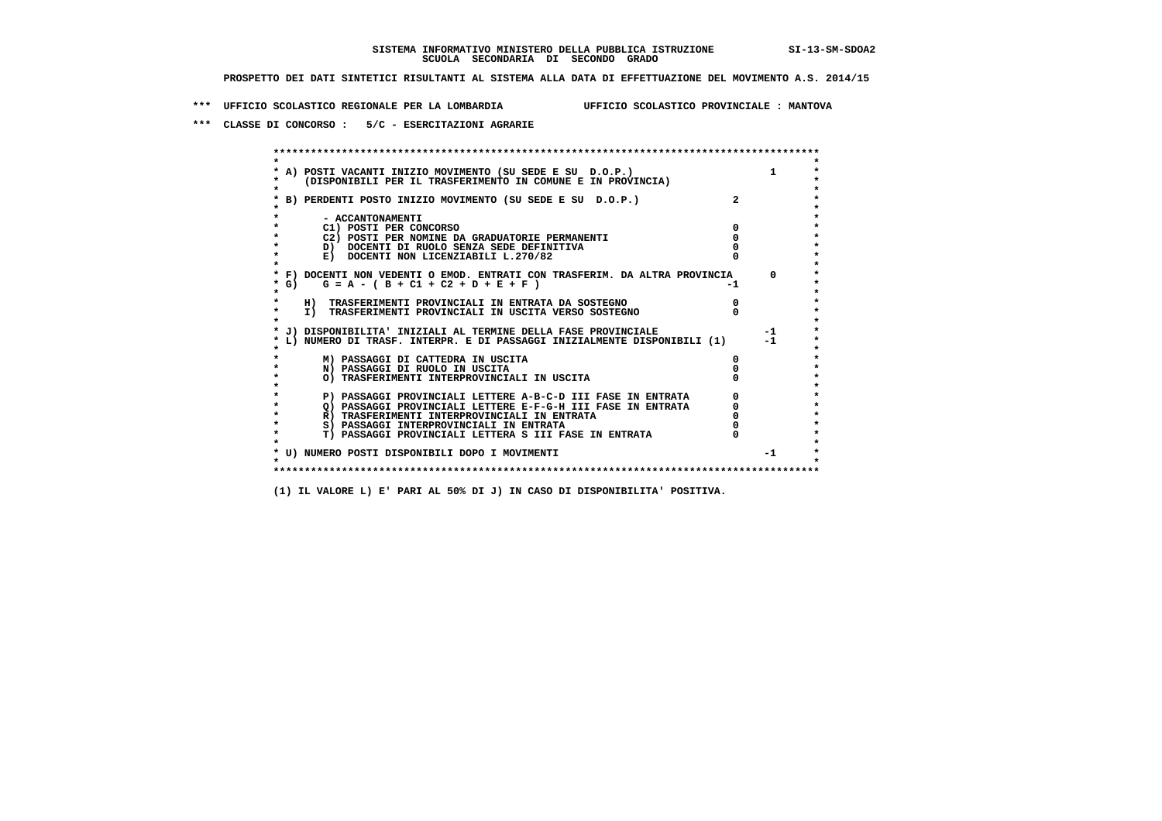**\*\*\* UFFICIO SCOLASTICO REGIONALE PER LA LOMBARDIA UFFICIO SCOLASTICO PROVINCIALE : MANTOVA**

 **\*\*\* CLASSE DI CONCORSO : 5/C - ESERCITAZIONI AGRARIE**

 **\*\*\*\*\*\*\*\*\*\*\*\*\*\*\*\*\*\*\*\*\*\*\*\*\*\*\*\*\*\*\*\*\*\*\*\*\*\*\*\*\*\*\*\*\*\*\*\*\*\*\*\*\*\*\*\*\*\*\*\*\*\*\*\*\*\*\*\*\*\*\*\*\*\*\*\*\*\*\*\*\*\*\*\*\*\*\*\* \* \*** $\bullet$  **\* A) POSTI VACANTI INIZIO MOVIMENTO (SU SEDE E SU D.O.P.) 1 \* \* (DISPONIBILI PER IL TRASFERIMENTO IN COMUNE E IN PROVINCIA) \* \* \* \* B) PERDENTI POSTO INIZIO MOVIMENTO (SU SEDE E SU D.O.P.) 2 \* \* \* \* - ACCANTONAMENTI \* \* C1) POSTI PER CONCORSO 0 \* \* C2) POSTI PER NOMINE DA GRADUATORIE PERMANENTI 0 \*D)** DOCENTI DI RUOLO SENZA SEDE DEFINITIVA  $\overline{a}$  0  $\overline{b}$  0  $\overline{c}$  0  $\overline{c}$  0  $\overline{c}$  0  $\overline{a}$  0  $\overline{c}$ **E) DOCENTI NON LICENZIABILI L.270/82 \* \* \* F) DOCENTI NON VEDENTI O EMOD. ENTRATI CON TRASFERIM. DA ALTRA PROVINCIA 0 \***  $\star$  **G)** G = A - ( B + C1 + C2 + D + E + F)  **\* \* \* H) TRASFERIMENTI PROVINCIALI IN ENTRATA DA SOSTEGNO 0 \* \* I) TRASFERIMENTI PROVINCIALI IN USCITA VERSO SOSTEGNO 0 \* \* \* \* J) DISPONIBILITA' INIZIALI AL TERMINE DELLA FASE PROVINCIALE -1 \* \* L) NUMERO DI TRASF. INTERPR. E DI PASSAGGI INIZIALMENTE DISPONIBILI (1) -1 \* \* \* \* M) PASSAGGI DI CATTEDRA IN USCITA 0 \* \* N) PASSAGGI DI RUOLO IN USCITA 0 \* \* O) TRASFERIMENTI INTERPROVINCIALI IN USCITA 0 \* \* \* P) PASSAGGI PROVINCIALI LETTERE A-B-C-D III FASE IN ENTRATA** 0 <sup>0</sup> **DASSAGGI PROVINCIALI LETTERE E-F-G-H** III FASE IN ENTRATA 0 <sup>0</sup> **2) PASSAGGI PROVINCIALI LETTERE E-F-G-H III FASE IN ENTRATA 6 0 R**) TRASFERIMENTI INTERPROVINCIALI IN ENTRATA 6 **0 R)** TRASFERIMENTI INTERPROVINCIALI IN ENTRATA  $\begin{bmatrix} 0 & 0 \\ 0 & 0 \\ 0 & 0 \end{bmatrix}$  PASSAGGI INTERPROVINCIALI IN ENTRATA  $\begin{bmatrix} 0 & 0 \\ 0 & 0 \\ 0 & 0 \end{bmatrix}$  **\* S) PASSAGGI INTERPROVINCIALI IN ENTRATA 0 \*** $\ddot{\phantom{1}}$  **\* T) PASSAGGI PROVINCIALI LETTERA S III FASE IN ENTRATA 0 \*** $\star$  **\* \* \* U) NUMERO POSTI DISPONIBILI DOPO I MOVIMENTI -1 \* \* \* \*\*\*\*\*\*\*\*\*\*\*\*\*\*\*\*\*\*\*\*\*\*\*\*\*\*\*\*\*\*\*\*\*\*\*\*\*\*\*\*\*\*\*\*\*\*\*\*\*\*\*\*\*\*\*\*\*\*\*\*\*\*\*\*\*\*\*\*\*\*\*\*\*\*\*\*\*\*\*\*\*\*\*\*\*\*\*\***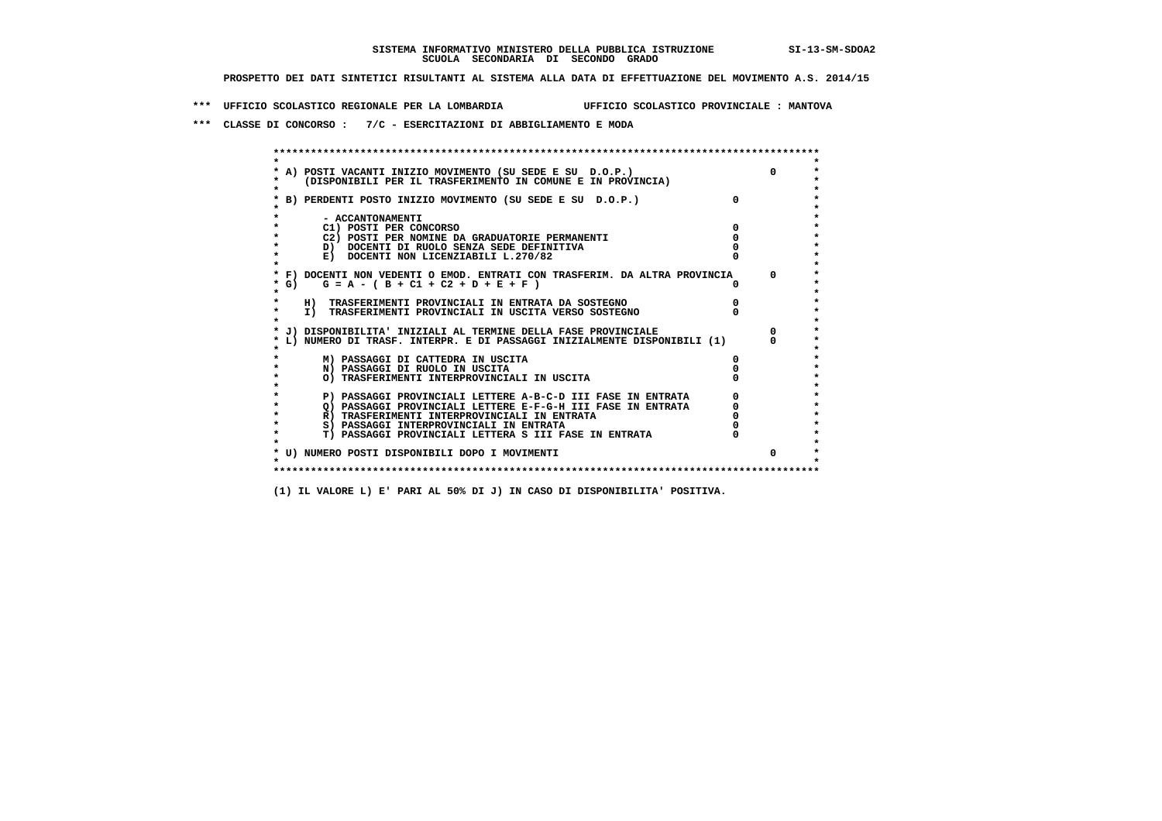**\*\*\* UFFICIO SCOLASTICO REGIONALE PER LA LOMBARDIA UFFICIO SCOLASTICO PROVINCIALE : MANTOVA**

 **\*\*\* CLASSE DI CONCORSO : 7/C - ESERCITAZIONI DI ABBIGLIAMENTO E MODA**

| A) POSTI VACANTI INIZIO MOVIMENTO (SU SEDE E SU D.O.P.)                  |          |
|--------------------------------------------------------------------------|----------|
| (DISPONIBILI PER IL TRASFERIMENTO IN COMUNE E IN PROVINCIA)              |          |
|                                                                          |          |
| B) PERDENTI POSTO INIZIO MOVIMENTO (SU SEDE E SU D.O.P.)                 |          |
|                                                                          |          |
| - ACCANTONAMENTI<br>C1) POSTI PER CONCORSO                               |          |
| C2) POSTI PER NOMINE DA GRADUATORIE PERMANENTI                           |          |
| D) DOCENTI DI RUOLO SENZA SEDE DEFINITIVA                                |          |
| E) DOCENTI NON LICENZIABILI L.270/82                                     |          |
|                                                                          |          |
| F) DOCENTI NON VEDENTI O EMOD. ENTRATI CON TRASFERIM. DA ALTRA PROVINCIA | $\Omega$ |
| G) $G = A - (B + C1 + C2 + D + E + F)$                                   |          |
|                                                                          |          |
| H) TRASFERIMENTI PROVINCIALI IN ENTRATA DA SOSTEGNO                      |          |
| I) TRASFERIMENTI PROVINCIALI IN USCITA VERSO SOSTEGNO                    |          |
|                                                                          |          |
| J) DISPONIBILITA' INIZIALI AL TERMINE DELLA FASE PROVINCIALE             |          |
| L) NUMERO DI TRASF. INTERPR. E DI PASSAGGI INIZIALMENTE DISPONIBILI (1)  |          |
| M) PASSAGGI DI CATTEDRA IN USCITA                                        |          |
| N) PASSAGGI DI RUOLO IN USCITA                                           |          |
| O) TRASFERIMENTI INTERPROVINCIALI IN USCITA                              |          |
|                                                                          |          |
| P) PASSAGGI PROVINCIALI LETTERE A-B-C-D III FASE IN ENTRATA              |          |
| O) PASSAGGI PROVINCIALI LETTERE E-F-G-H III FASE IN ENTRATA              |          |
| R) TRASFERIMENTI INTERPROVINCIALI IN ENTRATA                             |          |
| S) PASSAGGI INTERPROVINCIALI IN ENTRATA                                  |          |
| T) PASSAGGI PROVINCIALI LETTERA S III FASE IN ENTRATA                    |          |
|                                                                          |          |
| * U) NUMERO POSTI DISPONIBILI DOPO I MOVIMENTI                           |          |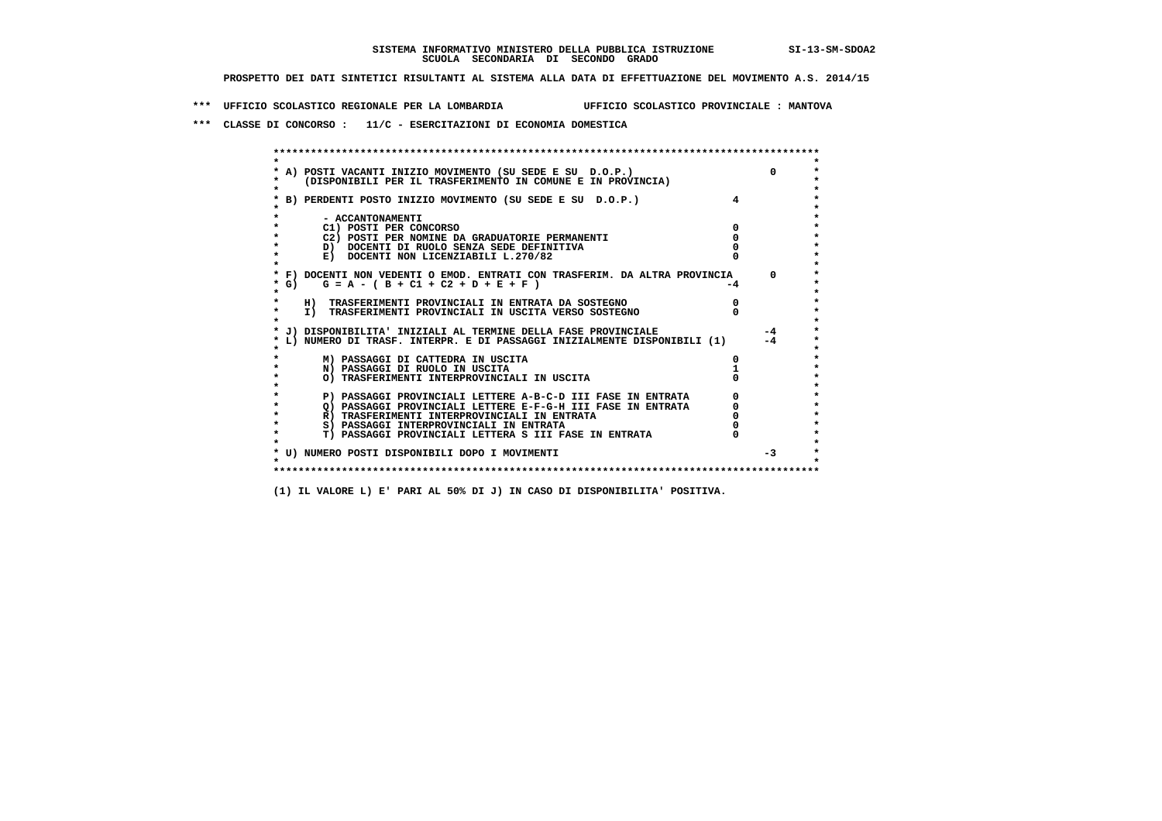**\*\*\* UFFICIO SCOLASTICO REGIONALE PER LA LOMBARDIA UFFICIO SCOLASTICO PROVINCIALE : MANTOVA**

 **\*\*\* CLASSE DI CONCORSO : 11/C - ESERCITAZIONI DI ECONOMIA DOMESTICA**

| A) POSTI VACANTI INIZIO MOVIMENTO (SU SEDE E SU D.O.P.)<br>(DISPONIBILI PER IL TRASFERIMENTO IN COMUNE E IN PROVINCIA) | $\Omega$ |
|------------------------------------------------------------------------------------------------------------------------|----------|
| B) PERDENTI POSTO INIZIO MOVIMENTO (SU SEDE E SU D.O.P.)                                                               |          |
| - ACCANTONAMENTI                                                                                                       |          |
| C1) POSTI PER CONCORSO                                                                                                 |          |
| C2) POSTI PER NOMINE DA GRADUATORIE PERMANENTI                                                                         |          |
| D) DOCENTI DI RUOLO SENZA SEDE DEFINITIVA                                                                              |          |
| E) DOCENTI NON LICENZIABILI L.270/82                                                                                   |          |
| * F) DOCENTI NON VEDENTI O EMOD. ENTRATI CON TRASFERIM. DA ALTRA PROVINCIA                                             | $\Omega$ |
| G) $G = A - (B + C1 + C2 + D + E + F)$                                                                                 | -4       |
| H) TRASFERIMENTI PROVINCIALI IN ENTRATA DA SOSTEGNO                                                                    |          |
| I) TRASFERIMENTI PROVINCIALI IN USCITA VERSO SOSTEGNO                                                                  |          |
| J) DISPONIBILITA' INIZIALI AL TERMINE DELLA FASE PROVINCIALE                                                           | $-4$     |
| L) NUMERO DI TRASF. INTERPR. E DI PASSAGGI INIZIALMENTE DISPONIBILI (1)                                                | $-4$     |
| M) PASSAGGI DI CATTEDRA IN USCITA                                                                                      |          |
| N) PASSAGGI DI RUOLO IN USCITA                                                                                         |          |
| O) TRASFERIMENTI INTERPROVINCIALI IN USCITA                                                                            |          |
| P) PASSAGGI PROVINCIALI LETTERE A-B-C-D III FASE IN ENTRATA                                                            |          |
| O) PASSAGGI PROVINCIALI LETTERE E-F-G-H III FASE IN ENTRATA                                                            |          |
| R) TRASFERIMENTI INTERPROVINCIALI IN ENTRATA                                                                           |          |
| S) PASSAGGI INTERPROVINCIALI IN ENTRATA                                                                                |          |
| T) PASSAGGI PROVINCIALI LETTERA S III FASE IN ENTRATA                                                                  |          |
|                                                                                                                        |          |
| * U) NUMERO POSTI DISPONIBILI DOPO I MOVIMENTI                                                                         | $-3$     |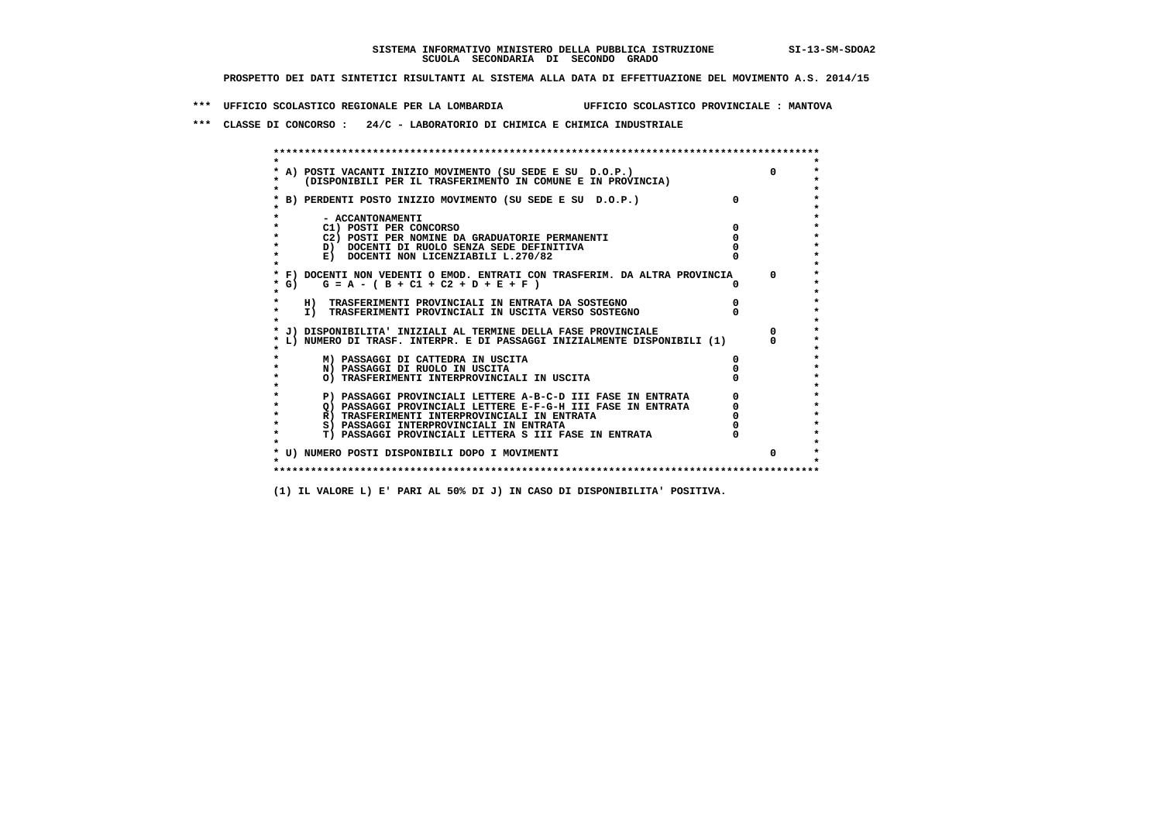**\*\*\* UFFICIO SCOLASTICO REGIONALE PER LA LOMBARDIA UFFICIO SCOLASTICO PROVINCIALE : MANTOVA**

 **\*\*\* CLASSE DI CONCORSO : 24/C - LABORATORIO DI CHIMICA E CHIMICA INDUSTRIALE**

 **\*\*\*\*\*\*\*\*\*\*\*\*\*\*\*\*\*\*\*\*\*\*\*\*\*\*\*\*\*\*\*\*\*\*\*\*\*\*\*\*\*\*\*\*\*\*\*\*\*\*\*\*\*\*\*\*\*\*\*\*\*\*\*\*\*\*\*\*\*\*\*\*\*\*\*\*\*\*\*\*\*\*\*\*\*\*\*\* \* \*** $\bullet$  **\* A) POSTI VACANTI INIZIO MOVIMENTO (SU SEDE E SU D.O.P.) 0 \*** $\star$  **\* (DISPONIBILI PER IL TRASFERIMENTO IN COMUNE E IN PROVINCIA) \*** $\bullet$  **\* \* \* B) PERDENTI POSTO INIZIO MOVIMENTO (SU SEDE E SU D.O.P.) 0 \* \* \* \* - ACCANTONAMENTI \* \* C1) POSTI PER CONCORSO 0 \* \* C2) POSTI PER NOMINE DA GRADUATORIE PERMANENTI 0 \*b**  $\overline{D}$  **docenti di RUOLO SENZA SEDE DEFINITIVA**  $\overline{D}$  **0**  $\overline{D}$  **0**  $\overline{D}$  **0**  $\overline{D}$  **0**  $\overline{D}$  **0**  $\overline{D}$  **0**  $\overline{D}$  **0**  $\overline{D}$  **0**  $\overline{D}$  **0**  $\overline{D}$  **0**  $\overline{D}$  **0**  $\overline{D}$  **0**  $\overline{D}$  **0 E) DOCENTI NON LICENZIABILI L.270/82 \* \* \* F) DOCENTI NON VEDENTI O EMOD. ENTRATI CON TRASFERIM. DA ALTRA PROVINCIA 0 \* \* G) G = A - ( B + C1 + C2 + D + E + F ) 0 \* \* \* \* H) TRASFERIMENTI PROVINCIALI IN ENTRATA DA SOSTEGNO 0 \* \* I) TRASFERIMENTI PROVINCIALI IN USCITA VERSO SOSTEGNO 0 \* \* \* \* J) DISPONIBILITA' INIZIALI AL TERMINE DELLA FASE PROVINCIALE 0 \* \* L) NUMERO DI TRASF. INTERPR. E DI PASSAGGI INIZIALMENTE DISPONIBILI (1) 0 \* \* \* \* M) PASSAGGI DI CATTEDRA IN USCITA 0 \* \* N) PASSAGGI DI RUOLO IN USCITA 0 \* \* O) TRASFERIMENTI INTERPROVINCIALI IN USCITA 0 \* \* \* \* P) PASSAGGI PROVINCIALI LETTERE A-B-C-D III FASE IN ENTRATA 0 \*** $\star$  **\* Q) PASSAGGI PROVINCIALI LETTERE E-F-G-H III FASE IN ENTRATA 0 \*R)** TRASFERIMENTI INTERPROVINCIALI IN ENTRATA  $\begin{bmatrix} 0 & 0 \\ 0 & 0 \\ 0 & 0 \end{bmatrix}$  PASSAGGI INTERPROVINCIALI IN ENTRATA  $\begin{bmatrix} 0 & 0 \\ 0 & 0 \\ 0 & 0 \end{bmatrix}$  **\* S) PASSAGGI INTERPROVINCIALI IN ENTRATA 0 \*** $\ddot{\phantom{1}}$  **\* T) PASSAGGI PROVINCIALI LETTERA S III FASE IN ENTRATA 0 \*** $\star$  **\* \* \* U) NUMERO POSTI DISPONIBILI DOPO I MOVIMENTI 0 \* \* \* \*\*\*\*\*\*\*\*\*\*\*\*\*\*\*\*\*\*\*\*\*\*\*\*\*\*\*\*\*\*\*\*\*\*\*\*\*\*\*\*\*\*\*\*\*\*\*\*\*\*\*\*\*\*\*\*\*\*\*\*\*\*\*\*\*\*\*\*\*\*\*\*\*\*\*\*\*\*\*\*\*\*\*\*\*\*\*\***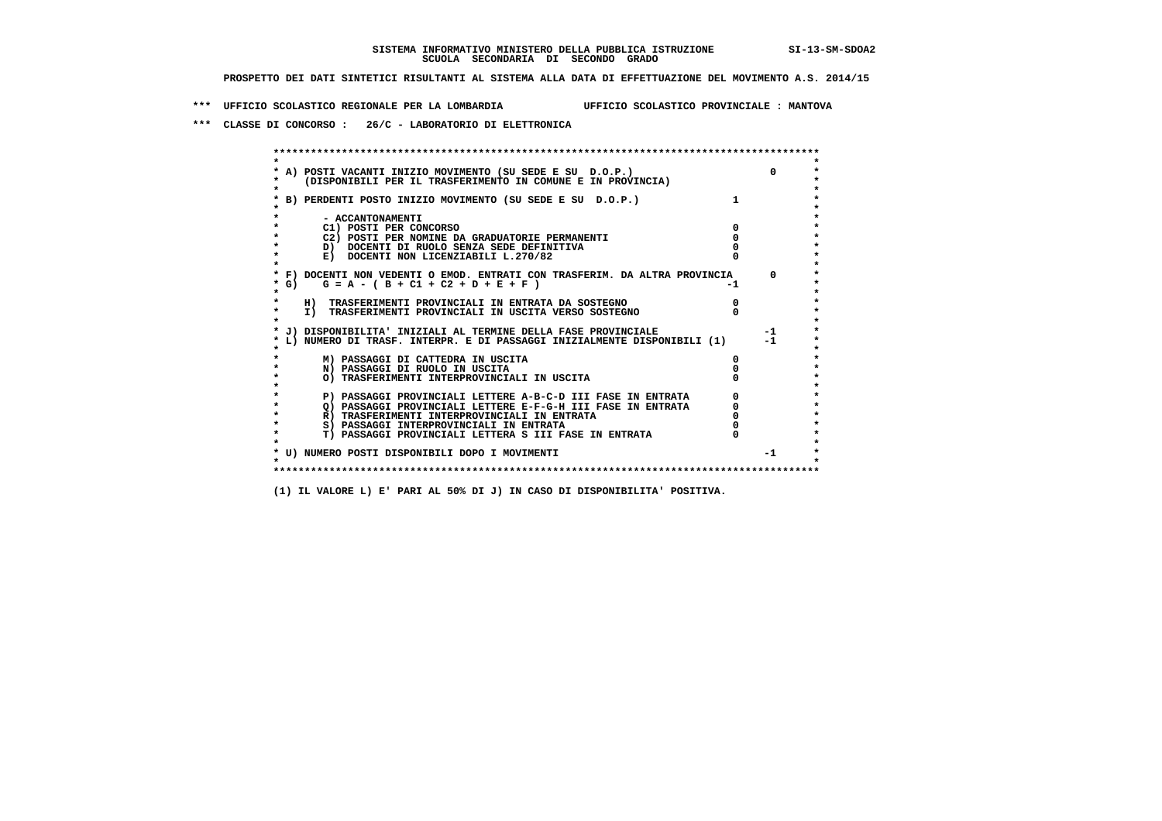**\*\*\* UFFICIO SCOLASTICO REGIONALE PER LA LOMBARDIA UFFICIO SCOLASTICO PROVINCIALE : MANTOVA**

 **\*\*\* CLASSE DI CONCORSO : 26/C - LABORATORIO DI ELETTRONICA**

 **\*\*\*\*\*\*\*\*\*\*\*\*\*\*\*\*\*\*\*\*\*\*\*\*\*\*\*\*\*\*\*\*\*\*\*\*\*\*\*\*\*\*\*\*\*\*\*\*\*\*\*\*\*\*\*\*\*\*\*\*\*\*\*\*\*\*\*\*\*\*\*\*\*\*\*\*\*\*\*\*\*\*\*\*\*\*\*\* \* \*** $\bullet$  **\* A) POSTI VACANTI INIZIO MOVIMENTO (SU SEDE E SU D.O.P.) 0 \* \* (DISPONIBILI PER IL TRASFERIMENTO IN COMUNE E IN PROVINCIA) \* \* \* \* B) PERDENTI POSTO INIZIO MOVIMENTO (SU SEDE E SU D.O.P.) 1 \* \* \* \* - ACCANTONAMENTI \* \* C1) POSTI PER CONCORSO 0 \* \* C2) POSTI PER NOMINE DA GRADUATORIE PERMANENTI 0 \*D)** DOCENTI DI RUOLO SENZA SEDE DEFINITIVA  $\overline{a}$  0  $\overline{b}$  0  $\overline{c}$  0  $\overline{c}$  0  $\overline{c}$  0  $\overline{a}$  0  $\overline{c}$ **E) DOCENTI NON LICENZIABILI L.270/82 \* \* \* F) DOCENTI NON VEDENTI O EMOD. ENTRATI CON TRASFERIM. DA ALTRA PROVINCIA 0 \***  $\star$  **G)** G = A - ( B + C1 + C2 + D + E + F)  **\* \* \* H) TRASFERIMENTI PROVINCIALI IN ENTRATA DA SOSTEGNO 0 \* \* I) TRASFERIMENTI PROVINCIALI IN USCITA VERSO SOSTEGNO 0 \* \* \* \* J) DISPONIBILITA' INIZIALI AL TERMINE DELLA FASE PROVINCIALE -1 \* \* L) NUMERO DI TRASF. INTERPR. E DI PASSAGGI INIZIALMENTE DISPONIBILI (1) -1 \* \* \* \* M) PASSAGGI DI CATTEDRA IN USCITA 0 \* \* N) PASSAGGI DI RUOLO IN USCITA 0 \* \* O) TRASFERIMENTI INTERPROVINCIALI IN USCITA 0 \* \* \* P) PASSAGGI PROVINCIALI LETTERE A-B-C-D III FASE IN ENTRATA** 0 <sup>0</sup> **DASSAGGI PROVINCIALI LETTERE E-F-G-H** III FASE IN ENTRATA 0 <sup>0</sup> **2) PASSAGGI PROVINCIALI LETTERE E-F-G-H III FASE IN ENTRATA 6**<br> **R**) TRASFERIMENTI INTERPROVINCIALI IN ENTRATA 6 **R)** TRASFERIMENTI INTERPROVINCIALI IN ENTRATA  $\begin{bmatrix} 0 & 0 \\ 0 & 0 \\ 0 & 0 \end{bmatrix}$  PASSAGGI INTERPROVINCIALI IN ENTRATA  $\begin{bmatrix} 0 & 0 \\ 0 & 0 \\ 0 & 0 \end{bmatrix}$  **\* S) PASSAGGI INTERPROVINCIALI IN ENTRATA 0 \*** $\ddot{\phantom{1}}$  **\* T) PASSAGGI PROVINCIALI LETTERA S III FASE IN ENTRATA 0 \*** $\star$  **\* \* \* U) NUMERO POSTI DISPONIBILI DOPO I MOVIMENTI -1 \* \* \* \*\*\*\*\*\*\*\*\*\*\*\*\*\*\*\*\*\*\*\*\*\*\*\*\*\*\*\*\*\*\*\*\*\*\*\*\*\*\*\*\*\*\*\*\*\*\*\*\*\*\*\*\*\*\*\*\*\*\*\*\*\*\*\*\*\*\*\*\*\*\*\*\*\*\*\*\*\*\*\*\*\*\*\*\*\*\*\***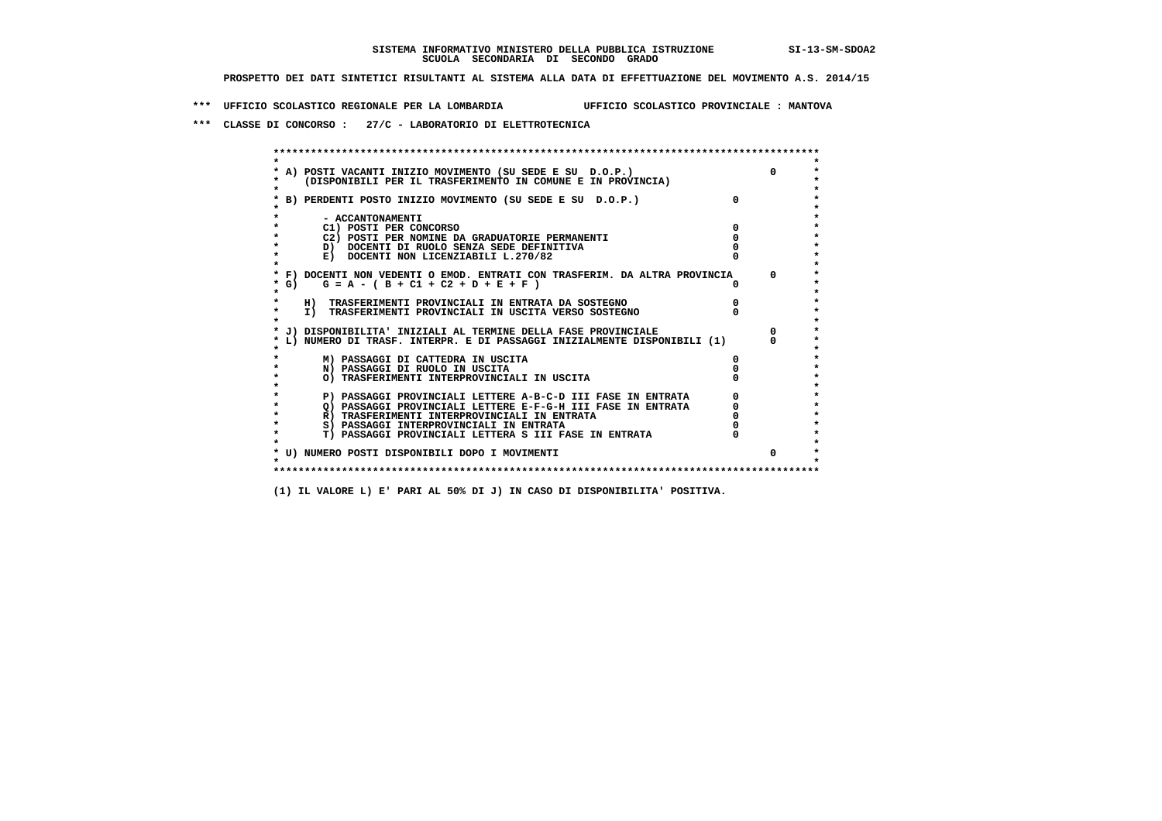**\*\*\* UFFICIO SCOLASTICO REGIONALE PER LA LOMBARDIA UFFICIO SCOLASTICO PROVINCIALE : MANTOVA**

 **\*\*\* CLASSE DI CONCORSO : 27/C - LABORATORIO DI ELETTROTECNICA**

| A) POSTI VACANTI INIZIO MOVIMENTO (SU SEDE E SU D.O.P.)                    | $\Omega$     |
|----------------------------------------------------------------------------|--------------|
| (DISPONIBILI PER IL TRASFERIMENTO IN COMUNE E IN PROVINCIA)                |              |
| B) PERDENTI POSTO INIZIO MOVIMENTO (SU SEDE E SU D.O.P.)                   |              |
| - ACCANTONAMENTI                                                           |              |
| C1) POSTI PER CONCORSO                                                     |              |
| C2) POSTI PER NOMINE DA GRADUATORIE PERMANENTI                             |              |
| D) DOCENTI DI RUOLO SENZA SEDE DEFINITIVA                                  |              |
| E) DOCENTI NON LICENZIABILI L.270/82                                       |              |
| * F) DOCENTI NON VEDENTI O EMOD. ENTRATI CON TRASFERIM. DA ALTRA PROVINCIA | <sup>n</sup> |
| * G) $G = A - (B + C1 + C2 + D + E + F)$                                   |              |
| H) TRASFERIMENTI PROVINCIALI IN ENTRATA DA SOSTEGNO                        |              |
| I) TRASFERIMENTI PROVINCIALI IN USCITA VERSO SOSTEGNO                      |              |
| J) DISPONIBILITA' INIZIALI AL TERMINE DELLA FASE PROVINCIALE               |              |
| L) NUMERO DI TRASF. INTERPR. E DI PASSAGGI INIZIALMENTE DISPONIBILI (1)    |              |
| M) PASSAGGI DI CATTEDRA IN USCITA                                          |              |
| N) PASSAGGI DI RUOLO IN USCITA                                             |              |
| O) TRASFERIMENTI INTERPROVINCIALI IN USCITA                                |              |
| P) PASSAGGI PROVINCIALI LETTERE A-B-C-D III FASE IN ENTRATA                |              |
| O) PASSAGGI PROVINCIALI LETTERE E-F-G-H III FASE IN ENTRATA                |              |
| R) TRASFERIMENTI INTERPROVINCIALI IN ENTRATA                               |              |
| S) PASSAGGI INTERPROVINCIALI IN ENTRATA                                    |              |
| T) PASSAGGI PROVINCIALI LETTERA S III FASE IN ENTRATA                      |              |
| * U) NUMERO POSTI DISPONIBILI DOPO I MOVIMENTI                             | $\Omega$     |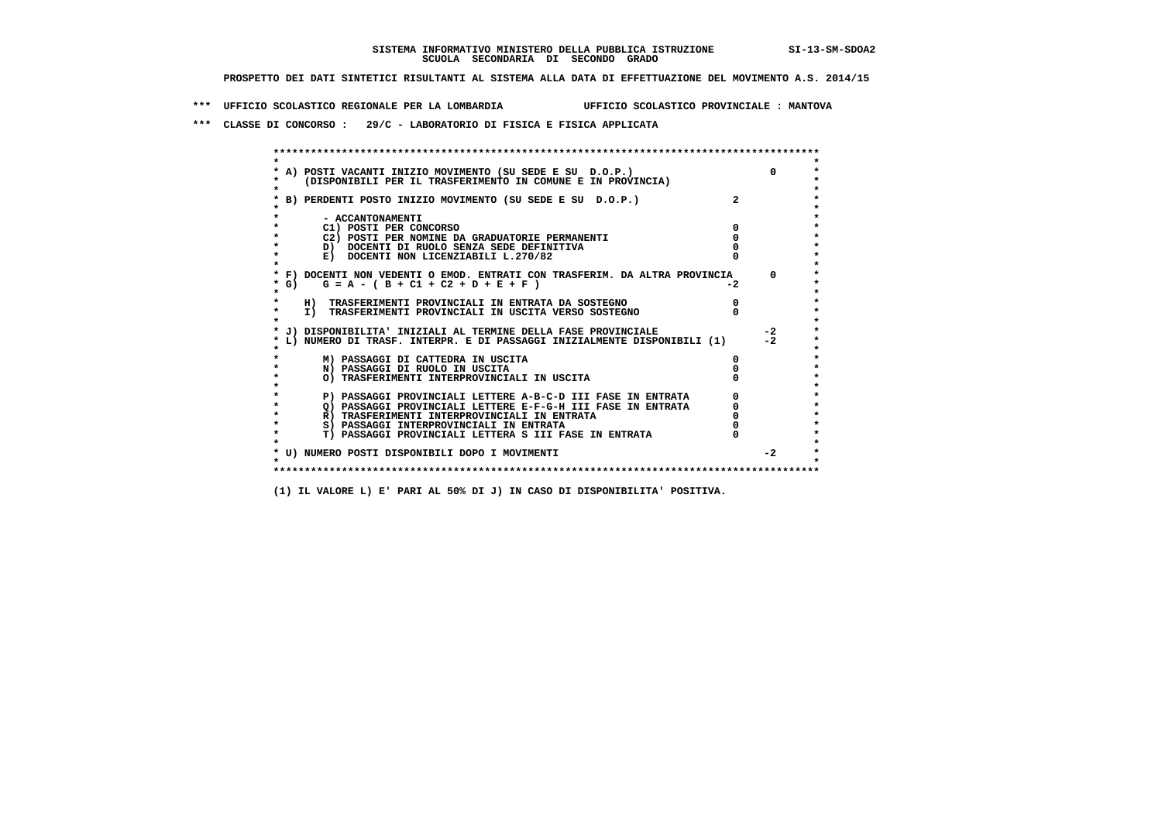**\*\*\* UFFICIO SCOLASTICO REGIONALE PER LA LOMBARDIA UFFICIO SCOLASTICO PROVINCIALE : MANTOVA**

 **\*\*\* CLASSE DI CONCORSO : 29/C - LABORATORIO DI FISICA E FISICA APPLICATA**

| A) POSTI VACANTI INIZIO MOVIMENTO (SU SEDE E SU D.O.P.)                                                      |                                                             |      |          |
|--------------------------------------------------------------------------------------------------------------|-------------------------------------------------------------|------|----------|
| (DISPONIBILI PER IL TRASFERIMENTO IN COMUNE E IN PROVINCIA)                                                  |                                                             |      |          |
|                                                                                                              |                                                             |      |          |
| * B) PERDENTI POSTO INIZIO MOVIMENTO (SU SEDE E SU  D.O.P.)                                                  |                                                             |      |          |
| - ACCANTONAMENTI                                                                                             |                                                             |      |          |
| C1) POSTI PER CONCORSO                                                                                       |                                                             |      |          |
| C2) POSTI PER NOMINE DA GRADUATORIE PERMANENTI                                                               |                                                             |      |          |
| D) DOCENTI DI RUOLO SENZA SEDE DEFINITIVA                                                                    |                                                             |      |          |
| E) DOCENTI NON LICENZIABILI L.270/82                                                                         |                                                             |      |          |
|                                                                                                              |                                                             |      |          |
| * F) DOCENTI NON VEDENTI O EMOD. ENTRATI CON TRASFERIM. DA ALTRA PROVINCIA                                   |                                                             |      | $\Omega$ |
| $G = A - (B + C1 + C2 + D + E + F)$<br>$*$ G)                                                                |                                                             | $-2$ |          |
|                                                                                                              |                                                             |      |          |
| H) TRASFERIMENTI PROVINCIALI IN ENTRATA DA SOSTEGNO<br>I) TRASFERIMENTI PROVINCIALI IN USCITA VERSO SOSTEGNO |                                                             |      |          |
|                                                                                                              |                                                             |      |          |
| * J) DISPONIBILITA' INIZIALI AL TERMINE DELLA FASE PROVINCIALE                                               |                                                             |      | $-2$     |
| L) NUMERO DI TRASF. INTERPR. E DI PASSAGGI INIZIALMENTE DISPONIBILI (1)                                      |                                                             |      | $-2$     |
|                                                                                                              |                                                             |      |          |
| M) PASSAGGI DI CATTEDRA IN USCITA                                                                            |                                                             |      |          |
| N) PASSAGGI DI RUOLO IN USCITA                                                                               |                                                             |      |          |
| O) TRASFERIMENTI INTERPROVINCIALI IN USCITA                                                                  |                                                             |      |          |
|                                                                                                              | P) PASSAGGI PROVINCIALI LETTERE A-B-C-D III FASE IN ENTRATA |      |          |
|                                                                                                              | O) PASSAGGI PROVINCIALI LETTERE E-F-G-H III FASE IN ENTRATA |      |          |
| R) TRASFERIMENTI INTERPROVINCIALI IN ENTRATA                                                                 |                                                             |      |          |
| S) PASSAGGI INTERPROVINCIALI IN ENTRATA                                                                      |                                                             |      |          |
| T) PASSAGGI PROVINCIALI LETTERA S III FASE IN ENTRATA                                                        |                                                             |      |          |
|                                                                                                              |                                                             |      |          |
| * U) NUMERO POSTI DISPONIBILI DOPO I MOVIMENTI                                                               |                                                             |      | $-2$     |
|                                                                                                              |                                                             |      |          |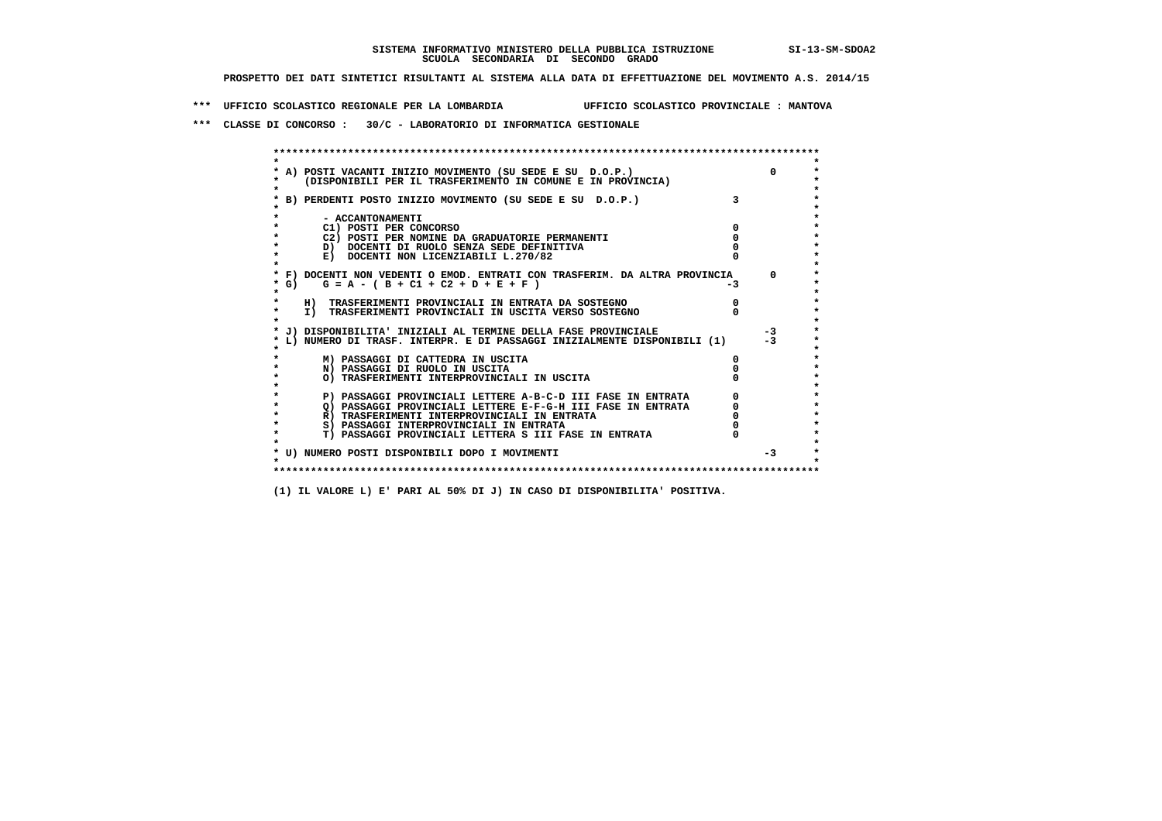**\*\*\* UFFICIO SCOLASTICO REGIONALE PER LA LOMBARDIA UFFICIO SCOLASTICO PROVINCIALE : MANTOVA**

 **\*\*\* CLASSE DI CONCORSO : 30/C - LABORATORIO DI INFORMATICA GESTIONALE**

|                                          | A) POSTI VACANTI INIZIO MOVIMENTO (SU SEDE E SU D.O.P.)                    |      | $\Omega$   |
|------------------------------------------|----------------------------------------------------------------------------|------|------------|
|                                          | (DISPONIBILI PER IL TRASFERIMENTO IN COMUNE E IN PROVINCIA)                |      |            |
|                                          |                                                                            |      |            |
|                                          | B) PERDENTI POSTO INIZIO MOVIMENTO (SU SEDE E SU D.O.P.)                   |      |            |
|                                          |                                                                            |      |            |
| - ACCANTONAMENTI                         |                                                                            |      |            |
| C1) POSTI PER CONCORSO                   |                                                                            |      |            |
|                                          | C2) POSTI PER NOMINE DA GRADUATORIE PERMANENTI                             |      |            |
|                                          | D) DOCENTI DI RUOLO SENZA SEDE DEFINITIVA                                  |      |            |
|                                          | E) DOCENTI NON LICENZIABILI L.270/82                                       |      |            |
|                                          | * F) DOCENTI NON VEDENTI O EMOD. ENTRATI CON TRASFERIM. DA ALTRA PROVINCIA |      | $^{\circ}$ |
| * G) $G = A - (B + C1 + C2 + D + E + F)$ |                                                                            | $-3$ |            |
|                                          |                                                                            |      |            |
|                                          | H) TRASFERIMENTI PROVINCIALI IN ENTRATA DA SOSTEGNO                        |      |            |
|                                          | I) TRASFERIMENTI PROVINCIALI IN USCITA VERSO SOSTEGNO                      |      |            |
|                                          |                                                                            |      |            |
|                                          | J) DISPONIBILITA' INIZIALI AL TERMINE DELLA FASE PROVINCIALE               |      | $-3$       |
|                                          | L) NUMERO DI TRASF. INTERPR. E DI PASSAGGI INIZIALMENTE DISPONIBILI (1)    |      | $-3$       |
|                                          |                                                                            |      |            |
|                                          | M) PASSAGGI DI CATTEDRA IN USCITA                                          |      |            |
| N) PASSAGGI DI RUOLO IN USCITA           |                                                                            |      |            |
|                                          | O) TRASFERIMENTI INTERPROVINCIALI IN USCITA                                |      |            |
|                                          | P) PASSAGGI PROVINCIALI LETTERE A-B-C-D III FASE IN ENTRATA                |      |            |
|                                          | O) PASSAGGI PROVINCIALI LETTERE E-F-G-H III FASE IN ENTRATA                |      |            |
|                                          | R) TRASFERIMENTI INTERPROVINCIALI IN ENTRATA                               |      |            |
|                                          | S) PASSAGGI INTERPROVINCIALI IN ENTRATA                                    |      |            |
|                                          | T) PASSAGGI PROVINCIALI LETTERA S III FASE IN ENTRATA                      |      |            |
|                                          |                                                                            |      |            |
|                                          | * U) NUMERO POSTI DISPONIBILI DOPO I MOVIMENTI                             |      | $-3$       |
|                                          |                                                                            |      |            |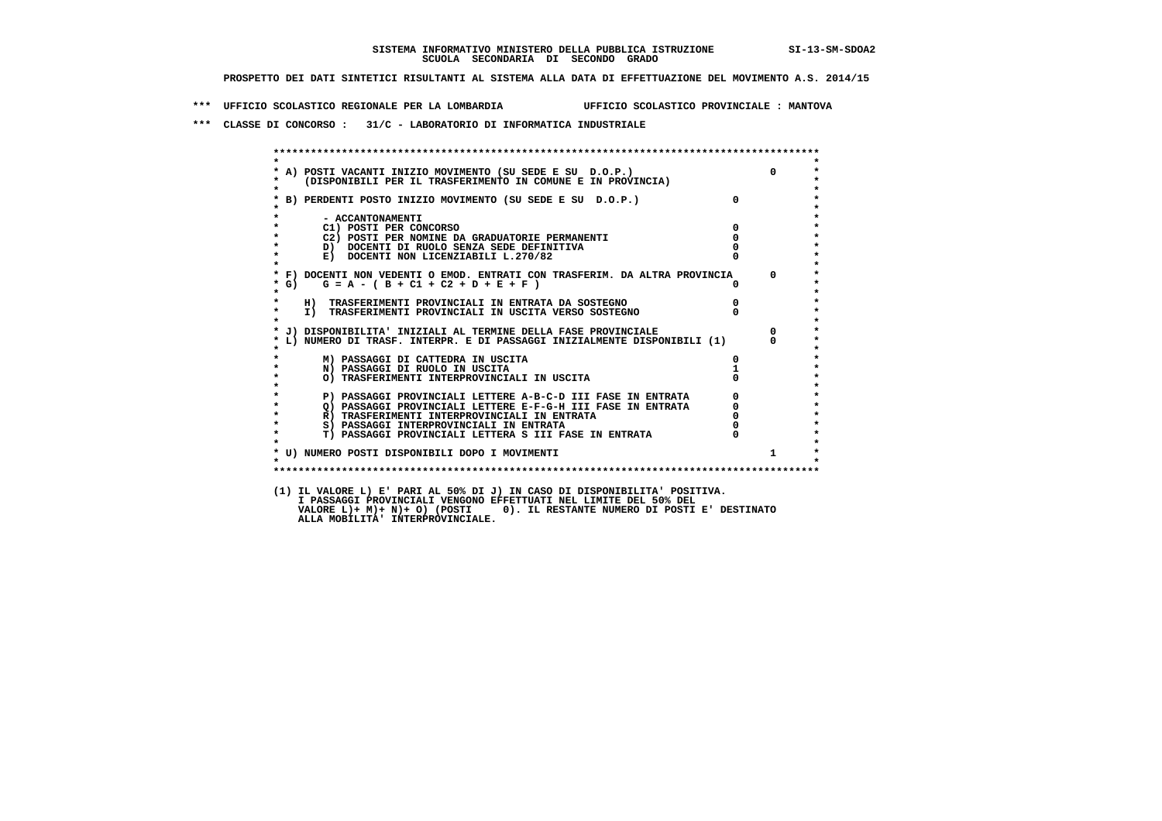**\*\*\* UFFICIO SCOLASTICO REGIONALE PER LA LOMBARDIA UFFICIO SCOLASTICO PROVINCIALE : MANTOVA**

 **\*\*\* CLASSE DI CONCORSO : 31/C - LABORATORIO DI INFORMATICA INDUSTRIALE**

| $\star$            |                                                                                   |                |                |
|--------------------|-----------------------------------------------------------------------------------|----------------|----------------|
|                    | * A) POSTI VACANTI INIZIO MOVIMENTO (SU SEDE E SU D.O.P.)                         |                | $\overline{0}$ |
| $\star$<br>$\star$ | (DISPONIBILI PER IL TRASFERIMENTO IN COMUNE E IN PROVINCIA)                       |                |                |
|                    | * B) PERDENTI POSTO INIZIO MOVIMENTO (SU SEDE E SU D.O.P.)                        | $\Omega$       |                |
|                    |                                                                                   |                |                |
| $\star$            | - ACCANTONAMENTI                                                                  |                |                |
| $\star$            | C1) POSTI PER CONCORSO                                                            | $\mathbf 0$    |                |
| $\star$<br>$\star$ | C2) POSTI PER NOMINE DA GRADUATORIE PERMANENTI                                    | $\mathbf 0$    |                |
| $\star$            | D) DOCENTI DI RUOLO SENZA SEDE DEFINITIVA<br>E) DOCENTI NON LICENZIABILI L.270/82 |                |                |
| $\star$            |                                                                                   |                |                |
|                    | * F) DOCENTI NON VEDENTI O EMOD. ENTRATI CON TRASFERIM. DA ALTRA PROVINCIA 0      |                |                |
| * G)               | $G = A - (B + C1 + C2 + D + E + F)$                                               |                |                |
| $\star$            |                                                                                   |                |                |
| $\star$            | H) TRASFERIMENTI PROVINCIALI IN ENTRATA DA SOSTEGNO                               | $\overline{0}$ |                |
| $\star$<br>$\star$ | I) TRASFERIMENTI PROVINCIALI IN USCITA VERSO SOSTEGNO                             |                |                |
|                    | * J) DISPONIBILITA' INIZIALI AL TERMINE DELLA FASE PROVINCIALE                    |                | $\mathbf{0}$   |
|                    | L) NUMERO DI TRASF. INTERPR. E DI PASSAGGI INIZIALMENTE DISPONIBILI (1)           |                |                |
|                    |                                                                                   |                |                |
| $\star$            | M) PASSAGGI DI CATTEDRA IN USCITA                                                 |                |                |
|                    | N) PASSAGGI DI RUOLO IN USCITA                                                    |                |                |
| $\star$<br>$\star$ | O) TRASFERIMENTI INTERPROVINCIALI IN USCITA                                       |                |                |
| $\star$            | P) PASSAGGI PROVINCIALI LETTERE A-B-C-D III FASE IN ENTRATA                       |                |                |
| $\star$            | P) PASSAGGI PROVINCIALI LETTERE E-F-G-H III FASE IN ENTRATA                       |                |                |
| $\star$            | R) TRASFERIMENTI INTERPROVINCIALI IN ENTRATA                                      |                |                |
| $\star$            | S) PASSAGGI INTERPROVINCIALI IN ENTRATA                                           |                |                |
| $\star$            | T) PASSAGGI PROVINCIALI LETTERA S III FASE IN ENTRATA                             |                |                |
|                    |                                                                                   |                |                |
| $\cdot$            | * U) NUMERO POSTI DISPONIBILI DOPO I MOVIMENTI                                    |                | $\mathbf{1}$   |
|                    |                                                                                   |                |                |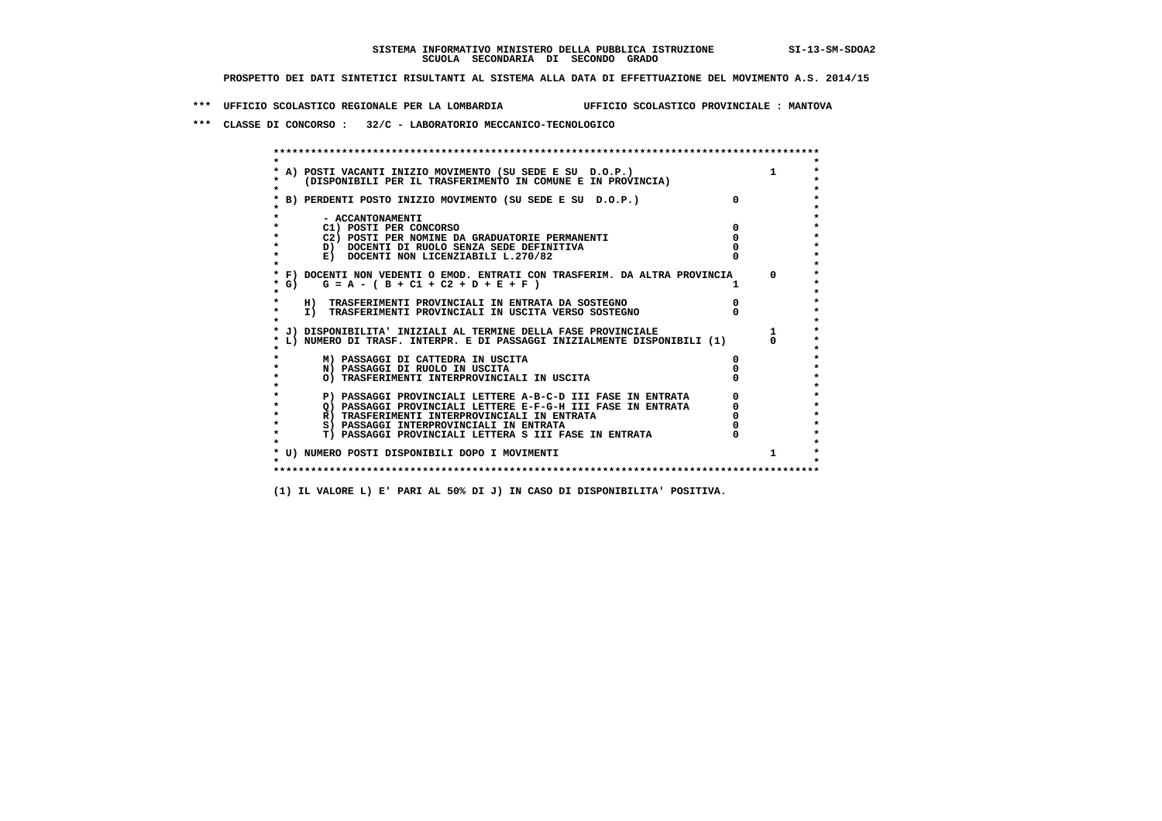**\*\*\* UFFICIO SCOLASTICO REGIONALE PER LA LOMBARDIA UFFICIO SCOLASTICO PROVINCIALE : MANTOVA**

 **\*\*\* CLASSE DI CONCORSO : 32/C - LABORATORIO MECCANICO-TECNOLOGICO**

| A) POSTI VACANTI INIZIO MOVIMENTO (SU SEDE E SU D.O.P.)                    |              |
|----------------------------------------------------------------------------|--------------|
| (DISPONIBILI PER IL TRASFERIMENTO IN COMUNE E IN PROVINCIA)                |              |
| B) PERDENTI POSTO INIZIO MOVIMENTO (SU SEDE E SU D.O.P.)                   |              |
| - ACCANTONAMENTI                                                           |              |
| C1) POSTI PER CONCORSO                                                     |              |
| C2) POSTI PER NOMINE DA GRADUATORIE PERMANENTI                             |              |
| D) DOCENTI DI RUOLO SENZA SEDE DEFINITIVA                                  |              |
| E) DOCENTI NON LICENZIABILI L.270/82                                       |              |
| * F) DOCENTI NON VEDENTI O EMOD. ENTRATI CON TRASFERIM. DA ALTRA PROVINCIA | <sup>n</sup> |
| * G) $G = A - (B + C1 + C2 + D + E + F)$                                   |              |
| H) TRASFERIMENTI PROVINCIALI IN ENTRATA DA SOSTEGNO                        |              |
| I) TRASFERIMENTI PROVINCIALI IN USCITA VERSO SOSTEGNO                      |              |
| J) DISPONIBILITA' INIZIALI AL TERMINE DELLA FASE PROVINCIALE               |              |
| L) NUMERO DI TRASF. INTERPR. E DI PASSAGGI INIZIALMENTE DISPONIBILI (1)    |              |
| M) PASSAGGI DI CATTEDRA IN USCITA                                          |              |
| N) PASSAGGI DI RUOLO IN USCITA                                             |              |
| O) TRASFERIMENTI INTERPROVINCIALI IN USCITA                                |              |
| P) PASSAGGI PROVINCIALI LETTERE A-B-C-D III FASE IN ENTRATA                |              |
| O) PASSAGGI PROVINCIALI LETTERE E-F-G-H III FASE IN ENTRATA                |              |
| R) TRASFERIMENTI INTERPROVINCIALI IN ENTRATA                               |              |
| S) PASSAGGI INTERPROVINCIALI IN ENTRATA                                    |              |
| T) PASSAGGI PROVINCIALI LETTERA S III FASE IN ENTRATA                      |              |
| * U) NUMERO POSTI DISPONIBILI DOPO I MOVIMENTI                             |              |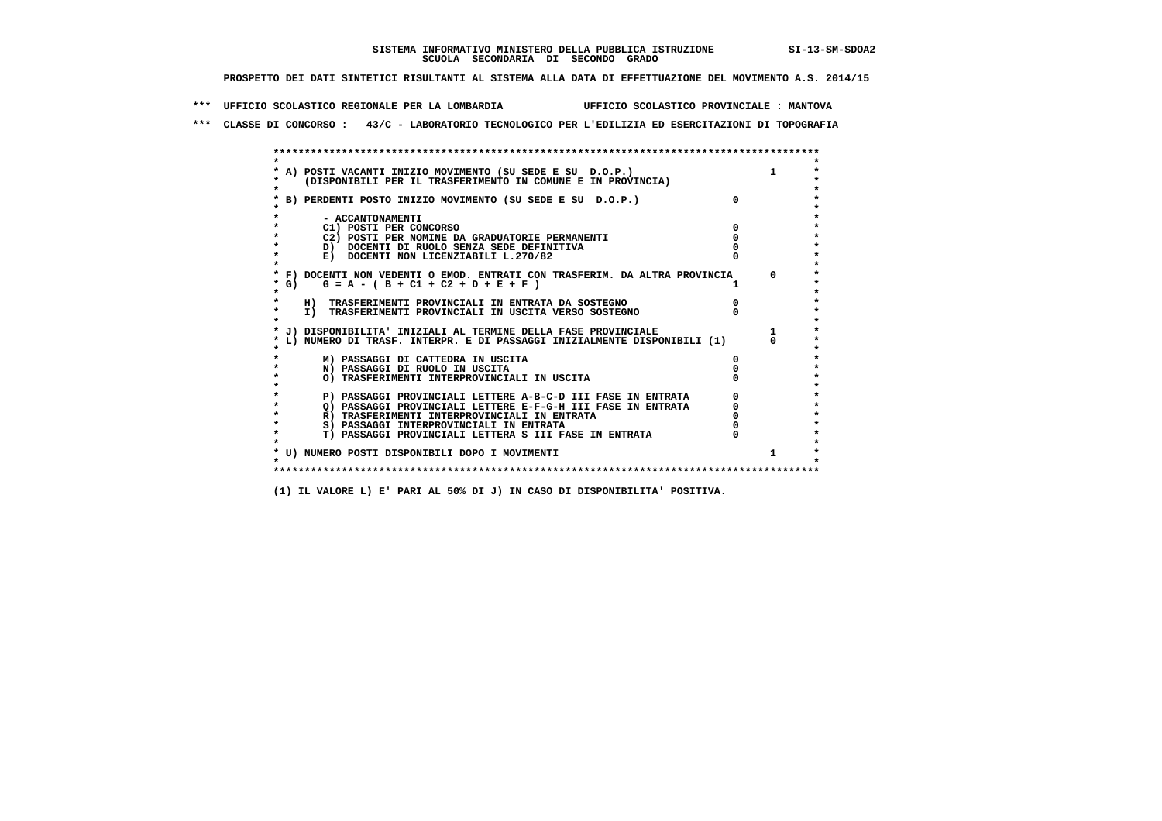**\*\*\* UFFICIO SCOLASTICO REGIONALE PER LA LOMBARDIA UFFICIO SCOLASTICO PROVINCIALE : MANTOVA**

 **\*\*\* CLASSE DI CONCORSO : 43/C - LABORATORIO TECNOLOGICO PER L'EDILIZIA ED ESERCITAZIONI DI TOPOGRAFIA**

 **\*\*\*\*\*\*\*\*\*\*\*\*\*\*\*\*\*\*\*\*\*\*\*\*\*\*\*\*\*\*\*\*\*\*\*\*\*\*\*\*\*\*\*\*\*\*\*\*\*\*\*\*\*\*\*\*\*\*\*\*\*\*\*\*\*\*\*\*\*\*\*\*\*\*\*\*\*\*\*\*\*\*\*\*\*\*\*\* \* \*** $\ddot{\phantom{0}}$  **\* A) POSTI VACANTI INIZIO MOVIMENTO (SU SEDE E SU D.O.P.) 1 \*** $\star$  **\* (DISPONIBILI PER IL TRASFERIMENTO IN COMUNE E IN PROVINCIA) \*** $\bullet$  **\* \* \* B) PERDENTI POSTO INIZIO MOVIMENTO (SU SEDE E SU D.O.P.) 0 \* \* \* \* - ACCANTONAMENTI \* \* C1) POSTI PER CONCORSO 0 \* \* C2) POSTI PER NOMINE DA GRADUATORIE PERMANENTI 0 \*b**  $\overline{D}$  **docenti di RUOLO SENZA SEDE DEFINITIVA**  $\overline{D}$  **0**  $\overline{D}$  **0**  $\overline{D}$  **0**  $\overline{D}$  **0**  $\overline{D}$  **0**  $\overline{D}$  **0**  $\overline{D}$  **0**  $\overline{D}$  **0**  $\overline{D}$  **0**  $\overline{D}$  **0**  $\overline{D}$  **0**  $\overline{D}$  **0**  $\overline{D}$  **0 E) DOCENTI NON LICENZIABILI L.270/82 \* \* \* F) DOCENTI NON VEDENTI O EMOD. ENTRATI CON TRASFERIM. DA ALTRA PROVINCIA 0 \* \* G) G = A - ( B + C1 + C2 + D + E + F ) 1 \* \* \* \* H) TRASFERIMENTI PROVINCIALI IN ENTRATA DA SOSTEGNO 0 \* \* I) TRASFERIMENTI PROVINCIALI IN USCITA VERSO SOSTEGNO 0 \* \* \* \* J) DISPONIBILITA' INIZIALI AL TERMINE DELLA FASE PROVINCIALE 1 \* \* L) NUMERO DI TRASF. INTERPR. E DI PASSAGGI INIZIALMENTE DISPONIBILI (1) 0 \* \* \* \* M) PASSAGGI DI CATTEDRA IN USCITA 0 \* \* N) PASSAGGI DI RUOLO IN USCITA 0 \* \* O) TRASFERIMENTI INTERPROVINCIALI IN USCITA 0 \* \* \* P) PASSAGGI PROVINCIALI LETTERE A-B-C-D III FASE IN ENTRATA** 0 <sup>0</sup> **DASSAGGI PROVINCIALI LETTERE E-F-G-H** III FASE IN ENTRATA 0 <sup>0</sup>  **\* Q) PASSAGGI PROVINCIALI LETTERE E-F-G-H III FASE IN ENTRATA 0 \*R**) TRASFERIMENTI INTERPROVINCIALI IN ENTRATA  $\begin{bmatrix} 0 & 0 & 0 \\ 0 & 0 & 0 \\ 0 & 0 & 0 \\ 0 & 0 & 0 \\ 0 & 0 & 0 \\ 0 & 0 & 0 & 0 \\ 0 & 0 & 0 & 0 \\ 0 & 0 & 0 & 0 \\ 0 & 0 & 0 & 0 \\ 0 & 0 & 0 & 0 \\ 0 & 0 & 0 & 0 \\ 0 & 0 & 0 & 0 \\ 0 & 0 & 0 & 0 \\ 0 & 0 & 0 & 0 \\ 0 & 0 & 0 & 0 \\ 0 &$  **\* S) PASSAGGI INTERPROVINCIALI IN ENTRATA 0 \*** $\ddot{\phantom{1}}$  **\* T) PASSAGGI PROVINCIALI LETTERA S III FASE IN ENTRATA 0 \*** $\star$  **\* \* \* U) NUMERO POSTI DISPONIBILI DOPO I MOVIMENTI 1 \* \* \* \*\*\*\*\*\*\*\*\*\*\*\*\*\*\*\*\*\*\*\*\*\*\*\*\*\*\*\*\*\*\*\*\*\*\*\*\*\*\*\*\*\*\*\*\*\*\*\*\*\*\*\*\*\*\*\*\*\*\*\*\*\*\*\*\*\*\*\*\*\*\*\*\*\*\*\*\*\*\*\*\*\*\*\*\*\*\*\***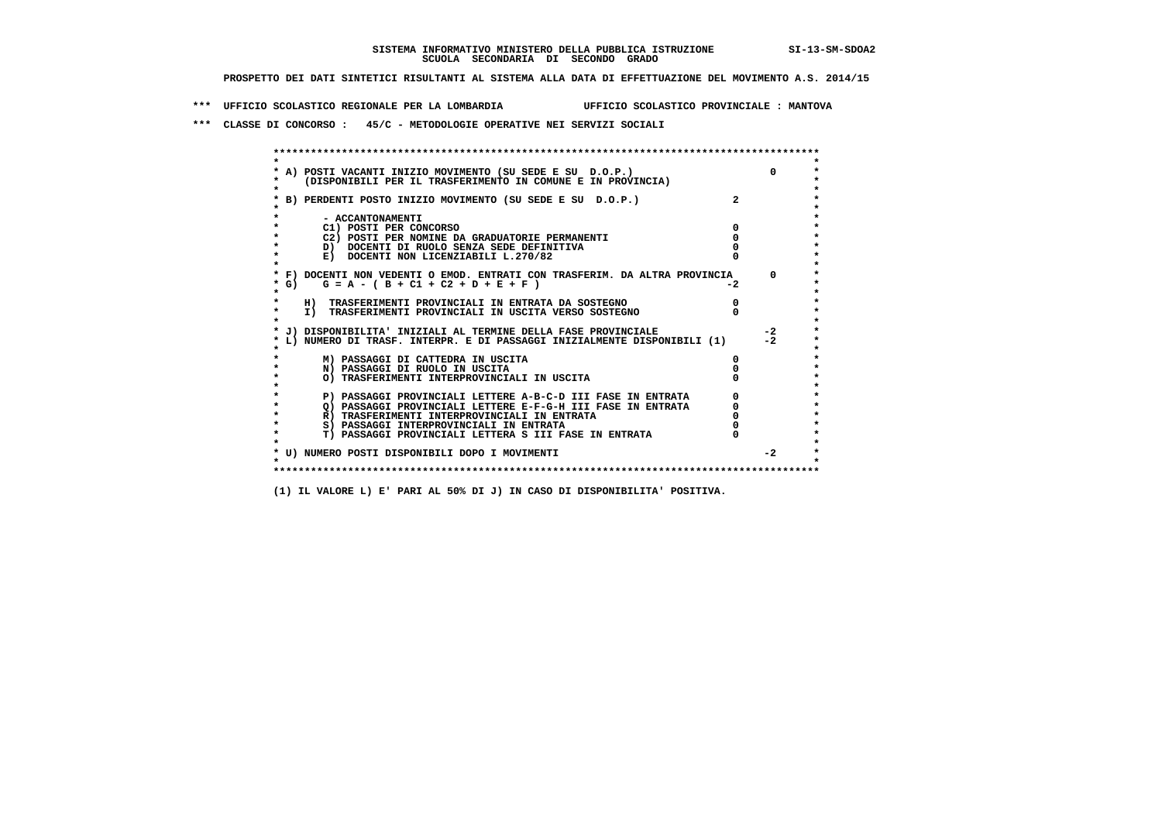**\*\*\* UFFICIO SCOLASTICO REGIONALE PER LA LOMBARDIA UFFICIO SCOLASTICO PROVINCIALE : MANTOVA**

 **\*\*\* CLASSE DI CONCORSO : 45/C - METODOLOGIE OPERATIVE NEI SERVIZI SOCIALI**

|                        | A) POSTI VACANTI INIZIO MOVIMENTO (SU SEDE E SU D.O.P.)                    |      |          |
|------------------------|----------------------------------------------------------------------------|------|----------|
|                        | (DISPONIBILI PER IL TRASFERIMENTO IN COMUNE E IN PROVINCIA)                |      |          |
|                        | B) PERDENTI POSTO INIZIO MOVIMENTO (SU SEDE E SU D.O.P.)                   |      |          |
|                        |                                                                            |      |          |
| - ACCANTONAMENTI       |                                                                            |      |          |
| C1) POSTI PER CONCORSO |                                                                            |      |          |
|                        | C2) POSTI PER NOMINE DA GRADUATORIE PERMANENTI                             |      |          |
|                        | D) DOCENTI DI RUOLO SENZA SEDE DEFINITIVA                                  |      |          |
|                        | E) DOCENTI NON LICENZIABILI L.270/82                                       |      |          |
|                        |                                                                            |      |          |
|                        | * F) DOCENTI NON VEDENTI O EMOD. ENTRATI CON TRASFERIM. DA ALTRA PROVINCIA |      | $\Omega$ |
| * G) =                 | $G = A - (B + C1 + C2 + D + E + F)$                                        | $-2$ |          |
|                        | H) TRASFERIMENTI PROVINCIALI IN ENTRATA DA SOSTEGNO                        |      |          |
|                        | I) TRASFERIMENTI PROVINCIALI IN USCITA VERSO SOSTEGNO                      |      |          |
|                        |                                                                            |      |          |
|                        | * J) DISPONIBILITA' INIZIALI AL TERMINE DELLA FASE PROVINCIALE             |      | $-2$     |
|                        | L) NUMERO DI TRASF. INTERPR. E DI PASSAGGI INIZIALMENTE DISPONIBILI (1)    |      | $-2$     |
|                        |                                                                            |      |          |
|                        | M) PASSAGGI DI CATTEDRA IN USCITA                                          |      |          |
|                        | N) PASSAGGI DI RUOLO IN USCITA                                             |      |          |
|                        | O) TRASFERIMENTI INTERPROVINCIALI IN USCITA                                |      |          |
|                        | P) PASSAGGI PROVINCIALI LETTERE A-B-C-D III FASE IN ENTRATA                |      |          |
|                        | O) PASSAGGI PROVINCIALI LETTERE E-F-G-H III FASE IN ENTRATA                |      |          |
|                        | R) TRASFERIMENTI INTERPROVINCIALI IN ENTRATA                               |      |          |
|                        | S) PASSAGGI INTERPROVINCIALI IN ENTRATA                                    |      |          |
|                        | T) PASSAGGI PROVINCIALI LETTERA S III FASE IN ENTRATA                      |      |          |
|                        |                                                                            |      |          |
|                        | * U) NUMERO POSTI DISPONIBILI DOPO I MOVIMENTI                             |      | $-2$     |
|                        |                                                                            |      |          |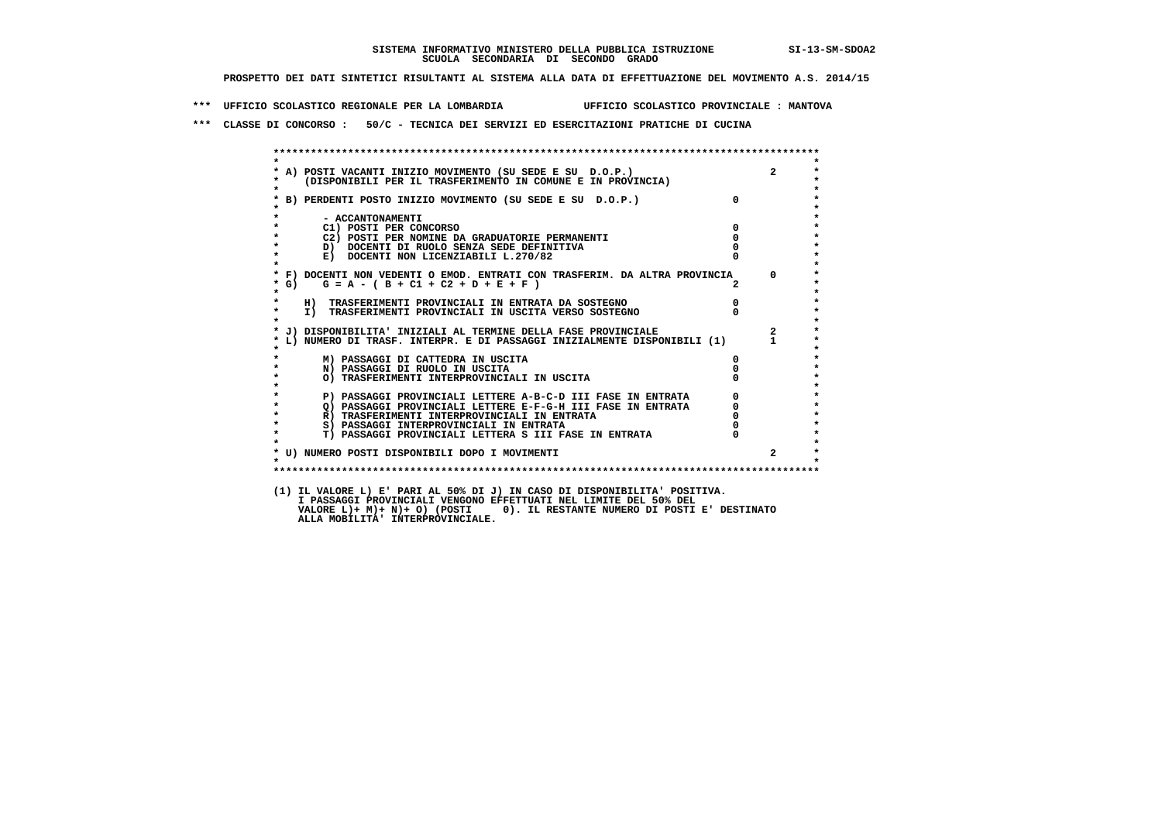**\*\*\* UFFICIO SCOLASTICO REGIONALE PER LA LOMBARDIA UFFICIO SCOLASTICO PROVINCIALE : MANTOVA**

 **\*\*\* CLASSE DI CONCORSO : 50/C - TECNICA DEI SERVIZI ED ESERCITAZIONI PRATICHE DI CUCINA**

 **\*\*\*\*\*\*\*\*\*\*\*\*\*\*\*\*\*\*\*\*\*\*\*\*\*\*\*\*\*\*\*\*\*\*\*\*\*\*\*\*\*\*\*\*\*\*\*\*\*\*\*\*\*\*\*\*\*\*\*\*\*\*\*\*\*\*\*\*\*\*\*\*\*\*\*\*\*\*\*\*\*\*\*\*\*\*\*\* \* \* \* A) POSTI VACANTI INIZIO MOVIMENTO (SU SEDE E SU D.O.P.) 2 \*** $\star$  **\* (DISPONIBILI PER IL TRASFERIMENTO IN COMUNE E IN PROVINCIA) \*** $\bullet$  **\* \* \* B) PERDENTI POSTO INIZIO MOVIMENTO (SU SEDE E SU D.O.P.) 0 \* \* \* \* - ACCANTONAMENTI \* \* C1) POSTI PER CONCORSO 0 \* \* C2) POSTI PER NOMINE DA GRADUATORIE PERMANENTI 0 \*b**  $\overline{D}$  **docenti di Ruolo senza sede definitiva** o  $\overline{D}$  **0**  $\overline{D}$  **0**  $\overline{D}$  **0**  $\overline{D}$  **0**  $\overline{D}$  **0**  $\overline{D}$  **0**  $\overline{D}$  **0**  $\overline{D}$  **0**  $\overline{D}$  **0**  $\overline{D}$  **0**  $\overline{D}$  **0**  $\overline{D}$  **0**  $\overline{D}$  **E) DOCENTI NON LICENZIABILI L.270/82 \* \* \* F) DOCENTI NON VEDENTI O EMOD. ENTRATI CON TRASFERIM. DA ALTRA PROVINCIA 0 \* \* G) G = A - ( B + C1 + C2 + D + E + F ) 2 \* \* \* \* H) TRASFERIMENTI PROVINCIALI IN ENTRATA DA SOSTEGNO 0 \* \* I) TRASFERIMENTI PROVINCIALI IN USCITA VERSO SOSTEGNO 0 \* \* \* \* J) DISPONIBILITA' INIZIALI AL TERMINE DELLA FASE PROVINCIALE 2 \* \* L) NUMERO DI TRASF. INTERPR. E DI PASSAGGI INIZIALMENTE DISPONIBILI (1) 1 \* \* \* \* M) PASSAGGI DI CATTEDRA IN USCITA 0 \* \* N) PASSAGGI DI RUOLO IN USCITA 0 \* \* O) TRASFERIMENTI INTERPROVINCIALI IN USCITA 0 \* \* \* P) PASSAGGI PROVINCIALI LETTERE A-B-C-D III FASE IN ENTRATA** 0 <sup>0</sup> **DASSAGGI PROVINCIALI LETTERE E-F-G-H** III FASE IN ENTRATA 0 <sup>0</sup> **2) PASSAGGI PROVINCIALI LETTERE E-F-G-H III FASE IN ENTRATA 6 0 R**) TRASFERIMENTI INTERPROVINCIALI IN ENTRATA 6 **0 R**) TRASFERIMENTI INTERPROVINCIALI IN ENTRATA  $\begin{bmatrix} 0 & 0 \\ 0 & 0 \\ 0 & 0 \end{bmatrix}$  **\* S) PASSAGGI INTERPROVINCIALI IN ENTRATA 0 \*** $\ddot{\phantom{1}}$  **\* T) PASSAGGI PROVINCIALI LETTERA S III FASE IN ENTRATA 0 \*** $\star$  **\* \* \* U) NUMERO POSTI DISPONIBILI DOPO I MOVIMENTI 2 \* \* \* \*\*\*\*\*\*\*\*\*\*\*\*\*\*\*\*\*\*\*\*\*\*\*\*\*\*\*\*\*\*\*\*\*\*\*\*\*\*\*\*\*\*\*\*\*\*\*\*\*\*\*\*\*\*\*\*\*\*\*\*\*\*\*\*\*\*\*\*\*\*\*\*\*\*\*\*\*\*\*\*\*\*\*\*\*\*\*\* (1) IL VALORE L) E' PARI AL 50% DI J) IN CASO DI DISPONIBILITA' POSITIVA. I PASSAGGI PROVINCIALI VENGONO EFFETTUATI NEL LIMITE DEL 50% DEL VALORE L)+ M)+ N)+ O) (POSTI 0). IL RESTANTE NUMERO DI POSTI E' DESTINATO ALLA MOBILITA' INTERPROVINCIALE.**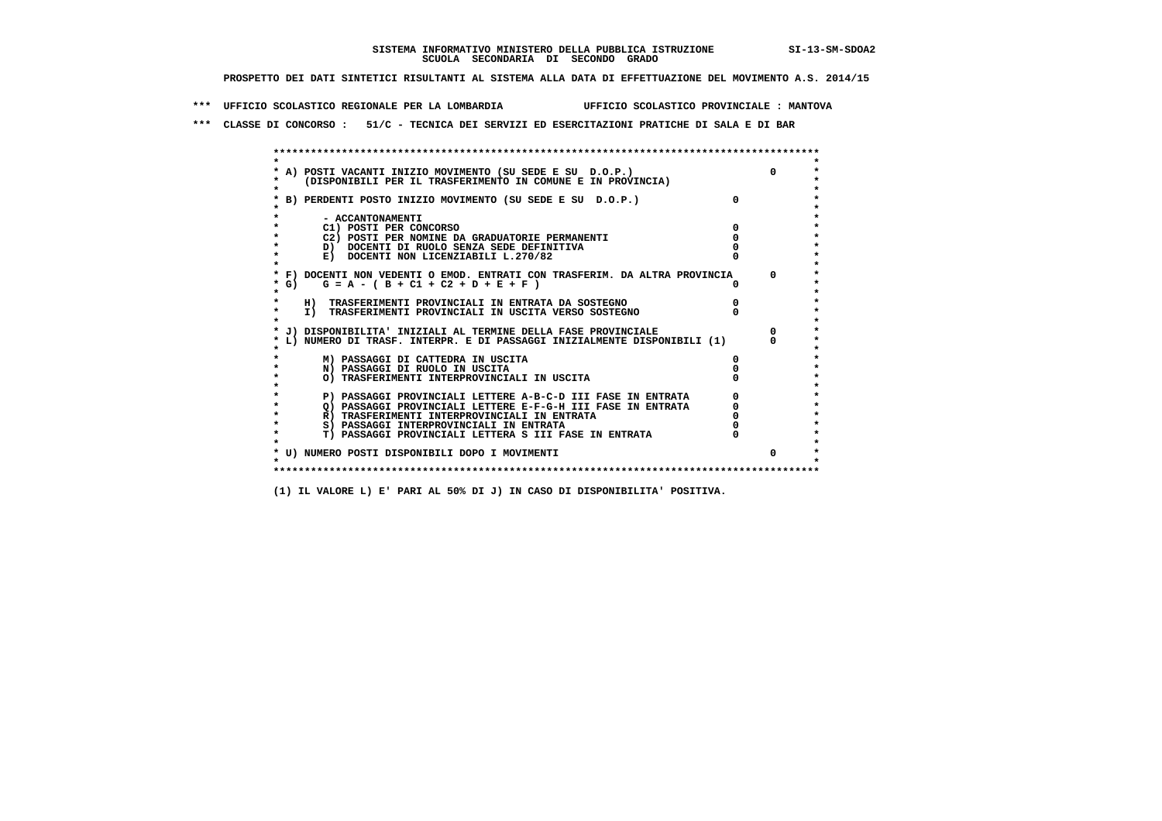**\*\*\* UFFICIO SCOLASTICO REGIONALE PER LA LOMBARDIA UFFICIO SCOLASTICO PROVINCIALE : MANTOVA**

 **\*\*\* CLASSE DI CONCORSO : 51/C - TECNICA DEI SERVIZI ED ESERCITAZIONI PRATICHE DI SALA E DI BAR**

 **\*\*\*\*\*\*\*\*\*\*\*\*\*\*\*\*\*\*\*\*\*\*\*\*\*\*\*\*\*\*\*\*\*\*\*\*\*\*\*\*\*\*\*\*\*\*\*\*\*\*\*\*\*\*\*\*\*\*\*\*\*\*\*\*\*\*\*\*\*\*\*\*\*\*\*\*\*\*\*\*\*\*\*\*\*\*\*\* \* \*** $\ddot{\phantom{0}}$  **\* A) POSTI VACANTI INIZIO MOVIMENTO (SU SEDE E SU D.O.P.) 0 \*** $\star$  **\* (DISPONIBILI PER IL TRASFERIMENTO IN COMUNE E IN PROVINCIA) \*** $\bullet$  **\* \* \* B) PERDENTI POSTO INIZIO MOVIMENTO (SU SEDE E SU D.O.P.) 0 \* \* \* \* - ACCANTONAMENTI \* \* C1) POSTI PER CONCORSO 0 \* \* C2) POSTI PER NOMINE DA GRADUATORIE PERMANENTI 0 \*b**  $\overline{D}$  **docenti di RUOLO SENZA SEDE DEFINITIVA**  $\overline{D}$  **0**  $\overline{D}$  **0**  $\overline{D}$  **0**  $\overline{D}$  **0**  $\overline{D}$  **0**  $\overline{D}$  **0**  $\overline{D}$  **0**  $\overline{D}$  **0**  $\overline{D}$  **0**  $\overline{D}$  **0**  $\overline{D}$  **0**  $\overline{D}$  **0**  $\overline{D}$  **0 E) DOCENTI NON LICENZIABILI L.270/82 \* \* \* F) DOCENTI NON VEDENTI O EMOD. ENTRATI CON TRASFERIM. DA ALTRA PROVINCIA 0 \* \* G) G = A - ( B + C1 + C2 + D + E + F ) 0 \* \* \* \* H) TRASFERIMENTI PROVINCIALI IN ENTRATA DA SOSTEGNO 0 \*TO TRASFERIMENTI PROVINCIALI IN USCITA VERSO SOSTEGNO \* \* \* J) DISPONIBILITA' INIZIALI AL TERMINE DELLA FASE PROVINCIALE 0 \* \* L) NUMERO DI TRASF. INTERPR. E DI PASSAGGI INIZIALMENTE DISPONIBILI (1) 0 \* \* \* \* M) PASSAGGI DI CATTEDRA IN USCITA 0 \* \* N) PASSAGGI DI RUOLO IN USCITA 0 \* \* O) TRASFERIMENTI INTERPROVINCIALI IN USCITA 0 \* \* \*** $\star$  **P) PASSAGGI PROVINCIALI LETTERE A-B-C-D III FASE IN ENTRATA** 0 <sup>0</sup> **DASSAGGI PROVINCIALI LETTERE E-F-G-H** III FASE IN ENTRATA 0 <sup>0</sup>  $\star$  **\* Q) PASSAGGI PROVINCIALI LETTERE E-F-G-H III FASE IN ENTRATA 0 \*R**) TRASFERIMENTI INTERPROVINCIALI IN ENTRATA  $\begin{bmatrix} 0 & 0 & 0 \\ 0 & 0 & 0 \\ 0 & 0 & 0 \\ 0 & 0 & 0 \\ 0 & 0 & 0 \\ 0 & 0 & 0 & 0 \\ 0 & 0 & 0 & 0 \\ 0 & 0 & 0 & 0 \\ 0 & 0 & 0 & 0 \\ 0 & 0 & 0 & 0 \\ 0 & 0 & 0 & 0 \\ 0 & 0 & 0 & 0 \\ 0 & 0 & 0 & 0 \\ 0 & 0 & 0 & 0 \\ 0 & 0 & 0 & 0 \\ 0 &$  **\* S) PASSAGGI INTERPROVINCIALI IN ENTRATA 0 \*** $\ddot{\phantom{1}}$  **\* T) PASSAGGI PROVINCIALI LETTERA S III FASE IN ENTRATA 0 \*** $\star$  **\* \* \* U) NUMERO POSTI DISPONIBILI DOPO I MOVIMENTI 0 \* \* \* \*\*\*\*\*\*\*\*\*\*\*\*\*\*\*\*\*\*\*\*\*\*\*\*\*\*\*\*\*\*\*\*\*\*\*\*\*\*\*\*\*\*\*\*\*\*\*\*\*\*\*\*\*\*\*\*\*\*\*\*\*\*\*\*\*\*\*\*\*\*\*\*\*\*\*\*\*\*\*\*\*\*\*\*\*\*\*\***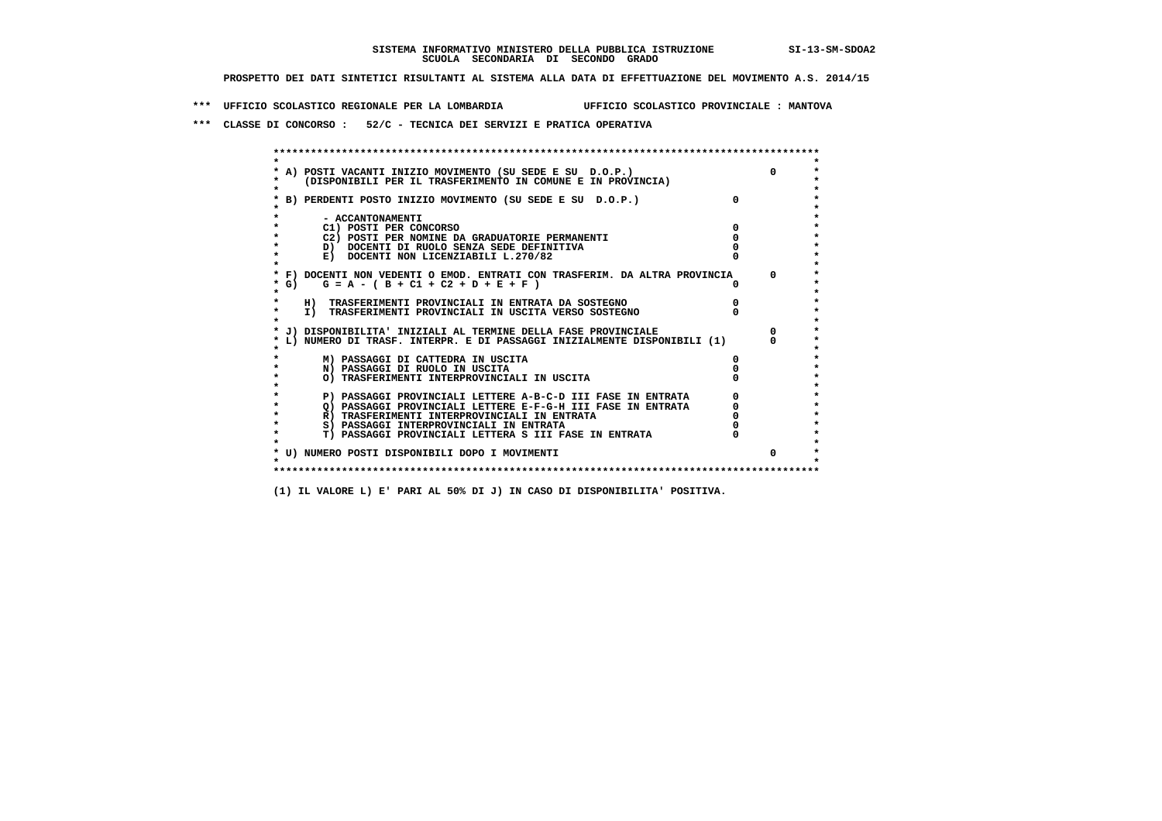**\*\*\* UFFICIO SCOLASTICO REGIONALE PER LA LOMBARDIA UFFICIO SCOLASTICO PROVINCIALE : MANTOVA**

 **\*\*\* CLASSE DI CONCORSO : 52/C - TECNICA DEI SERVIZI E PRATICA OPERATIVA**

| A) POSTI VACANTI INIZIO MOVIMENTO (SU SEDE E SU D.O.P.)                    |              |
|----------------------------------------------------------------------------|--------------|
| (DISPONIBILI PER IL TRASFERIMENTO IN COMUNE E IN PROVINCIA)                |              |
|                                                                            |              |
| B) PERDENTI POSTO INIZIO MOVIMENTO (SU SEDE E SU D.O.P.)                   |              |
| - ACCANTONAMENTI                                                           |              |
| C1) POSTI PER CONCORSO                                                     |              |
| C2) POSTI PER NOMINE DA GRADUATORIE PERMANENTI                             |              |
| D) DOCENTI DI RUOLO SENZA SEDE DEFINITIVA                                  |              |
| E) DOCENTI NON LICENZIABILI L.270/82                                       |              |
| * F) DOCENTI NON VEDENTI O EMOD. ENTRATI CON TRASFERIM. DA ALTRA PROVINCIA | <sup>o</sup> |
| * G) $G = A - (B + C1 + C2 + D + E + F)$                                   |              |
|                                                                            |              |
| H) TRASFERIMENTI PROVINCIALI IN ENTRATA DA SOSTEGNO                        |              |
| I) TRASFERIMENTI PROVINCIALI IN USCITA VERSO SOSTEGNO                      |              |
|                                                                            |              |
| J) DISPONIBILITA' INIZIALI AL TERMINE DELLA FASE PROVINCIALE               |              |
| L) NUMERO DI TRASF. INTERPR. E DI PASSAGGI INIZIALMENTE DISPONIBILI (1)    |              |
|                                                                            |              |
| M) PASSAGGI DI CATTEDRA IN USCITA                                          |              |
| N) PASSAGGI DI RUOLO IN USCITA                                             |              |
| O) TRASFERIMENTI INTERPROVINCIALI IN USCITA                                |              |
| P) PASSAGGI PROVINCIALI LETTERE A-B-C-D III FASE IN ENTRATA                |              |
| O) PASSAGGI PROVINCIALI LETTERE E-F-G-H III FASE IN ENTRATA                |              |
| R) TRASFERIMENTI INTERPROVINCIALI IN ENTRATA                               |              |
| S) PASSAGGI INTERPROVINCIALI IN ENTRATA                                    |              |
| T) PASSAGGI PROVINCIALI LETTERA S III FASE IN ENTRATA                      |              |
|                                                                            |              |
| * U) NUMERO POSTI DISPONIBILI DOPO I MOVIMENTI                             | 0            |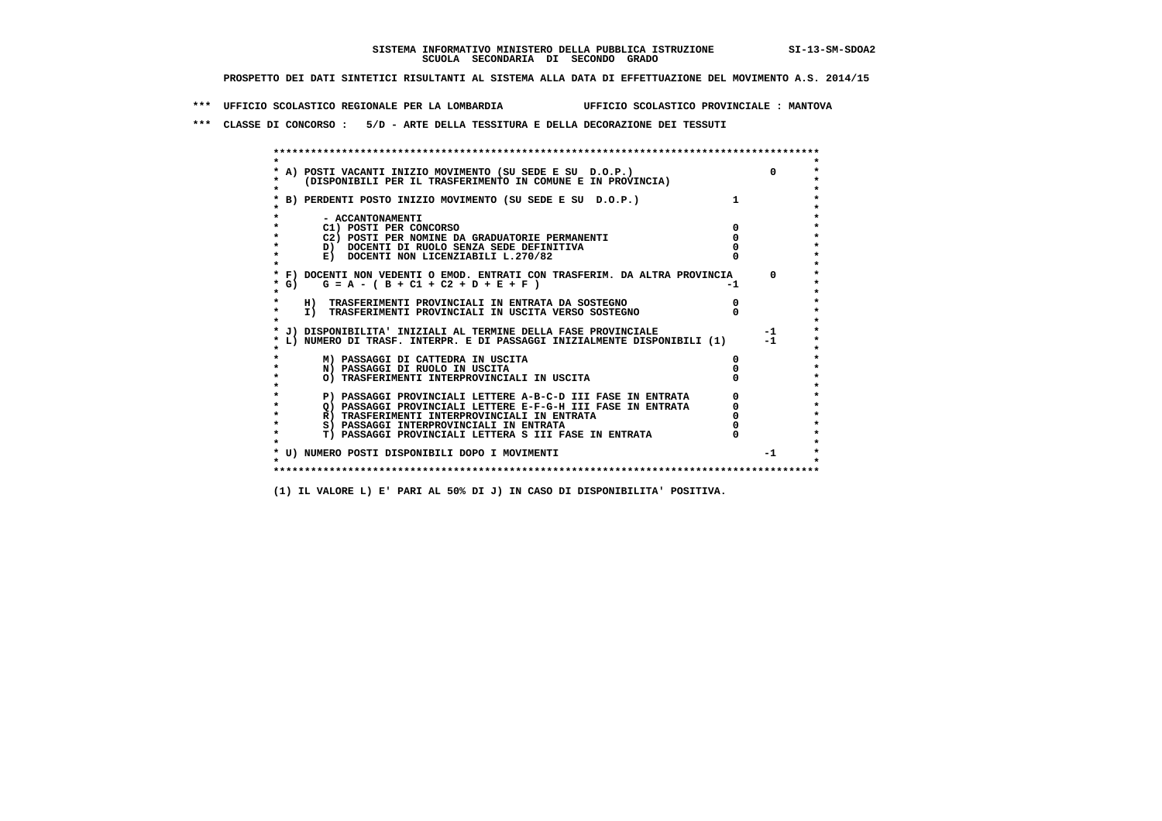**\*\*\* UFFICIO SCOLASTICO REGIONALE PER LA LOMBARDIA UFFICIO SCOLASTICO PROVINCIALE : MANTOVA**

 **\*\*\* CLASSE DI CONCORSO : 5/D - ARTE DELLA TESSITURA E DELLA DECORAZIONE DEI TESSUTI**

 **\*\*\*\*\*\*\*\*\*\*\*\*\*\*\*\*\*\*\*\*\*\*\*\*\*\*\*\*\*\*\*\*\*\*\*\*\*\*\*\*\*\*\*\*\*\*\*\*\*\*\*\*\*\*\*\*\*\*\*\*\*\*\*\*\*\*\*\*\*\*\*\*\*\*\*\*\*\*\*\*\*\*\*\*\*\*\*\* \* \*** $\bullet$  **\* A) POSTI VACANTI INIZIO MOVIMENTO (SU SEDE E SU D.O.P.) 0 \* \* (DISPONIBILI PER IL TRASFERIMENTO IN COMUNE E IN PROVINCIA) \* \* \* \* B) PERDENTI POSTO INIZIO MOVIMENTO (SU SEDE E SU D.O.P.) 1 \* \* \* \* - ACCANTONAMENTI \* \* C1) POSTI PER CONCORSO 0 \* \* C2) POSTI PER NOMINE DA GRADUATORIE PERMANENTI 0 \*b**  $\overline{D}$  **docenti di RUOLO SENZA SEDE DEFINITIVA**  $\overline{D}$  **0**  $\overline{D}$  **0**  $\overline{D}$  **0**  $\overline{D}$  **0**  $\overline{D}$  **0**  $\overline{D}$  **0**  $\overline{D}$  **0**  $\overline{D}$  **0**  $\overline{D}$  **0**  $\overline{D}$  **0**  $\overline{D}$  **0**  $\overline{D}$  **0**  $\overline{D}$  **0 E) DOCENTI NON LICENZIABILI L.270/82 \* \* \* F) DOCENTI NON VEDENTI O EMOD. ENTRATI CON TRASFERIM. DA ALTRA PROVINCIA 0 \***  $\star$  **G)** G = A - ( B + C1 + C2 + D + E + F)  **\* \* \* H) TRASFERIMENTI PROVINCIALI IN ENTRATA DA SOSTEGNO 0 \* \* I) TRASFERIMENTI PROVINCIALI IN USCITA VERSO SOSTEGNO 0 \* \* \* \* J) DISPONIBILITA' INIZIALI AL TERMINE DELLA FASE PROVINCIALE -1 \* \* L) NUMERO DI TRASF. INTERPR. E DI PASSAGGI INIZIALMENTE DISPONIBILI (1) -1 \* \* \* \* M) PASSAGGI DI CATTEDRA IN USCITA 0 \* \* N) PASSAGGI DI RUOLO IN USCITA 0 \* \* O) TRASFERIMENTI INTERPROVINCIALI IN USCITA 0 \* \* \* P) PASSAGGI PROVINCIALI LETTERE A-B-C-D III FASE IN ENTRATA** 0 <sup>0</sup> **DASSAGGI PROVINCIALI LETTERE E-F-G-H** III FASE IN ENTRATA 0 <sup>0</sup>  $\star$  **\* Q) PASSAGGI PROVINCIALI LETTERE E-F-G-H III FASE IN ENTRATA 0 \*R)** TRASFERIMENTI INTERPROVINCIALI IN ENTRATA  $\begin{bmatrix} 0 & 0 \\ 0 & 0 \\ 0 & 0 \end{bmatrix}$  PASSAGGI INTERPROVINCIALI IN ENTRATA  $\begin{bmatrix} 0 & 0 \\ 0 & 0 \\ 0 & 0 \end{bmatrix}$ **8) PASSAGGI INTERPROVINCIALI IN ENTRATA 6 \*\*\*** 0 \*\*\*<br> **T) PASSAGGI PROVINCIALI LETTERA S III FASE IN ENTRATA** 0 \*\*\*  $\ddot{\phantom{1}}$  **\* T) PASSAGGI PROVINCIALI LETTERA S III FASE IN ENTRATA 0 \*** $\star$  **\* \* \* U) NUMERO POSTI DISPONIBILI DOPO I MOVIMENTI -1 \* \* \* \*\*\*\*\*\*\*\*\*\*\*\*\*\*\*\*\*\*\*\*\*\*\*\*\*\*\*\*\*\*\*\*\*\*\*\*\*\*\*\*\*\*\*\*\*\*\*\*\*\*\*\*\*\*\*\*\*\*\*\*\*\*\*\*\*\*\*\*\*\*\*\*\*\*\*\*\*\*\*\*\*\*\*\*\*\*\*\***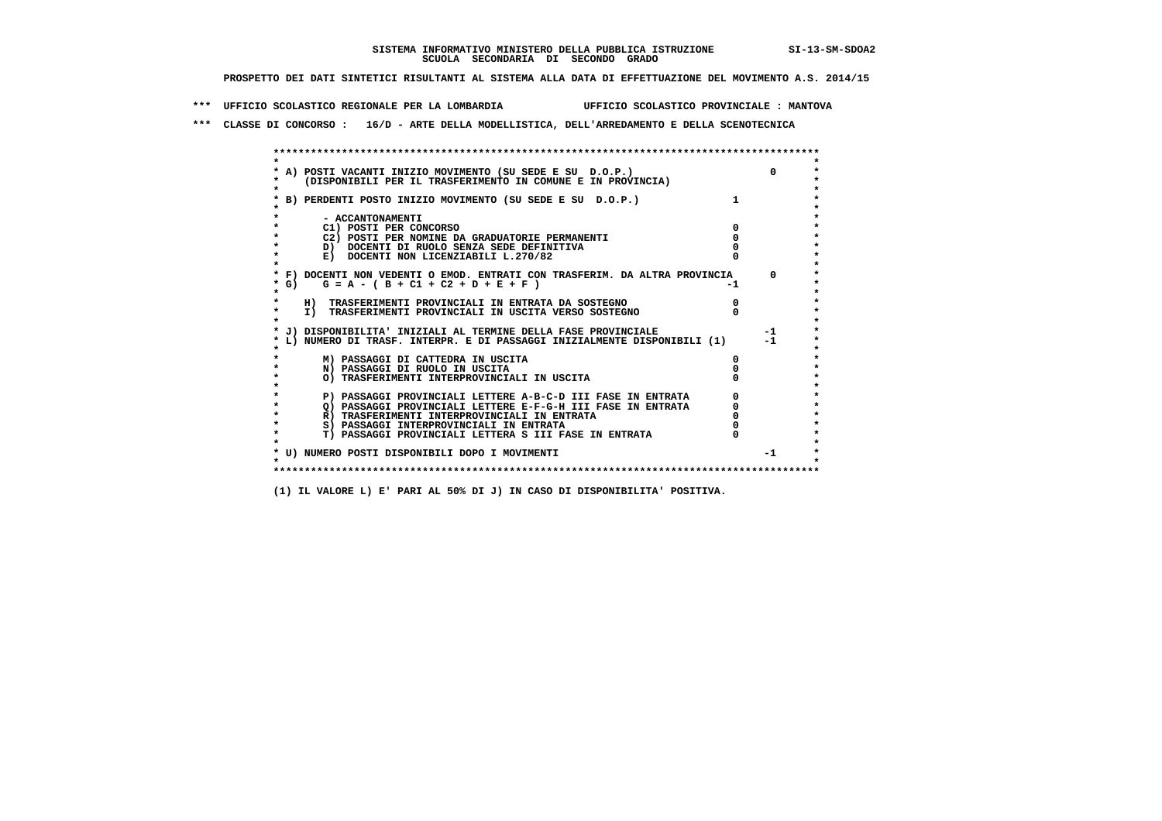**\*\*\* UFFICIO SCOLASTICO REGIONALE PER LA LOMBARDIA UFFICIO SCOLASTICO PROVINCIALE : MANTOVA**

 **\*\*\* CLASSE DI CONCORSO : 16/D - ARTE DELLA MODELLISTICA, DELL'ARREDAMENTO E DELLA SCENOTECNICA**

 **\*\*\*\*\*\*\*\*\*\*\*\*\*\*\*\*\*\*\*\*\*\*\*\*\*\*\*\*\*\*\*\*\*\*\*\*\*\*\*\*\*\*\*\*\*\*\*\*\*\*\*\*\*\*\*\*\*\*\*\*\*\*\*\*\*\*\*\*\*\*\*\*\*\*\*\*\*\*\*\*\*\*\*\*\*\*\*\* \* \*** $\ddot{\phantom{0}}$  **\* A) POSTI VACANTI INIZIO MOVIMENTO (SU SEDE E SU D.O.P.) 0 \* \* (DISPONIBILI PER IL TRASFERIMENTO IN COMUNE E IN PROVINCIA) \* \* \* \* B) PERDENTI POSTO INIZIO MOVIMENTO (SU SEDE E SU D.O.P.) 1 \* \* \* \* - ACCANTONAMENTI \* \* C1) POSTI PER CONCORSO 0 \* \* C2) POSTI PER NOMINE DA GRADUATORIE PERMANENTI 0 \*b**  $\overline{D}$  **docenti di RUOLO SENZA SEDE DEFINITIVA**  $\overline{D}$  **0**  $\overline{D}$  **0**  $\overline{D}$  **0**  $\overline{D}$  **0**  $\overline{D}$  **0**  $\overline{D}$  **0**  $\overline{D}$  **0**  $\overline{D}$  **0**  $\overline{D}$  **0**  $\overline{D}$  **0**  $\overline{D}$  **0**  $\overline{D}$  **0**  $\overline{D}$  **0 E) DOCENTI NON LICENZIABILI L.270/82 \* \* \* F) DOCENTI NON VEDENTI O EMOD. ENTRATI CON TRASFERIM. DA ALTRA PROVINCIA 0 \***  $\star$  **G)** G = A - ( B + C1 + C2 + D + E + F)  **\* \* \* H) TRASFERIMENTI PROVINCIALI IN ENTRATA DA SOSTEGNO 0 \* \* I) TRASFERIMENTI PROVINCIALI IN USCITA VERSO SOSTEGNO 0 \* \* \* \* J) DISPONIBILITA' INIZIALI AL TERMINE DELLA FASE PROVINCIALE -1 \* \* L) NUMERO DI TRASF. INTERPR. E DI PASSAGGI INIZIALMENTE DISPONIBILI (1) -1 \* \* \* \* M) PASSAGGI DI CATTEDRA IN USCITA 0 \* \* N) PASSAGGI DI RUOLO IN USCITA 0 \* \* O) TRASFERIMENTI INTERPROVINCIALI IN USCITA 0 \* \* \* P) PASSAGGI PROVINCIALI LETTERE A-B-C-D III FASE IN ENTRATA** 0 <sup>0</sup> **DASSAGGI PROVINCIALI LETTERE E-F-G-H** III FASE IN ENTRATA 0 <sup>0</sup>  $\star$  **\* Q) PASSAGGI PROVINCIALI LETTERE E-F-G-H III FASE IN ENTRATA 0 \*R)** TRASFERIMENTI INTERPROVINCIALI IN ENTRATA  $\begin{bmatrix} 0 & 0 \\ 0 & 0 \\ 0 & 0 \end{bmatrix}$  PASSAGGI INTERPROVINCIALI IN ENTRATA  $\begin{bmatrix} 0 & 0 \\ 0 & 0 \\ 0 & 0 \end{bmatrix}$  **\* S) PASSAGGI INTERPROVINCIALI IN ENTRATA 0 \*** $\ddot{\bullet}$  **\* T) PASSAGGI PROVINCIALI LETTERA S III FASE IN ENTRATA 0 \*** $\star$  **\* \* \* U) NUMERO POSTI DISPONIBILI DOPO I MOVIMENTI -1 \* \* \* \*\*\*\*\*\*\*\*\*\*\*\*\*\*\*\*\*\*\*\*\*\*\*\*\*\*\*\*\*\*\*\*\*\*\*\*\*\*\*\*\*\*\*\*\*\*\*\*\*\*\*\*\*\*\*\*\*\*\*\*\*\*\*\*\*\*\*\*\*\*\*\*\*\*\*\*\*\*\*\*\*\*\*\*\*\*\*\***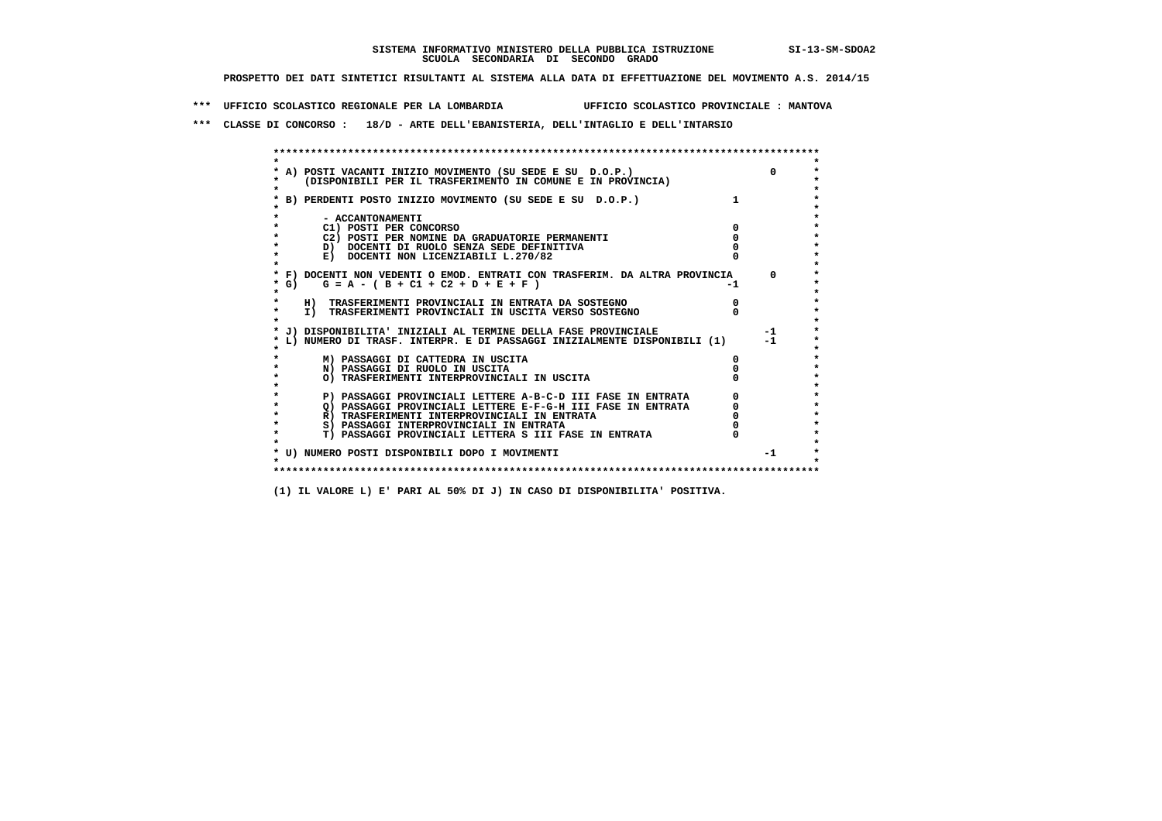**\*\*\* UFFICIO SCOLASTICO REGIONALE PER LA LOMBARDIA UFFICIO SCOLASTICO PROVINCIALE : MANTOVA**

 **\*\*\* CLASSE DI CONCORSO : 18/D - ARTE DELL'EBANISTERIA, DELL'INTAGLIO E DELL'INTARSIO**

 **\*\*\*\*\*\*\*\*\*\*\*\*\*\*\*\*\*\*\*\*\*\*\*\*\*\*\*\*\*\*\*\*\*\*\*\*\*\*\*\*\*\*\*\*\*\*\*\*\*\*\*\*\*\*\*\*\*\*\*\*\*\*\*\*\*\*\*\*\*\*\*\*\*\*\*\*\*\*\*\*\*\*\*\*\*\*\*\* \* \*** $\bullet$  **\* A) POSTI VACANTI INIZIO MOVIMENTO (SU SEDE E SU D.O.P.) 0 \* \* (DISPONIBILI PER IL TRASFERIMENTO IN COMUNE E IN PROVINCIA) \* \* \* \* B) PERDENTI POSTO INIZIO MOVIMENTO (SU SEDE E SU D.O.P.) 1 \* \* \* \* - ACCANTONAMENTI \* \* C1) POSTI PER CONCORSO 0 \* \* C2) POSTI PER NOMINE DA GRADUATORIE PERMANENTI 0 \*b**  $\overline{D}$  **docenti di RUOLO SENZA SEDE DEFINITIVA**  $\overline{D}$  **0**  $\overline{D}$  **0**  $\overline{D}$  **0**  $\overline{D}$  **0**  $\overline{D}$  **0**  $\overline{D}$  **0**  $\overline{D}$  **0**  $\overline{D}$  **0**  $\overline{D}$  **0**  $\overline{D}$  **0**  $\overline{D}$  **0**  $\overline{D}$  **0**  $\overline{D}$  **0 E) DOCENTI NON LICENZIABILI L.270/82 \* \* \* F) DOCENTI NON VEDENTI O EMOD. ENTRATI CON TRASFERIM. DA ALTRA PROVINCIA 0 \***  $\star$  **G)** G = A - ( B + C1 + C2 + D + E + F)  **\* \* \* H) TRASFERIMENTI PROVINCIALI IN ENTRATA DA SOSTEGNO 0 \*The Construction of the International Construction of the Construction of the Transferiment I**  $\overline{P}$  **PROVINCIALI** IN USCITA VERSO SOSTEGNO  **\* \* \* J) DISPONIBILITA' INIZIALI AL TERMINE DELLA FASE PROVINCIALE -1 \* \* L) NUMERO DI TRASF. INTERPR. E DI PASSAGGI INIZIALMENTE DISPONIBILI (1) -1 \* \* \* \* M) PASSAGGI DI CATTEDRA IN USCITA 0 \* \* N) PASSAGGI DI RUOLO IN USCITA 0 \* \* O) TRASFERIMENTI INTERPROVINCIALI IN USCITA 0 \* \* \* P) PASSAGGI PROVINCIALI LETTERE A-B-C-D III FASE IN ENTRATA** 0 <sup>0</sup> **DASSAGGI PROVINCIALI LETTERE E-F-G-H** III FASE IN ENTRATA 0 <sup>0</sup>  **\* Q) PASSAGGI PROVINCIALI LETTERE E-F-G-H III FASE IN ENTRATA 0 \*R)** TRASFERIMENTI INTERPROVINCIALI IN ENTRATA  $\begin{bmatrix} 0 & 0 \\ 0 & 0 \\ 0 & 0 \end{bmatrix}$  PASSAGGI INTERPROVINCIALI IN ENTRATA  $\begin{bmatrix} 0 & 0 \\ 0 & 0 \\ 0 & 0 \end{bmatrix}$ **8) PASSAGGI INTERPROVINCIALI IN ENTRATA 6 \*\*\*** 0 \*\*\*<br> **T) PASSAGGI PROVINCIALI LETTERA S III FASE IN ENTRATA** 0 \*\*\*  $\ddot{\bullet}$  **\* T) PASSAGGI PROVINCIALI LETTERA S III FASE IN ENTRATA 0 \*** $\star$  **\* \* \* U) NUMERO POSTI DISPONIBILI DOPO I MOVIMENTI -1 \* \* \* \*\*\*\*\*\*\*\*\*\*\*\*\*\*\*\*\*\*\*\*\*\*\*\*\*\*\*\*\*\*\*\*\*\*\*\*\*\*\*\*\*\*\*\*\*\*\*\*\*\*\*\*\*\*\*\*\*\*\*\*\*\*\*\*\*\*\*\*\*\*\*\*\*\*\*\*\*\*\*\*\*\*\*\*\*\*\*\***